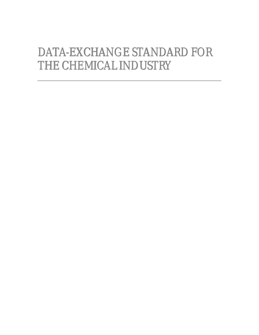# DATA-EXCHANGE STANDARD FOR THECHEMICALINDUSTRY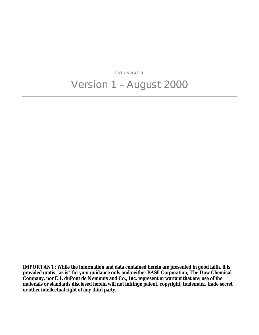**ESTANDARD** Version 1 – August 2000

**IMPORTANT: While the information and data contained herein are presented in good faith, it is provided gratis "as is" for your guidance only and neither BASF Corporation, The Dow Chemical Company, nor E.I. duPont de Nemours and Co., Inc. represent or warrant that any use of the materials or standards disclosed herein will not infringe patent, copyright, trademark, trade secret or other intellectual right of any third party.**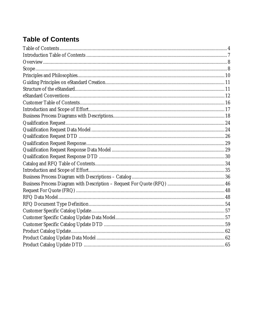# **Table of Contents**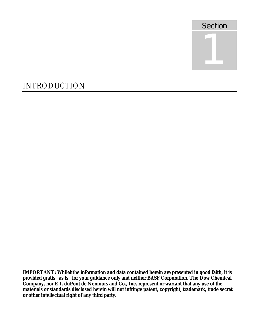

# INTRODUCTION

**IMPORTANT: Whilehthe information and data contained herein are presented in good faith, it is provided gratis "as is" for your guidance only and neither BASF Corporation, The Dow Chemical Company, nor E.I. duPont de Nemours and Co., Inc. represent or warrant that any use of the materials or standards disclosed herein will not infringe patent, copyright, trademark, trade secret or other intellectual right of any third party.**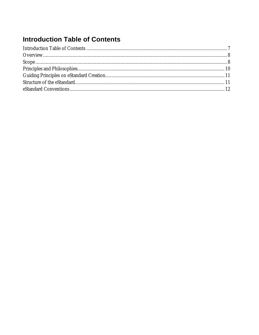# **Introduction Table of Contents**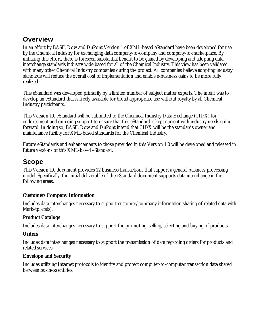### **Overview**

In an effort by BASF, Dow and DuPont Version 1 of XML-based eStandard have been developed for use by the Chemical Industry for exchanging data company-to-company and company-to-marketplace. By initiating this effort, there is foreseen substantial benefit to be gained by developing and adopting data interchange standards industry wide based for all of the Chemical Industry. This view has been validated with many other Chemical Industry companies during the project. All companies believe adopting industry standards will reduce the overall cost of implementation and enable e-business gains to be more fully realized.

This eStandard was developed primarily by a limited number of subject matter experts. The intent was to develop an eStandard that is freely available for broad appropriate use without royalty by all Chemical Industry participants.

This Version 1.0 eStandard will be submitted to the Chemical Industry Data Exchange (CIDX) for endorsement and on-going support to ensure that this eStandard is kept current with industry needs going forward. In doing so, BASF, Dow and DuPont intend that CIDX will be the standards owner and maintenance facility for XML-based standards for the Chemical Industry.

Future eStandards and enhancements to those provided in this Version 1.0 will be developed and released in future versions of this XML-based eStandard.

### **Scope**

This Version 1.0 document provides 12 business transactions that support a general business-processing model. Specifically, the initial deliverable of the eStandard document supports data interchange in the following areas:

#### **Customer/Company Information**

Includes data interchanges necessary to support customer/company information sharing of related data with Marketplace(s).

#### **Product Catalogs**

Includes data interchanges necessary to support the promoting, selling, selecting and buying of products.

#### **Orders**

Includes data interchanges necessary to support the transmission of data regarding orders for products and related services.

#### **Envelope and Security**

Includes utilizing Internet protocols to identify and protect computer-to-computer transaction data shared between business entities.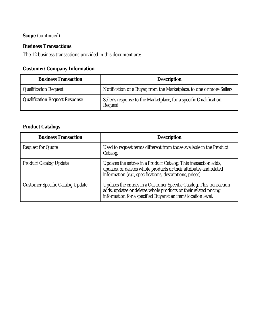### **Scope** (continued)

#### **Business Transactions**

The 12 business transactions provided in this document are:

### **Customer/Company Information**

| <b>Business Transaction</b>           | <b>Description</b>                                                            |
|---------------------------------------|-------------------------------------------------------------------------------|
| <b>Qualification Request</b>          | Notification of a Buyer, from the Marketplace, to one or more Sellers         |
| <b>Qualification Request Response</b> | Seller's response to the Marketplace, for a specific Qualification<br>Request |

### **Product Catalogs**

| <b>Business Transaction</b>             | <b>Description</b>                                                                                                                                                                                       |
|-----------------------------------------|----------------------------------------------------------------------------------------------------------------------------------------------------------------------------------------------------------|
| <b>Request for Quote</b>                | Used to request terms different from those available in the Product<br>Catalog.                                                                                                                          |
| <b>Product Catalog Update</b>           | Updates the entries in a Product Catalog. This transaction adds,<br>updates, or deletes whole products or their attributes and related<br>information (e.g., specifications, descriptions, prices).      |
| <b>Customer Specific Catalog Update</b> | Updates the entries in a Customer Specific Catalog. This transaction<br>adds, updates or deletes whole products or their related pricing<br>information for a specified Buyer at an item/location level. |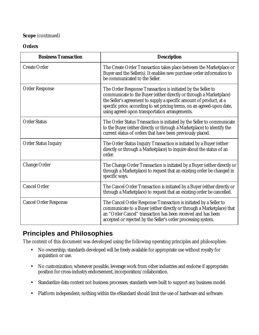#### **Scope** (continued)

#### **Orders**

| <b>Business Transaction</b>  | <b>Description</b>                                                                                                                                                                                                                                                                                                                      |
|------------------------------|-----------------------------------------------------------------------------------------------------------------------------------------------------------------------------------------------------------------------------------------------------------------------------------------------------------------------------------------|
| <b>Create Order</b>          | The Create Order Transaction takes place between the Marketplace or<br>Buyer and the Seller(s). It enables new purchase order information to<br>be communicated to the Seller.                                                                                                                                                          |
| <b>Order Response</b>        | The Order Response Transaction is initiated by the Seller to<br>communicate to the Buyer (either directly or through a Marketplace)<br>the Seller's agreement to supply a specific amount of product, at a<br>specific price, according to set pricing terms, on an agreed-upon date,<br>using agreed-upon transportation arrangements. |
| <b>Order Status</b>          | The Order Status Transaction is initiated by the Seller to communicate<br>to the Buyer (either directly or through a Marketplace) to identify the<br>current status of orders that have been previously placed.                                                                                                                         |
| <b>Order Status Inquiry</b>  | The Order Status Inquiry Transaction is initiated by a Buyer (either<br>directly or through a Marketplace) to inquire about the status of an<br>order.                                                                                                                                                                                  |
| <b>Change Order</b>          | The Change Order Transaction is initiated by a Buyer (either directly or<br>through a Marketplace) to request that an existing order be changed in<br>specific ways.                                                                                                                                                                    |
| <b>Cancel Order</b>          | The Cancel Order Transaction is initiated by a Buyer (either directly or<br>through a Marketplace) to request that an existing order be cancelled.                                                                                                                                                                                      |
| <b>Cancel Order Response</b> | The Cancel Order Response Transaction is initiated by a Seller to<br>communicate to a Buyer (either directly or through a Marketplace) that<br>an "Order Cancel" transaction has been received and has been<br>accepted or rejected by the Seller's order processing system.                                                            |

### **Principles and Philosophies**

The content of this document was developed using the following operating principles and philosophies:

- No ownership; standards developed will be freely available for appropriate use without royalty for acquisition or use.
- No customization; whenever possible, leverage work from other industries and endorse if appropriate; position for cross-industry endorsement, incorporation/collaboration.
- Standardize data content not business processes; standards were built to support any business model.
- Platform independent; nothing within the eStandard should limit the use of hardware and software.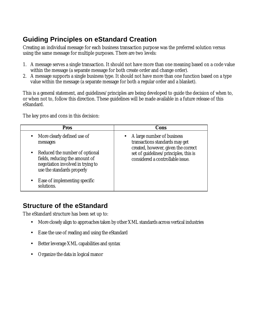# **Guiding Principles on eStandard Creation**

Creating an individual message for each business transaction purpose was the preferred solution versus using the same message for multiple purposes. There are two levels:

- 1. A message serves a single transaction. It should not have more than one meaning based on a code value within the message (a separate message for both create order and change order).
- 2. A message supports a single business type. It should not have more than one function based on a type value within the message (a separate message for both a regular order and a blanket).

This is a general statement, and guidelines/principles are being developed to guide the decision of when to, or when not to, follow this direction. These guidelines will be made available in a future release of this eStandard.

The key pros and cons in this decision:

| <b>Pros</b>                                                                                       | Cons                                                                                                                                           |
|---------------------------------------------------------------------------------------------------|------------------------------------------------------------------------------------------------------------------------------------------------|
| More clearly defined use of<br>messages<br>Reduced the number of optional                         | • A large number of business<br>transactions standards may get<br>created, however, given the correct<br>set of guidelines/principles, this is |
| fields, reducing the amount of<br>negotiation involved in trying to<br>use the standards properly | considered a controllable issue.                                                                                                               |
| Ease of implementing specific<br>solutions.                                                       |                                                                                                                                                |

### **Structure of the eStandard**

The eStandard structure has been set up to:

- More closely align to approaches taken by other XML standards across vertical industries
- Ease the use of reading and using the eStandard
- Better leverage XML capabilities and syntax
- Organize the data in logical manor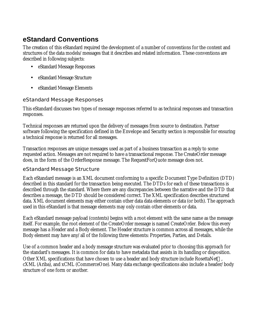### **eStandard Conventions**

The creation of this eStandard required the development of a number of conventions for the content and structures of the data models/messages that it describes and related information. These conventions are described in following subjects:

- eStandard Message Responses
- eStandard Message Structure
- eStandard Message Elements

#### eStandard Message Responses

This eStandard discusses two types of message responses referred to as technical responses and transaction responses.

Technical responses are returned upon the delivery of messages from source to destination. Partner software following the specification defined in the Envelope and Security section is responsible for ensuring a technical response is returned for all messages.

Transaction responses are unique messages used as part of a business transaction as a reply to some requested action. Messages are not required to have a transactional response. The CreateOrder message does, in the form of the OrderResponse message. The RequestForQuote message does not.

#### eStandard Message Structure

Each eStandard message is an XML document conforming to a specific Document Type Definition (DTD) described in this standard for the transaction being executed. The DTDs for each of these transactions is described through the standard. Where there are any discrepancies between the narrative and the DTD that describes a message, the DTD should be considered correct. The XML specification describes structured data. XML document elements may either contain other data data elements or data (or both). The approach used in this eStandard is that message elements may only contain other elements or data.

Each eStandard message payload (contents) begins with a root element with the same name as the message itself. For example, the root element of the CreateOrder message is named CreateOrder. Below this every message has a Header and a Body element. The Header structure is common across all messages, while the Body element may have any/all of the following three elements: Properties, Parties, and Details.

Use of a common header and a body message structure was evaluated prior to choosing this approach for the standard's messages. It is common for data to have metadata that assists in its handling or disposition. Other XML specifications that have chosen to use a header and body structure include RosettaNet™, cXML (Ariba), and xCML (CommerceOne). Many data exchange specifications also include a header/body structure of one form or another.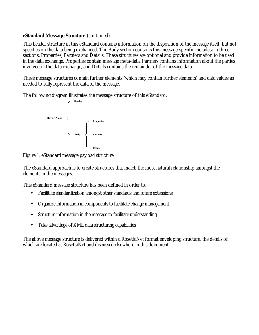#### **eStandard Message Structure** (continued)

This header structure in this eStandard contains information on the disposition of the message itself, but not specifics on the data being exchanged. The Body section contains this message-specific metadata in three sections: Properties, Partners and Details. These structures are optional and provide information to be used in the data exchange. Properties contain message meta-data, Partners contains information about the parties involved in the data exchange, and Details contains the remainder of the message data.

These message structures contain further elements (which may contain further elements) and data values as needed to fully represent the data of the message.

The following diagram illustrates the message structure of this eStandard:



Figure 1: eStandard message payload structure

The eStandard approach is to create structures that match the most natural relationship amongst the elements in the messages.

This eStandard message structure has been defined in order to:

- Facilitate standardization amongst other standards and future extensions
- Organize information in components to facilitate change management
- Structure information in the message to facilitate understanding
- Take advantage of XML data structuring capabilities

The above message structure is delivered within a RosettaNet format enveloping structure, the details of which are located at RosettaNet and discussed elsewhere in this document.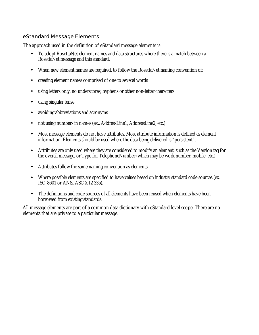#### eStandard Message Elements

The approach used in the definition of eStandard message elements is:

- To adopt RosettaNet element names and data structures where there is a match between a RosettaNet message and this standard.
- When new element names are required, to follow the RosettaNet naming convention of:
- creating element names comprised of one to several words
- using letters only; no underscores, hyphens or other non-letter characters
- using singular tense
- avoiding abbreviations and acronyms
- not using numbers in names (ex., AddressLine1, AddressLine2, etc.)
- Most message elements do not have attributes. Most attribute information is defined as element information. Elements should be used where the data being delivered is "persistent".
- Attributes are only used where they are considered to modify an element, such as the Version tag for the overall message, or Type for TelephoneNumber (which may be work number, mobile, etc.).
- Attributes follow the same naming convention as elements.
- Where possible elements are specified to have values based on industry standard code sources (ex. ISO 8601 or ANSI ASC X12 335).
- The definitions and code sources of all elements have been reused when elements have been borrowed from existing standards.

All message elements are part of a common data dictionary with eStandard level scope. There are no elements that are private to a particular message.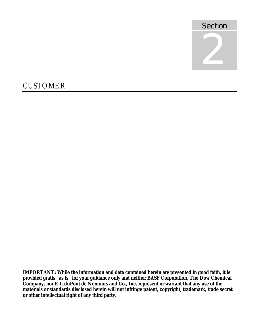

# **CUSTOMER**

**IMPORTANT: While the information and data contained herein are presented in good faith, it is provided gratis "as is" for your guidance only and neither BASF Corporation, The Dow Chemical Company, nor E.I. duPont de Nemours and Co., Inc. represent or warrant that any use of the materials or standards disclosed herein will not infringe patent, copyright, trademark, trade secret or other intellectual right of any third party.**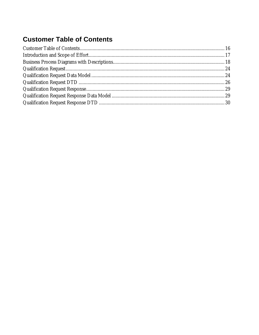# **Customer Table of Contents**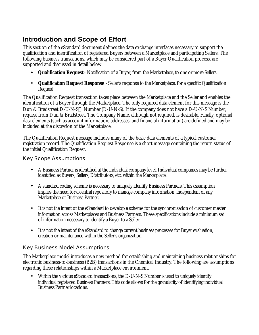### **Introduction and Scope of Effort**

This section of the eStandard document defines the data exchange interfaces necessary to support the qualification and identification of registered Buyers between a Marketplace and participating Sellers. The following business transactions, which may be considered part of a Buyer Qualification process, are supported and discussed in detail below:

- **Qualification Request** Notification of a Buyer, from the Marketplace, to one or more Sellers
- **Qualification Request Response** Seller's response to the Marketplace, for a specific Qualification Request

The Qualification Request transaction takes place between the Marketplace and the Seller and enables the identification of a Buyer through the Marketplace. The only required data element for this message is the Dun & Bradstreet D-U-N-S® Number (D-U-N-S). If the company does not have a D-U-N-S Number, request from Dun & Bradstreet. The Company Name, although not required, is desirable. Finally, optional data elements (such as account information, addresses, and financial information) are defined and may be included at the discretion of the Marketplace.

The Qualification Request message includes many of the basic data elements of a typical customer registration record. The Qualification Request Response is a short message containing the return status of the initial Qualification Request.

#### Key Scope Assumptions

- A Business Partner is identified at the individual company level. Individual companies may be further identified as Buyers, Sellers, Distributors, etc. within the Marketplace.
- A standard coding scheme is necessary to uniquely identify Business Partners. This assumption implies the need for a central repository to manage company information, independent of any Marketplace or Business Partner.
- It is not the intent of the eStandard to develop a scheme for the synchronization of customer master information across Marketplaces and Business Partners. These specifications include a minimum set of information necessary to identify a Buyer to a Seller.
- It is not the intent of the eStandard to change current business processes for Buyer evaluation, creation or maintenance within the Seller's organization.

#### Key Business Model Assumptions

The Marketplace model introduces a new method for establishing and maintaining business relationships for electronic business-to-business (B2B) transactions in the Chemical Industry. The following are assumptions regarding these relationships within a Marketplace environment.

• Within the various eStandard transactions, the D-U-N-S Number is used to uniquely identify individual registered Business Partners. This code allows for the granularity of identifying individual Business Partner locations.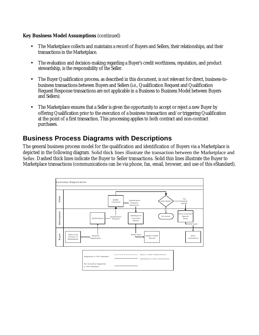#### **Key Business Model Assumptions** (continued)

- The Marketplace collects and maintains a record of Buyers and Sellers, their relationships, and their transactions in the Marketplace.
- The evaluation and decision-making regarding a Buyer's credit worthiness, reputation, and product stewardship, is the responsibility of the Seller.
- The Buyer Qualification process, as described in this document, is not relevant for direct, business-tobusiness transactions between Buyers and Sellers (i.e., Qualification Request and Qualification Request Response transactions are not applicable in a Business to Business Model between Buyers and Sellers).
- The Marketplace ensures that a Seller is given the opportunity to accept or reject a new Buyer by offering Qualification prior to the execution of a business transaction and/or triggering Qualification at the point of a first transaction. This processing applies to both contract and non-contract purchases.

### **Business Process Diagrams with Descriptions**

The general business process model for the qualification and identification of Buyers via a Marketplace is depicted in the following diagram. Solid thick lines illustrate the transaction between the Marketplace and Seller. Dashed thick lines indicate the Buyer to Seller transactions. Solid thin lines illustrate the Buyer to Marketplace transactions (communications can be via phone, fax, email, browser, and use of this eStandard).

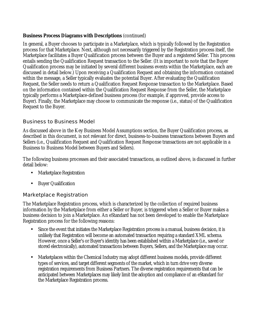#### **Business Process Diagrams with Descriptions** (continued)

In general, a Buyer chooses to participate in a Marketplace, which is typically followed by the Registration process for that Marketplace. Next, although not necessarily triggered by the Registration process itself, the Marketplace facilitates a Buyer Qualification process between the Buyer and a registered Seller. This process entails sending the Qualification Request transaction to the Seller. (It is important to note that the Buyer Qualification process may be initiated by several different business events within the Marketplace, each are discussed in detail below.) Upon receiving a Qualification Request and obtaining the information contained within the message, a Seller typically evaluates the potential Buyer. After evaluating the Qualification Request, the Seller needs to return a Qualification Request Response transaction to the Marketplace. Based on the information contained within the Qualification Request Response from the Seller, the Marketplace typically performs a Marketplace-defined business process (for example, if approved, provide access to Buyer). Finally, the Marketplace may choose to communicate the response (i.e., status) of the Qualification Request to the Buyer.

#### Business to Business Model

As discussed above in the Key Business Model Assumptions section, the Buyer Qualification process, as described in this document, is not relevant for direct, business-to-business transactions between Buyers and Sellers (i.e., Qualification Request and Qualification Request Response transactions are not applicable in a Business to Business Model between Buyers and Sellers).

The following business processes and their associated transactions, as outlined above, is discussed in further detail below:

- Marketplace Registration
- Buyer Qualification

#### Marketplace Registration

The Marketplace Registration process, which is characterized by the collection of required business information by the Marketplace from either a Seller or Buyer, is triggered when a Seller or Buyer makes a business decision to join a Marketplace. An eStandard has not been developed to enable the Marketplace Registration process for the following reasons:

- Since the event that initiates the Marketplace Registration process is a manual, business decision, it is unlikely that Registration will become an automated transaction requiring a standard XML schema. However, once a Seller's or Buyer's identity has been established within a Marketplace (i.e., saved or stored electronically), automated transactions between Buyers, Sellers, and the Marketplace may occur.
- Marketplaces within the Chemical Industry may adopt different business models, provide different types of services, and target different segments of the market, which in turn drive very diverse registration requirements from Business Partners. The diverse registration requirements that can be anticipated between Marketplaces may likely limit the adoption and compliance of an eStandard for the Marketplace Registration process.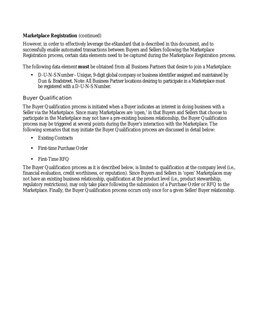#### **Marketplace Registration** (continued)

However, in order to effectively leverage the eStandard that is described in this document, and to successfully enable automated transactions between Buyers and Sellers following the Marketplace Registration process, certain data elements need to be captured during the Marketplace Registration process.

The following data element **must** be obtained from all Business Partners that desire to join a Marketplace:

• D-U-N-S Number - Unique, 9-digit global company or business identifier assigned and maintained by Dun & Bradstreet. Note: All Business Partner locations desiring to participate in a Marketplace must be registered with a D-U-N-S Number.

#### Buyer Qualification

The Buyer Qualification process is initiated when a Buyer indicates an interest in doing business with a Seller via the Marketplace. Since many Marketplaces are 'open,' in that Buyers and Sellers that choose to participate in the Marketplace may not have a pre-existing business relationship, the Buyer Qualification process may be triggered at several points during the Buyer's interaction with the Marketplace. The following scenarios that may initiate the Buyer Qualification process are discussed in detail below:

- Existing Contracts
- First-time Purchase Order
- First-Time RFQ

The Buyer Qualification process as it is described below, is limited to qualification at the company level (i.e., financial evaluation, credit worthiness, or reputation). Since Buyers and Sellers in 'open' Marketplaces may not have an existing business relationship, qualification at the product level (i.e., product stewardship, regulatory restrictions), may only take place following the submission of a Purchase Order or RFQ to the Marketplace. Finally, the Buyer Qualification process occurs only once for a given Seller/Buyer relationship.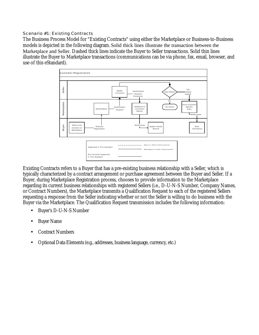Scenario #1: Existing Contracts

The Business Process Model for "Existing Contracts" using either the Marketplace or Business-to-Business models is depicted in the following diagram. Solid thick lines illustrate the transaction between the Marketplace and Seller. Dashed thick lines indicate the Buyer to Seller transactions. Solid thin lines illustrate the Buyer to Marketplace transactions (communications can be via phone, fax, email, browser, and use of this eStandard).



Existing Contracts refers to a Buyer that has a pre-existing business relationship with a Seller, which is typically characterized by a contract arrangement or purchase agreement between the Buyer and Seller. If a Buyer, during Marketplace Registration process, chooses to provide information to the Marketplace regarding its current business relationships with registered Sellers (i.e., D-U-N-S Number, Company Names, or Contract Numbers), the Marketplace transmits a Qualification Request to each of the registered Sellers requesting a response from the Seller indicating whether or not the Seller is willing to do business with the Buyer via the Marketplace. The Qualification Request transmission includes the following information:

- Buyer's D-U-N-S Number
- Buyer Name
- Contract Numbers
- Optional Data Elements (e.g., addresses, business language, currency, etc.)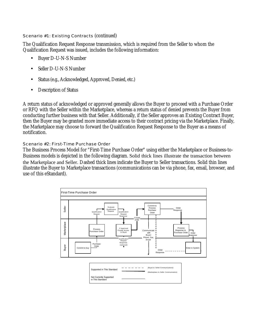Scenario #1: Existing Contracts (continued)

The Qualification Request Response transmission, which is required from the Seller to whom the Qualification Request was issued, includes the following information:

- Buyer D-U-N-S Number
- Seller D-U-N-S Number
- Status (e.g., Acknowledged, Approved, Denied, etc.)
- Description of Status

A return status of acknowledged or approved generally allows the Buyer to proceed with a Purchase Order or RFQ with the Seller within the Marketplace, whereas a return status of denied prevents the Buyer from conducting further business with that Seller. Additionally, if the Seller approves an Existing Contract Buyer, then the Buyer may be granted more immediate access to their contract pricing via the Marketplace. Finally, the Marketplace may choose to forward the Qualification Request Response to the Buyer as a means of notification.

#### Scenario #2: First-Time Purchase Order

The Business Process Model for "First-Time Purchase Order" using either the Marketplace or Business-to-Business models is depicted in the following diagram. Solid thick lines illustrate the transaction between the Marketplace and Seller. Dashed thick lines indicate the Buyer to Seller transactions. Solid thin lines illustrate the Buyer to Marketplace transactions (communications can be via phone, fax, email, browser, and use of this eStandard).

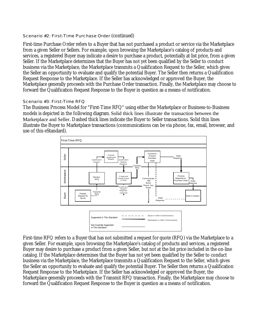#### Scenario #2: First-Time Purchase Order (continued)

First-time Purchase Order refers to a Buyer that has not purchased a product or service via the Marketplace from a given Seller or Sellers. For example, upon browsing the Marketplace's catalog of products and services, a registered Buyer may indicate a desire to purchase a product, potentially at list price, from a given Seller. If the Marketplace determines that the Buyer has not yet been qualified by the Seller to conduct business via the Marketplace, the Marketplace transmits a Qualification Request to the Seller, which gives the Seller an opportunity to evaluate and qualify the potential Buyer. The Seller then returns a Qualification Request Response to the Marketplace. If the Seller has acknowledged or approved the Buyer, the Marketplace generally proceeds with the Purchase Order transaction. Finally, the Marketplace may choose to forward the Qualification Request Response to the Buyer in question as a means of notification.

#### Scenario #3: First-Time RFQ

The Business Process Model for "First-Time RFQ" using either the Marketplace or Business-to-Business models is depicted in the following diagram. Solid thick lines illustrate the transaction between the Marketplace and Seller. Dashed thick lines indicate the Buyer to Seller transactions. Solid thin lines illustrate the Buyer to Marketplace transactions (communications can be via phone, fax, email, browser, and use of this eStandard).



First-time RFQ refers to a Buyer that has not submitted a request for quote (RFQ) via the Marketplace to a given Seller. For example, upon browsing the Marketplace's catalog of products and services, a registered Buyer may desire to purchase a product from a given Seller, but not at the list price included in the on-line catalog. If the Marketplace determines that the Buyer has not yet been qualified by the Seller to conduct business via the Marketplace, the Marketplace transmits a Qualification Request to the Seller, which gives the Seller an opportunity to evaluate and qualify the potential Buyer. The Seller then returns a Qualification Request Response to the Marketplace. If the Seller has acknowledged or approved the Buyer, the Marketplace generally proceeds with the Transmit RFQ transaction. Finally, the Marketplace may choose to forward the Qualification Request Response to the Buyer in question as a means of notification.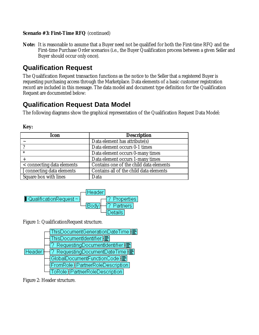#### **Scenario #3: First-Time RFQ** (continued)

**Note:** It is reasonable to assume that a Buyer need not be qualified for both the First-time RFQ and the First-time Purchase Order scenarios (i.e., the Buyer Qualification process between a given Seller and Buyer should occur only once).

### **Qualification Request**

The Qualification Request transaction functions as the notice to the Seller that a registered Buyer is requesting purchasing access through the Marketplace. Data elements of a basic customer registration record are included in this message. The data model and document type definition for the Qualification Request are documented below:

### **Qualification Request Data Model**

The following diagrams show the graphical representation of the Qualification Request Data Model:

| <b>Icon</b>                | <b>Description</b>                      |
|----------------------------|-----------------------------------------|
|                            | Data element has attribute(s)           |
|                            | Data element occurs 0-1 times           |
| $\ast$                     | Data element occurs 0-many times        |
|                            | Data element occurs 1-many times        |
| < connecting data elements | Contains one of the child data elements |
| [ connecting data elements | Contains all of the child data elements |
| Square box with lines      | Data                                    |





Figure 1: QualificationRequest structure.



Figure 2: Header structure.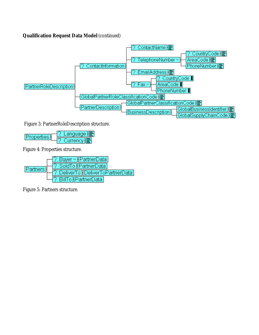#### **Qualification Request Data Model** (continued)



Figure 3: PartnerRoleDescription structure.

.anguage **∦** Properties Currency H

Figure 4: Properties structure.



Figure 5: Partners structure.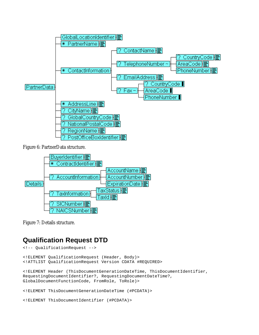

Figure 6: PartnerData structure.



Figure 7: Details structure.

### **Qualification Request DTD**

```
<!-- QualificationRequest -->
<!ELEMENT QualificationRequest (Header, Body)>
<!ATTLIST QualificationRequest Version CDATA #REQUIRED>
<!ELEMENT Header (ThisDocumentGenerationDateTime, ThisDocumentIdentifier,
RequestingDocumentIdentifier?, RequestingDocumentDateTime?,
GlobalDocumentFunctionCode, FromRole, ToRole)>
<!ELEMENT ThisDocumentGenerationDateTime (#PCDATA)>
<!ELEMENT ThisDocumentIdentifier (#PCDATA)>
```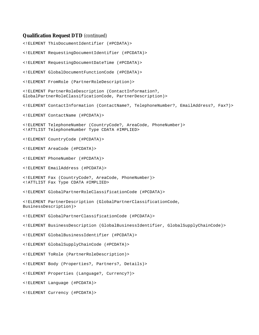#### **Qualification Request DTD** (continued)

<!ELEMENT ThisDocumentIdentifier (#PCDATA)> <!ELEMENT RequestingDocumentIdentifier (#PCDATA)> <!ELEMENT RequestingDocumentDateTime (#PCDATA)> <!ELEMENT GlobalDocumentFunctionCode (#PCDATA)> <!ELEMENT FromRole (PartnerRoleDescription)> <!ELEMENT PartnerRoleDescription (ContactInformation?, GlobalPartnerRoleClassificationCode, PartnerDescription)> <!ELEMENT ContactInformation (ContactName?, TelephoneNumber?, EmailAddress?, Fax?)> <!ELEMENT ContactName (#PCDATA)> <!ELEMENT TelephoneNumber (CountryCode?, AreaCode, PhoneNumber)> <!ATTLIST TelephoneNumber Type CDATA #IMPLIED> <!ELEMENT CountryCode (#PCDATA)> <!ELEMENT AreaCode (#PCDATA)> <!ELEMENT PhoneNumber (#PCDATA)> <!ELEMENT EmailAddress (#PCDATA)> <!ELEMENT Fax (CountryCode?, AreaCode, PhoneNumber)> <!ATTLIST Fax Type CDATA #IMPLIED> <!ELEMENT GlobalPartnerRoleClassificationCode (#PCDATA)> <!ELEMENT PartnerDescription (GlobalPartnerClassificationCode, BusinessDescription)> <!ELEMENT GlobalPartnerClassificationCode (#PCDATA)> <!ELEMENT BusinessDescription (GlobalBusinessIdentifier, GlobalSupplyChainCode)> <!ELEMENT GlobalBusinessIdentifier (#PCDATA)> <!ELEMENT GlobalSupplyChainCode (#PCDATA)> <!ELEMENT ToRole (PartnerRoleDescription)> <!ELEMENT Body (Properties?, Partners?, Details)> <!ELEMENT Properties (Language?, Currency?)> <!ELEMENT Language (#PCDATA)> <!ELEMENT Currency (#PCDATA)>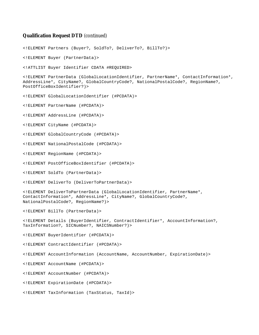#### **Qualification Request DTD** (continued)

<!ELEMENT Partners (Buyer?, SoldTo?, DeliverTo?, BillTo?)>

<!ELEMENT Buyer (PartnerData)>

<!ATTLIST Buyer Identifier CDATA #REQUIRED>

<!ELEMENT PartnerData (GlobalLocationIdentifier, PartnerName\*, ContactInformation\*, AddressLine\*, CityName?, GlobalCountryCode?, NationalPostalCode?, RegionName?, PostOfficeBoxIdentifier?)>

<!ELEMENT GlobalLocationIdentifier (#PCDATA)>

<!ELEMENT PartnerName (#PCDATA)>

<!ELEMENT AddressLine (#PCDATA)>

<!ELEMENT CityName (#PCDATA)>

<!ELEMENT GlobalCountryCode (#PCDATA)>

<!ELEMENT NationalPostalCode (#PCDATA)>

<!ELEMENT RegionName (#PCDATA)>

<!ELEMENT PostOfficeBoxIdentifier (#PCDATA)>

<!ELEMENT SoldTo (PartnerData)>

<!ELEMENT DeliverTo (DeliverToPartnerData)>

<!ELEMENT DeliverToPartnerData (GlobalLocationIdentifier, PartnerName\*, ContactInformation\*, AddressLine\*, CityName?, GlobalCountryCode?, NationalPostalCode?, RegionName?)>

<!ELEMENT BillTo (PartnerData)>

<!ELEMENT Details (BuyerIdentifier, ContractIdentifier\*, AccountInformation?, TaxInformation?, SICNumber?, NAICSNumber?)>

<!ELEMENT BuyerIdentifier (#PCDATA)>

<!ELEMENT ContractIdentifier (#PCDATA)>

<!ELEMENT AccountInformation (AccountName, AccountNumber, ExpirationDate)>

<!ELEMENT AccountName (#PCDATA)>

<!ELEMENT AccountNumber (#PCDATA)>

<!ELEMENT ExpirationDate (#PCDATA)>

<!ELEMENT TaxInformation (TaxStatus, TaxId)>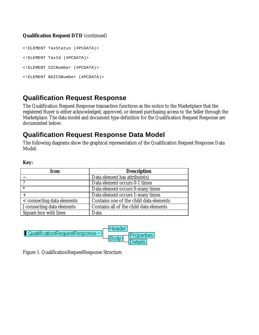#### **Qualification Request DTD** (continued)

<!ELEMENT TaxStatus (#PCDATA)> <!ELEMENT TaxId (#PCDATA)> <!ELEMENT SICNumber (#PCDATA)> <!ELEMENT NAICSNumber (#PCDATA)>

### **Qualification Request Response**

The Qualification Request Response transaction functions as the notice to the Marketplace that the registered Buyer is either acknowledged, approved, or denied purchasing access to the Seller through the Marketplace. The data model and document type definition for the Qualification Request Response are documented below:

### **Qualification Request Response Data Model**

The following diagrams show the graphical representation of the Qualification Request Response Data Model:

#### **Key:**

| Icon                       | <b>Description</b>                      |
|----------------------------|-----------------------------------------|
|                            | Data element has attribute(s)           |
|                            | Data element occurs 0-1 times           |
| $\ast$                     | Data element occurs 0-many times        |
|                            | Data element occurs 1-many times        |
| < connecting data elements | Contains one of the child data elements |
| [ connecting data elements | Contains all of the child data elements |
| Square box with lines      | Data                                    |



Figure 1: QualificationRequestResponse Structure.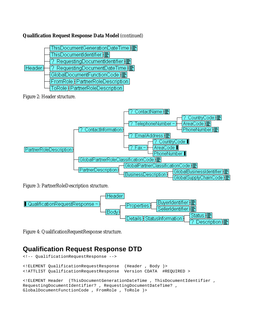#### **Qualification Request Response Data Model** (continued)



Figure 2: Header structure.



Figure 3: PartnerRoleDescription structure.



Figure 4: QualificationRequestResponse structure.

### **Qualification Request Response DTD**

```
<!-- QualificationRequestResponse -->
<!ELEMENT QualificationRequestResponse (Header , Body )>
<!ATTLIST QualificationRequestResponse Version CDATA #REQUIRED >
<!ELEMENT Header (ThisDocumentGenerationDateTime , ThisDocumentIdentifier ,
RequestingDocumentIdentifier? , RequestingDocumentDateTime? ,
GlobalDocumentFunctionCode , FromRole , ToRole )>
```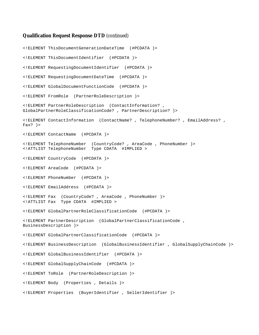#### **Qualification Request Response DTD** (continued)

<!ELEMENT ThisDocumentGenerationDateTime (#PCDATA )> <!ELEMENT ThisDocumentIdentifier (#PCDATA )> <!ELEMENT RequestingDocumentIdentifier (#PCDATA )> <!ELEMENT RequestingDocumentDateTime (#PCDATA )> <!ELEMENT GlobalDocumentFunctionCode (#PCDATA )> <!ELEMENT FromRole (PartnerRoleDescription )> <!ELEMENT PartnerRoleDescription (ContactInformation? , GlobalPartnerRoleClassificationCode? , PartnerDescription? )> <!ELEMENT ContactInformation (ContactName? , TelephoneNumber? , EmailAddress? , Fax? )> <!ELEMENT ContactName (#PCDATA )> <!ELEMENT TelephoneNumber (CountryCode? , AreaCode , PhoneNumber )> <!ATTLIST TelephoneNumber Type CDATA #IMPLIED > <!ELEMENT CountryCode (#PCDATA )> <!ELEMENT AreaCode (#PCDATA )> <!ELEMENT PhoneNumber (#PCDATA )> <!ELEMENT EmailAddress (#PCDATA )> <!ELEMENT Fax (CountryCode? , AreaCode , PhoneNumber )> <!ATTLIST Fax Type CDATA #IMPLIED > <!ELEMENT GlobalPartnerRoleClassificationCode (#PCDATA )> <!ELEMENT PartnerDescription (GlobalPartnerClassificationCode , BusinessDescription )> <!ELEMENT GlobalPartnerClassificationCode (#PCDATA )> <!ELEMENT BusinessDescription (GlobalBusinessIdentifier , GlobalSupplyChainCode )> <!ELEMENT GlobalBusinessIdentifier (#PCDATA )> <!ELEMENT GlobalSupplyChainCode (#PCDATA )> <!ELEMENT ToRole (PartnerRoleDescription )> <!ELEMENT Body (Properties , Details )> <!ELEMENT Properties (BuyerIdentifier , SellerIdentifier )>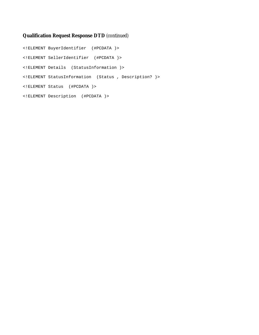#### **Qualification Request Response DTD** (continued)

<!ELEMENT BuyerIdentifier (#PCDATA )> <!ELEMENT SellerIdentifier (#PCDATA )> <!ELEMENT Details (StatusInformation )> <!ELEMENT StatusInformation (Status , Description? )> <!ELEMENT Status (#PCDATA )> <!ELEMENT Description (#PCDATA )>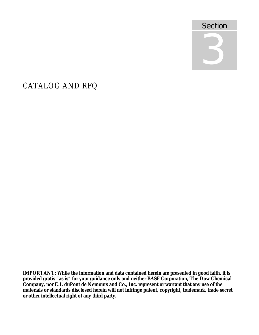

# CATALOG AND RFQ

**IMPORTANT: While the information and data contained herein are presented in good faith, it is provided gratis "as is" for your guidance only and neither BASF Corporation, The Dow Chemical Company, nor E.I. duPont de Nemours and Co., Inc. represent or warrant that any use of the materials or standards disclosed herein will not infringe patent, copyright, trademark, trade secret or other intellectual right of any third party.**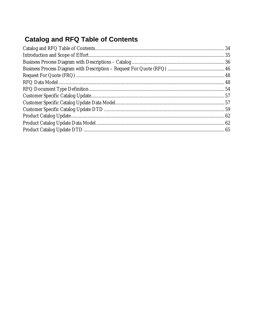# **Catalog and RFQ Table of Contents**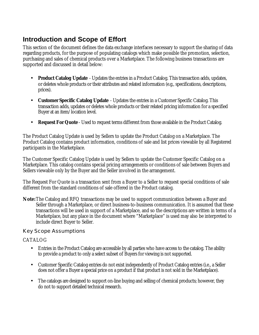### **Introduction and Scope of Effort**

This section of the document defines the data exchange interfaces necessary to support the sharing of data regarding products, for the purpose of populating catalogs which make possible the promotion, selection, purchasing and sales of chemical products over a Marketplace. The following business transactions are supported and discussed in detail below:

- **Product Catalog Update** Updates the entries in a Product Catalog. This transaction adds, updates, or deletes whole products or their attributes and related information (e.g., specifications, descriptions, prices).
- **Customer Specific Catalog Update** Updates the entries in a Customer Specific Catalog. This transaction adds, updates or deletes whole products or their related pricing information for a specified Buyer at an item/location level.
- **Request For Quote** Used to request terms different from those available in the Product Catalog.

The Product Catalog Update is used by Sellers to update the Product Catalog on a Marketplace. The Product Catalog contains product information, conditions of sale and list prices viewable by all Registered participants in the Marketplace.

The Customer Specific Catalog Update is used by Sellers to update the Customer Specific Catalog on a Marketplace. This catalog contains special pricing arrangements or conditions of sale between Buyers and Sellers viewable only by the Buyer and the Seller involved in the arrangement.

The Request For Quote is a transaction sent from a Buyer to a Seller to request special conditions of sale different from the standard conditions of sale offered in the Product catalog.

**Note:**The Catalog and RFQ transactions may be used to support communication between a Buyer and Seller through a Marketplace, or direct business-to-business communication. It is assumed that these transactions will be used in support of a Marketplace, and so the descriptions are written in terms of a Marketplace, but any place in the document where "Marketplace" is used may also be interpreted to include direct Buyer to Seller.

#### Key Scope Assumptions

#### CATALOG

- Entries in the Product Catalog are accessible by all parties who have access to the catalog. The ability to provide a product to only a select subset of Buyers for viewing is not supported.
- Customer Specific Catalog entries do not exist independently of Product Catalog entries (i.e., a Seller does not offer a Buyer a special price on a product if that product is not sold in the Marketplace).
- The catalogs are designed to support on-line buying and selling of chemical products; however, they do not to support detailed technical research.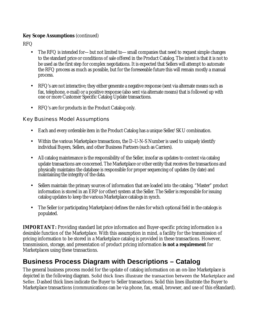#### **Key Scope Assumptions** (continued)

RFQ

- The RFQ is intended for—but not limited to—small companies that need to request simple changes to the standard price or conditions of sale offered in the Product Catalog. The intent is that it is not to be used as the first step for complex negotiations. It is expected that Sellers will attempt to automate the RFQ process as much as possible, but for the foreseeable future this will remain mostly a manual process.
- RFQ's are not interactive; they either generate a negative response (sent via alternate means such as fax, telephone, e-mail) or a positive response (also sent via alternate means) that is followed up with one or more Customer Specific Catalog Update transactions.
- RFQ's are for products in the Product Catalog only.

#### Key Business Model Assumptions

- Each and every orderable item in the Product Catalog has a unique Seller/SKU combination.
- Within the various Marketplace transactions, the D-U-N-S Number is used to uniquely identify individual Buyers, Sellers, and other Business Partners (such as Carriers).
- All catalog maintenance is the responsibility of the Seller, insofar as updates to content via catalog update transactions are concerned. The Marketplace or other entity that receives the transactions and physically maintains the database is responsible for proper sequencing of updates (by date) and maintaining the integrity of the data.
- Sellers maintain the primary sources of information that are loaded into the catalog. "Master" product information is stored in an ERP (or other) system at the Seller. The Seller is responsible for issuing catalog updates to keep the various Marketplace catalogs in synch.
- The Seller (or participating Marketplace) defines the rules for which optional field in the catalogs is populated.

**IMPORTANT:** Providing standard list price information and Buyer-specific pricing information is a desirable function of the Marketplace. With this assumption in mind, a facility for the transmission of pricing information to be stored in a Marketplace catalog is provided in these transactions. However, transmission, storage, and presentation of product pricing information **is not a requirement** for Marketplaces using these transactions.

### **Business Process Diagram with Descriptions – Catalog**

The general business process model for the update of catalog information on an on-line Marketplace is depicted in the following diagram. Solid thick lines illustrate the transaction between the Marketplace and Seller. Dashed thick lines indicate the Buyer to Seller transactions. Solid thin lines illustrate the Buyer to Marketplace transactions (communications can be via phone, fax, email, browser, and use of this eStandard).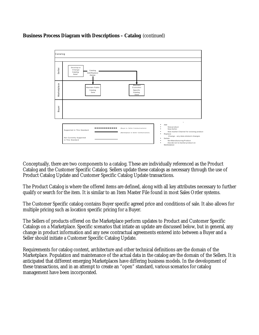### **Business Process Diagram with Descriptions – Catalog** (continued)



Conceptually, there are two components to a catalog. These are individually referenced as the Product Catalog and the Customer Specific Catalog. Sellers update these catalogs as necessary through the use of Product Catalog Update and Customer Specific Catalog Update transactions.

The Product Catalog is where the offered items are defined, along with all key attributes necessary to further qualify or search for the item. It is similar to an Item Master File found in most Sales Order systems.

The Customer Specific catalog contains Buyer specific agreed price and conditions of sale. It also allows for multiple pricing such as location specific pricing for a Buyer.

The Sellers of products offered on the Marketplace perform updates to Product and Customer Specific Catalogs on a Marketplace. Specific scenarios that intiate an update are discussed below, but in general, any change in product information and any new contractual agreements entered into between a Buyer and a Seller should initiate a Customer Specific Catalog Update.

Requirements for catalog content, architecture and other technical definitions are the domain of the Marketplace. Population and maintenance of the actual data in the catalog are the domain of the Sellers. It is anticipated that different emerging Marketplaces have differing business models. In the development of these transactions, and in an attempt to create an "open" standard, various scenarios for catalog management have been incorporated.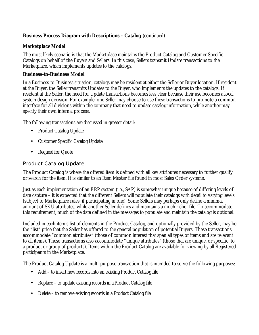# **Business Process Diagram with Descriptions – Catalog** (continued)

### **Marketplace Model**

The most likely scenario is that the Marketplace maintains the Product Catalog and Customer Specific Catalogs on behalf of the Buyers and Sellers. In this case, Sellers transmit Update transactions to the Marketplace, which implements updates to the catalogs.

### **Business-to-Business Model**

In a Business-to-Business situation, catalogs may be resident at either the Seller or Buyer location. If resident at the Buyer, the Seller transmits Updates to the Buyer, who implements the updates to the catalogs. If resident at the Seller, the need for Update transactions becomes less clear because their use becomes a local system design decision. For example, one Seller may choose to use these transactions to promote a common interface for all divisions within the company that need to update catalog information, while another may specify their own internal process.

The following transactions are discussed in greater detail:

- Product Catalog Update
- Customer Specific Catalog Update
- Request for Quote

# Product Catalog Update

The Product Catalog is where the offered item is defined with all key attributes necessary to further qualify or search for the item. It is similar to an Item Master file found in most Sales Order systems.

Just as each implementation of an ERP system (i.e., SAP) is somewhat unique because of differing levels of data capture – it is expected that the different Sellers will populate their catalogs with detail to varying levels (subject to Marketplace rules, if participating in one). Some Sellers may perhaps only define a minimal amount of SKU attributes, while another Seller defines and maintains a much richer file. To accommodate this requirement, much of the data defined in the messages to populate and maintain the catalog is optional.

Included in each item's list of elements in the Product Catalog, and optionally provided by the Seller, may be the "list" price that the Seller has offered to the general population of potential Buyers. These transactions accommodate "common attributes" (those of common interest that span all types of items and are relevant to all items). These transactions also accommodate "unique attributes" (those that are unique, or specific, to a product or group of products). Items within the Product Catalog are available for viewing by all Registered participants in the Marketplace.

The Product Catalog Update is a multi-purpose transaction that is intended to serve the following purposes:

- Add to insert new records into an existing Product Catalog file
- Replace to update existing records in a Product Catalog file
- Delete to remove existing records in a Product Catalog file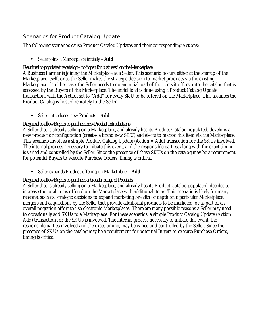# Scenarios for Product Catalog Update

The following scenarios cause Product Catalog Updates and their corresponding Actions:

## • Seller joins a Marketplace initially – **Add**

### *Required to populate the catalog – to "open for business" on the Marketplace*

A Business Partner is joining the Marketplace as a Seller. This scenario occurs either at the startup of the Marketplace itself, or as the Seller makes the strategic decision to market products via the existing Marketplace. In either case, the Seller needs to do an initial load of the items it offers onto the catalog that is accessed by the Buyers of the Marketplace. The initial load is done using a Product Catalog Update transaction, with the Action set to "Add" for every SKU to be offered on the Marketplace. This assumes the Product Catalog is hosted remotely to the Seller.

• Seller introduces new Products – **Add**

## *Required to allow Buyers to purchase new Product introductions*

A Seller that is already selling on a Marketplace, and already has its Product Catalog populated, develops a new product or configuration (creates a brand new SKU) and elects to market this item via the Marketplace. This scenario involves a simple Product Catalog Update (Action = Add) transaction for the SKUs involved. The internal process necessary to initiate this event, and the responsible parties, along with the exact timing, is varied and controlled by the Seller. Since the presence of these SKUs on the catalog may be a requirement for potential Buyers to execute Purchase Orders, timing is critical.

• Seller expands Product offering on Marketplace – **Add**

# *Required to allow Buyers to purchase a broader range of Products*

A Seller that is already selling on a Marketplace, and already has its Product Catalog populated, decides to increase the total items offered on the Marketplace with additional items. This scenario is likely for many reasons, such as, strategic decisions to expand marketing breadth or depth on a particular Marketplace, mergers and acquisitions by the Seller that provide additional products to be marketed, or as part of an overall migration effort to use electronic Marketplaces. There are many possible reasons a Seller may need to occasionally add SKUs to a Marketplace. For these scenarios, a simple Product Catalog Update (Action = Add) transaction for the SKUs is involved. The internal process necessary to initiate this event, the responsible parties involved and the exact timing, may be varied and controlled by the Seller. Since the presence of SKUs on the catalog may be a requirement for potential Buyers to execute Purchase Orders, timing is critical.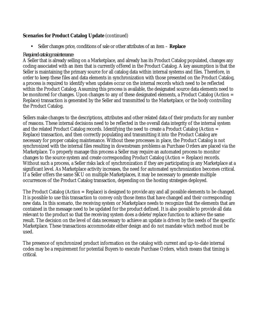## **Scenarios for Product Catalog Update** (continued)

• Seller changes price, conditions of sale or other attributes of an item – **Replace**

### *Required catalog maintenance*

A Seller that is already selling on a Marketplace, and already has its Product Catalog populated, changes any coding associated with an item that is currently offered in the Product Catalog. A key assumption is that the Seller is maintaining the primary source for all catalog data within internal systems and files. Therefore, in order to keep these files and data elements in synchronization with those presented on the Product Catalog, a process is required to identify when updates occur on the internal records which need to be reflected within the Product Catalog. Assuming this process is available, the designated source data elements need to be monitored for changes. Upon changes to any of these designated elements, a Product Catalog (Action = Replace) transaction is generated by the Seller and transmitted to the Marketplace, or the body controlling the Product Catalog.

Sellers make changes to the descriptions, attributes and other related data of their products for any number of reasons. These internal decisions need to be reflected in the overall data integrity of the internal system and the related Product Catalog records. Identifying the need to create a Product Catalog (Action = Replace) transaction, and then correctly populating and transmitting it into the Product Catalog are necessary for proper catalog maintenance. Without these processes in place, the Product Catalog is not synchronized with the internal files resulting in downstream problems as Purchase Orders are placed via the Marketplace. To properly manage this process a Seller may require an automated process to monitor changes to the source system and create corresponding Product Catalog (Action = Replace) records. Without such a process, a Seller risks lack of synchronization if they are participating in any Marketplace at a significant level. As Marketplace activity increases, the need for automated synchronization becomes critical. If a Seller offers the same SKU on multiple Marketplaces, it may be necessary to generate multiple occurrences of the Product Catalog transaction, depending on the hosting strategies deployed.

The Product Catalog (Action = Replace) is designed to provide any and all possible elements to be changed. It is possible to use this transaction to convey only those items that have changed and their corresponding new data. In this scenario, the receiving system or Marketplace needs to recognize that the elements that are contained in the message need to be updated for the product defined. It is also possible to provide all data relevant to the product so that the receiving system does a delete/replace function to achieve the same result. The decision on the level of data necessary to achieve an update is driven by the needs of the specific Marketplace. These transactions accommodate either design and do not mandate which method must be used.

The presence of synchronized product information on the catalog with current and up-to-date internal codes may be a requirement for potential Buyers to execute Purchase Orders, which means that timing is critical.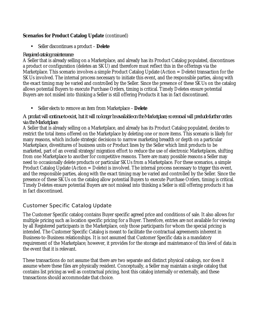## **Scenarios for Product Catalog Update** (continued)

• Seller discontinues a product – **Delete**

#### *Required catalog maintenance*

A Seller that is already selling on a Marketplace, and already has its Product Catalog populated, discontinues a product or configuration (deletes an SKU) and therefore must reflect this in the offerings via the Marketplace. This scenario involves a simple Product Catalog Update (Action = Delete) transaction for the SKUs involved. The internal process necessary to initiate this event, and the responsible parties, along with the exact timing may be varied and controlled by the Seller. Since the presence of these SKUs on the catalog allows potential Buyers to execute Purchase Orders, timing is critical. Timely Deletes ensure potential Buyers are not misled into thinking a Seller is still offering Products it has in fact discontinued.

• Seller elects to remove an item from Marketplace – **Delete**

#### *A product will continue to exist, but it will no longer be available on the Marketplace, so removal will preclude further orders via the Marketplace.*

A Seller that is already selling on a Marketplace, and already has its Product Catalog populated, decides to restrict the total items offered on the Marketplace by deleting one or more items. This scenario is likely for many reasons, which include strategic decisions to narrow marketing breadth or depth on a particular Marketplace, divestitures of business units or Product lines by the Seller which limit products to be marketed, part of an overall strategy/migration effort to reduce the use of electronic Marketplaces, shifting from one Marketplace to another for competitive reasons. There are many possible reasons a Seller may need to occasionally delete products or particular SKUs from a Marketplace. For these scenarios, a simple Product Catalog Update (Action = Delete) is involved. The internal process necessary to trigger this event, and the responsible parties, along with the exact timing may be varied and controlled by the Seller. Since the presence of these SKUs on the catalog allow potential Buyers to execute Purchase Orders, timing is critical. Timely Deletes ensure potential Buyers are not mislead into thinking a Seller is still offering products it has in fact discontinued.

# Customer Specific Catalog Update

The Customer Specific catalog contains Buyer specific agreed price and conditions of sale. It also allows for multiple pricing such as location specific pricing for a Buyer. Therefore, entries are not available for viewing by all Registered participants in the Marketplace, only those participants for whom the special pricing is intended. The Customer Specific Catalog is meant to facilitate the contractual agreements inherent in Business-to-Business relationships. It is not assumed that Customer Specific data is a mandatory requirement of the Marketplace; however, it provides for the storage and maintenance of this level of data in the event that it is relevant.

These transactions do not assume that there are two separate and distinct physical catalogs, nor does it assume where these files are physically resident. Conceptually, a Seller may maintain a single catalog that contains list pricing as well as contractual pricing, host this catalog internally or externally, and these transactions should accommodate that choice.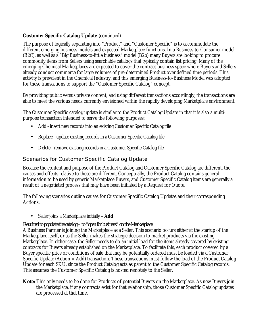# **Customer Specific Catalog Update** (continued)

The purpose of logically separating into "Product" and "Customer Specific" is to accommodate the different emerging business models and expected Marketplace functions. In a Business-to-Consumer model (B2C), as well as a "Big Business-to-little business" model (B2b) many Buyers are looking to procure commodity items from Sellers using searchable catalogs that typically contain list pricing. Many of the emerging Chemical Marketplaces are expected to cover the contract business space where Buyers and Sellers already conduct commerce for large volumes of pre-determined Product over defined time periods. This activity is prevalent in the Chemical Industry, and this emerging Business-to-Business Model was adopted for these transactions to support the "Customer Specific Catalog" concept.

By providing public versus private content, and using different transactions accordingly, the transactions are able to meet the various needs currently envisioned within the rapidly developing Marketplace environment.

The Customer Specific catalog update is similar to the Product Catalog Update in that it is also a multipurpose transaction intended to serve the following purposes:

- Add –insert new records into an existing Customer Specific Catalog file
- Replace –update existing records in a Customer Specific Catalog file
- Delete –remove existing records in a Customer Specific Catalog file

# Scenarios for Customer Specific Catalog Update

Because the content and purpose of the Product Catalog and Customer Specific Catalog are different, the causes and effects relative to these are different. Conceptually, the Product Catalog contains general information to be used by generic Marketplace Buyers, and Customer Specific Catalog items are generally a result of a negotiated process that may have been initiated by a Request for Quote.

The following scenarios outline causes for Customer Specific Catalog Updates and their corresponding Actions:

• Seller joins a Marketplace initially – **Add**

# *Required to populate the catalog – to "open for business" on the Marketplace*

A Business Partner is joining the Marketplace as a Seller. This scenario occurs either at the startup of the Marketplace itself, or as the Seller makes the strategic decision to market products via the existing Marketplace. In either case, the Seller needs to do an initial load for the items already covered by existing contracts for Buyers already established on the Marketplace. To facilitate this, each product covered by a Buyer specific price or conditions of sale that may be potentially ordered must be loaded via a Customer Specific Update (Action = Add) transaction. These transactions must follow the load of the Product Catalog Update for each SKU, since the Product Catalog acts as parent to the Customer Specific Catalog records. This assumes the Customer Specific Catalog is hosted remotely to the Seller.

**Note:** This only needs to be done for Products of potential Buyers on the Marketplace. As new Buyers join the Marketplace, if any contracts exist for that relationship, those Customer Specific Catalog updates are processed at that time.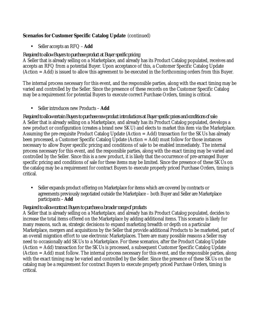# **Scenarios for Customer Specific Catalog Update** (continued)

• Seller accepts an RFQ – **Add**

#### *Required to allow Buyers to purchase product at Buyer specific pricing*

A Seller that is already selling on a Marketplace, and already has its Product Catalog populated, receives and accepts an RFQ from a potential Buyer. Upon acceptance of this, a Customer Specific Catalog Update (Action = Add) is issued to allow this agreement to be executed in the forthcoming orders from this Buyer.

The internal process necessary for this event, and the responsible parties, along with the exact timing may be varied and controlled by the Seller. Since the presence of these records on the Customer Specific Catalog may be a requirement for potential Buyers to execute correct Purchase Orders, timing is critical.

#### • Seller introduces new Products – **Add**

*Required to allow certain Buyers to purchase new product introductions at Buyer specific prices and conditions of sale.* A Seller that is already selling on a Marketplace, and already has its Product Catalog populated, develops a new product or configuration (creates a brand new SKU) and elects to market this item via the Marketplace. Assuming the pre-requisite Product Catalog Update (Action = Add) transaction for the SKUs has already been processed, a Customer Specific Catalog Update (Action = Add) must follow for those instances necessary to allow Buyer specific pricing and conditions of sale to be enabled immediately. The internal process necessary for this event, and the responsible parties, along with the exact timing may be varied and controlled by the Seller. Since this is a new product, it is likely that the occurrence of pre-arranged Buyer specific pricing and conditions of sale for these items may be limited. Since the presence of these SKUs on the catalog may be a requirement for contract Buyers to execute properly priced Purchase Orders, timing is critical.

• Seller expands product offering on Marketplace for items which are covered by contracts or agreements previously negotiated outside the Marketplace – both Buyer and Seller are Marketplace participants – **Add**

### *Required to allow contract Buyers to purchase a broader range of products*

A Seller that is already selling on a Marketplace, and already has its Product Catalog populated, decides to increase the total items offered on the Marketplace by adding additional items. This scenario is likely for many reasons, such as, strategic decisions to expand marketing breadth or depth on a particular Marketplace, mergers and acquisitions by the Seller that provide additional Products to be marketed, part of an overall migration effort to use electronic Marketplaces. There are many possible reasons a Seller may need to occasionally add SKUs to a Marketplace. For these scenarios, after the Product Catalog Update (Action = Add) transaction for the SKUs is processed, a subsequent Customer Specific Catalog Update (Action = Add) must follow. The internal process necessary for this event, and the responsible parties, along with the exact timing may be varied and controlled by the Seller. Since the presence of these SKUs on the catalog may be a requirement for contract Buyers to execute properly priced Purchase Orders, timing is critical.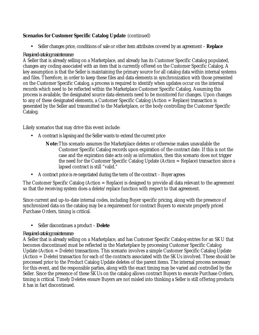# **Scenarios for Customer Specific Catalog Update** (continued)

• Seller changes price, conditions of sale or other item attributes covered by an agreement – **Replace**

### *Required catalog maintenance*

A Seller that is already selling on a Marketplace, and already has its Customer Specific Catalog populated, changes any coding associated with an item that is currently offered on the Customer Specific Catalog. A key assumption is that the Seller is maintaining the primary source for all catalog data within internal systems and files. Therefore, in order to keep these files and data elements in synchronization with those presented on the Customer Specific Catalog, a process is required to identify when updates occur on the internal records which need to be reflected within the Marketplace Customer Specific Catalog. Assuming this process is available, the designated source data elements need to be monitored for changes. Upon changes to any of these designated elements, a Customer Specific Catalog (Action = Replace) transaction is generated by the Seller and transmitted to the Marketplace, or the body controlling the Customer Specific Catalog.

Likely scenarios that may drive this event include:

- A contract is lapsing and the Seller wants to extend the current price
	- **Note:**This scenario assumes the Marketplace deletes or otherwise makes unavailable the Customer Specific Catalog records upon expiration of the contract date. If this is not the case and the expiration date acts only as information, then this scenario does not trigger the need for the Customer Specific Catalog Update (Action = Replace) transaction since a lapsed contract is still "valid."
- A contract price is re-negotiated during the term of the contract Buyer agrees

The Customer Specific Catalog (Action = Replace) is designed to provide all data relevant to the agreement so that the receiving system does a delete/replace function with respect to that agreement.

Since current and up-to-date internal codes, including Buyer specific pricing, along with the presence of synchronized data on the catalog may be a requirement for contract Buyers to execute properly priced Purchase Orders, timing is critical.

• Seller discontinues a product – **Delete**

### *Required catalog maintenance*

A Seller that is already selling on a Marketplace, and has Customer Specific Catalog entries for an SKU that becomes discontinued must be reflected in the Marketplace by processing Customer Specific Catalog Update (Action = Delete) transactions. This scenario involves a simple Customer Specific Catalog Update (Action = Delete) transaction for each of the contracts associated with the SKUs involved. These should be processed prior to the Product Catalog Update deletes of the parent items. The internal process necessary for this event, and the responsible parties, along with the exact timing may be varied and controlled by the Seller. Since the presence of these SKUs on the catalog allows contract Buyers to execute Purchase Orders, timing is critical. Timely Deletes ensure Buyers are not misled into thinking a Seller is still offering products it has in fact discontinued.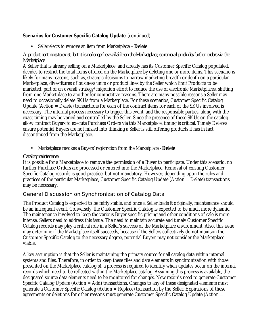# **Scenarios for Customer Specific Catalog Update** (continued)

• Seller elects to remove an item from Marketplace – **Delete**

### *A product continues to exist, but it is no longer be available on the Marketplace, so removal precludes further orders via the Marketplace*

A Seller that is already selling on a Marketplace, and already has its Customer Specific Catalog populated, decides to restrict the total items offered on the Marketplace by deleting one or more items. This scenario is likely for many reasons, such as, strategic decisions to narrow marketing breadth or depth on a particular Marketplace, divestitures of business units or product lines by the Seller which limit Products to be marketed, part of an overall strategy/migration effort to reduce the use of electronic Marketplaces, shifting from one Marketplace to another for competitive reasons. There are many possible reasons a Seller may need to occasionally delete SKUs from a Marketplace. For these scenarios, Customer Specific Catalog Update (Action = Delete) transactions for each of the contract items for each of the SKUs involved is necessary. The internal process necessary to trigger this event, and the responsible parties, along with the exact timing may be varied and controlled by the Seller. Since the presence of these SKUs on the catalog allow contract Buyers to execute Purchase Orders via this Marketplace, timing is critical. Timely Deletes ensure potential Buyers are not misled into thinking a Seller is still offering products it has in fact discontinued from the Marketplace.

• Marketplace revokes a Buyers' registration from the Marketplace - **Delete**

### *Catalog maintenance*

It is possible for a Marketplace to remove the permission of a Buyer to participate. Under this scenario, no further Purchase Orders are processed or entered into the Marketplace. Removal of existing Customer Specific Catalog records is good practice, but not mandatory. However, depending upon the rules and practices of the particular Marketplace, Customer Specific Catalog Update (Action = Delete) transactions may be necessary.

# General Discussion on Synchronization of Catalog Data

The Product Catalog is expected to be fairly stable, and once a Seller loads it originally, maintenance should be an infrequent event. Conversely, the Customer Specific Catalog is expected to be much more dynamic. The maintenance involved to keep the various Buyer specific pricing and other conditions of sale is more intense. Sellers need to address this issue. The need to maintain accurate and timely Customer Specific Catalog records may play a critical role in a Seller's success of the Marketplace environment. Also, this issue may determine if the Marketplace itself succeeds, because if the Sellers collectively do not maintain the Customer Specific Catalog to the necessary degree, potential Buyers may not consider the Marketplace viable.

A key assumption is that the Seller is maintaining the primary source for all catalog data within internal systems and files. Therefore, in order to keep these files and data elements in synchronization with those presented on the Marketplace catalog(s), a process is required to identify when updates occur on the internal records which need to be reflected within the Marketplace catalog. Assuming this process is available, the designated source data elements need to be monitored for changes. New records need to generate Customer Specific Catalog Update (Action = Add) transactions. Changes to any of these designated elements must generate a Customer Specific Catalog (Action = Replace) transaction by the Seller. Expirations of these agreements or deletions for other reasons must generate Customer Specific Catalog Update (Action =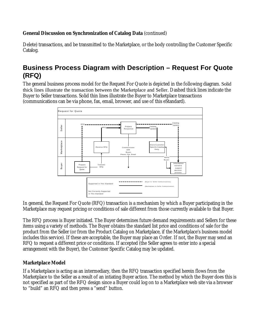# **General Discussion on Synchronization of Catalog Data** (continued)

Delete) transactions, and be transmitted to the Marketplace, or the body controlling the Customer Specific Catalog.

# **Business Process Diagram with Description – Request For Quote (RFQ)**

The general business process model for the Request For Quote is depicted in the following diagram. Solid thick lines illustrate the transaction between the Marketplace and Seller. Dashed thick lines indicate the Buyer to Seller transactions. Solid thin lines illustrate the Buyer to Marketplace transactions (communications can be via phone, fax, email, browser, and use of this eStandard).



In general, the Request For Quote (RFQ) transaction is a mechanism by which a Buyer participating in the Marketplace may request pricing or conditions of sale different from those currently available to that Buyer.

The RFQ process is Buyer initiated. The Buyer determines future demand requirements and Sellers for these items using a variety of methods. The Buyer obtains the standard list price and conditions of sale for the product from the Seller (or from the Product Catalog on Marketplace, if the Marketplace's business model includes this service). If these are acceptable, the Buyer may place an Order. If not, the Buyer may send an RFQ to request a different price or conditions. If accepted (the Seller agrees to enter into a special arrangement with the Buyer), the Customer Specific Catalog may be updated.

# **Marketplace Model**

If a Marketplace is acting as an intermediary, then the RFQ transaction specified herein flows from the Marketplace to the Seller as a result of an intiating Buyer action. The method by which the Buyer does this is not specified as part of the RFQ design since a Buyer could log on to a Marketplace web site via a browser to "build" an RFQ and then press a "send" button.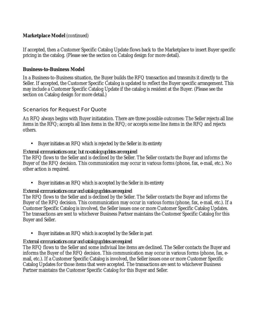# **Marketplace Model** (continued)

If accepted, then a Customer Specific Catalog Update flows back to the Marketplace to insert Buyer specific pricing in the catalog. (Please see the section on Catalog design for more detail).

# **Business-to-Business Model**

In a Business-to-Business situation, the Buyer builds the RFQ transaction and transmits it directly to the Seller. If accepted, the Customer Specific Catalog is updated to reflect the Buyer specific arrangement. This may include a Customer Specific Catalog Update if the catalog is resident at the Buyer. (Please see the section on Catalog design for more detail.)

# Scenarios for Request For Quote

An RFQ always begins with Buyer initiatation. There are three possible outcomes: The Seller rejects all line items in the RFQ; accepts all lines items in the RFQ; or accepts some line items in the RFQ and rejects others.

• Buyer initiates an RFQ which is rejected by the Seller in its entirety

### *External communications occur, but no catalog updates are required*

The RFQ flows to the Seller and is declined by the Seller. The Seller contacts the Buyer and informs the Buyer of the RFQ decision. This communication may occur in various forms (phone, fax, e-mail, etc.). No other action is required.

• Buyer initiates an RFQ which is accepted by the Seller in its entirety

# *External communications occur and catalog updates are required*

The RFQ flows to the Seller and is declined by the Seller. The Seller contacts the Buyer and informs the Buyer of the RFQ decision. This communication may occur in various forms (phone, fax, e-mail, etc.). If a Customer Specific Catalog is involved, the Seller issues one or more Customer Specific Catalog Updates. The transactions are sent to whichever Business Partner maintains the Customer Specific Catalog for this Buyer and Seller.

• Buyer initiates an RFQ which is accepted by the Seller in part

# *External communications occur and catalog updates are required*

The RFQ flows to the Seller and some indiviual line items are declined. The Seller contacts the Buyer and informs the Buyer of the RFQ decision. This communication may occur in various forms (phone, fax, email, etc.). If a Customer Specific Catalog is involved, the Seller issues one or more Customer Specific Catalog Updates for those items that were accepted. The transactions are sent to whichever Business Partner maintains the Customer Specific Catalog for this Buyer and Seller.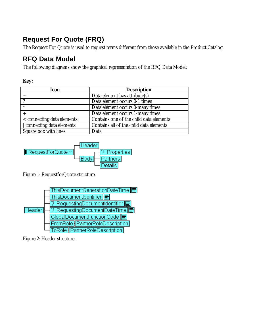# **Request For Quote (FRQ)**

The Request For Quote is used to request terms different from those available in the Product Catalog.

# **RFQ Data Model**

The following diagrams show the graphical representation of the RFQ Data Model:

| Icon                       | <b>Description</b>                      |
|----------------------------|-----------------------------------------|
|                            | Data element has attribute(s)           |
|                            | Data element occurs 0-1 times           |
| $\ast$                     | Data element occurs 0-many times        |
|                            | Data element occurs 1-many times        |
| < connecting data elements | Contains one of the child data elements |
| [ connecting data elements | Contains all of the child data elements |
| Square box with lines      | Data                                    |



Figure 1: RequestforQuote structure.



Figure 2: Header structure.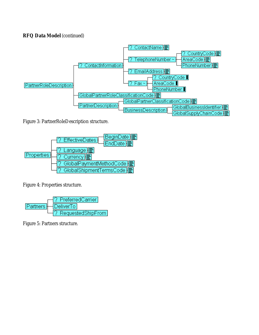

Figure 3: PartnerRoleDescription structure.



Figure 4: Properties structure.



Figure 5: Partners structure.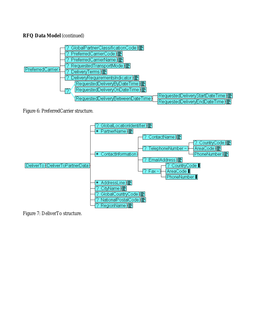

Figure 6: PreferredCarrier structure.



Figure 7: DeliverTo structure.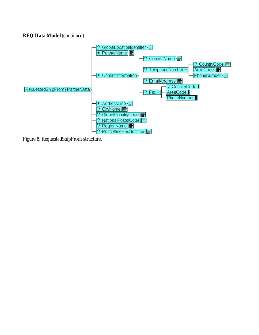

Figure 8: RequestedShipFrom structure.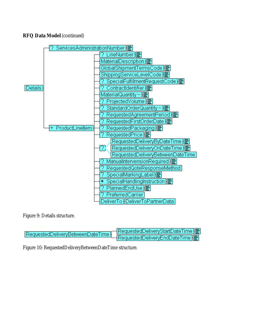

Figure 9: Details structure.

| requestedDeliveryBetweenDateTime RequestedDeliveryEndDateTime | ן <del>⊒</del>  RequestedDeliveryStartDateTime |
|---------------------------------------------------------------|------------------------------------------------|
|                                                               |                                                |

Figure 10: RequestedDeliveryBetweenDateTime structure.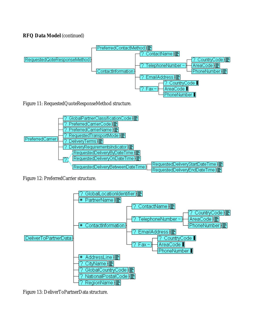

Figure 11: RequestedQuoteResponseMethod structure.



Figure 12: PreferredCarrier structure.



Figure 13: DeliverToPartnerData structure.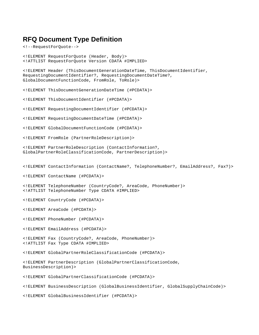# **RFQ Document Type Definition**

```
<!--RequestForQuote-->
```
<!ELEMENT RequestForQuote (Header, Body)> <!ATTLIST RequestForQuote Version CDATA #IMPLIED> <!ELEMENT Header (ThisDocumentGenerationDateTime, ThisDocumentIdentifier, RequestingDocumentIdentifier?, RequestingDocumentDateTime?, GlobalDocumentFunctionCode, FromRole, ToRole)> <!ELEMENT ThisDocumentGenerationDateTime (#PCDATA)> <!ELEMENT ThisDocumentIdentifier (#PCDATA)> <!ELEMENT RequestingDocumentIdentifier (#PCDATA)> <!ELEMENT RequestingDocumentDateTime (#PCDATA)> <!ELEMENT GlobalDocumentFunctionCode (#PCDATA)> <!ELEMENT FromRole (PartnerRoleDescription)> <!ELEMENT PartnerRoleDescription (ContactInformation?, GlobalPartnerRoleClassificationCode, PartnerDescription)> <!ELEMENT ContactInformation (ContactName?, TelephoneNumber?, EmailAddress?, Fax?)> <!ELEMENT ContactName (#PCDATA)> <!ELEMENT TelephoneNumber (CountryCode?, AreaCode, PhoneNumber)> <!ATTLIST TelephoneNumber Type CDATA #IMPLIED> <!ELEMENT CountryCode (#PCDATA)> <!ELEMENT AreaCode (#PCDATA)> <!ELEMENT PhoneNumber (#PCDATA)> <!ELEMENT EmailAddress (#PCDATA)> <!ELEMENT Fax (CountryCode?, AreaCode, PhoneNumber)> <!ATTLIST Fax Type CDATA #IMPLIED> <!ELEMENT GlobalPartnerRoleClassificationCode (#PCDATA)> <!ELEMENT PartnerDescription (GlobalPartnerClassificationCode, BusinessDescription)> <!ELEMENT GlobalPartnerClassificationCode (#PCDATA)> <!ELEMENT BusinessDescription (GlobalBusinessIdentifier, GlobalSupplyChainCode)>

<!ELEMENT GlobalBusinessIdentifier (#PCDATA)>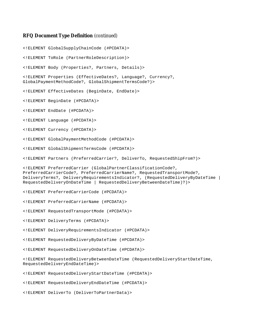#### **RFQ Document Type Definition** (continued)

<!ELEMENT DeliverTo (DeliverToPartnerData)>

<!ELEMENT GlobalSupplyChainCode (#PCDATA)> <!ELEMENT ToRole (PartnerRoleDescription)> <!ELEMENT Body (Properties?, Partners, Details)> <!ELEMENT Properties (EffectiveDates?, Language?, Currency?, GlobalPaymentMethodCode?, GlobalShipmentTermsCode?)> <!ELEMENT EffectiveDates (BeginDate, EndDate)> <!ELEMENT BeginDate (#PCDATA)> <!ELEMENT EndDate (#PCDATA)> <!ELEMENT Language (#PCDATA)> <!ELEMENT Currency (#PCDATA)> <!ELEMENT GlobalPaymentMethodCode (#PCDATA)> <!ELEMENT GlobalShipmentTermsCode (#PCDATA)> <!ELEMENT Partners (PreferredCarrier?, DeliverTo, RequestedShipFrom?)> <!ELEMENT PreferredCarrier (GlobalPartnerClassificationCode?, PreferredCarrierCode?, PreferredCarrierName?, RequestedTransportMode?, DeliveryTerms?, DeliveryRequirementsIndicator?, (RequestedDeliveryByDateTime | RequestedDeliveryOnDateTime | RequestedDeliveryBetweenDateTime)?)> <!ELEMENT PreferredCarrierCode (#PCDATA)> <!ELEMENT PreferredCarrierName (#PCDATA)> <!ELEMENT RequestedTransportMode (#PCDATA)> <!ELEMENT DeliveryTerms (#PCDATA)> <!ELEMENT DeliveryRequirementsIndicator (#PCDATA)> <!ELEMENT RequestedDeliveryByDateTime (#PCDATA)> <!ELEMENT RequestedDeliveryOnDateTime (#PCDATA)> <!ELEMENT RequestedDeliveryBetweenDateTime (RequestedDeliveryStartDateTime, RequestedDeliveryEndDateTime)> <!ELEMENT RequestedDeliveryStartDateTime (#PCDATA)> <!ELEMENT RequestedDeliveryEndDateTime (#PCDATA)>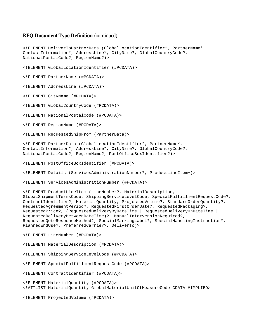#### **RFQ Document Type Definition** (continued)

<!ELEMENT DeliverToPartnerData (GlobalLocationIdentifier?, PartnerName\*, ContactInformation\*, AddressLine\*, CityName?, GlobalCountryCode?, NationalPostalCode?, RegionName?)> <!ELEMENT GlobalLocationIdentifier (#PCDATA)> <!ELEMENT PartnerName (#PCDATA)> <!ELEMENT AddressLine (#PCDATA)> <!ELEMENT CityName (#PCDATA)> <!ELEMENT GlobalCountryCode (#PCDATA)> <!ELEMENT NationalPostalCode (#PCDATA)> <!ELEMENT RegionName (#PCDATA)> <!ELEMENT RequestedShipFrom (PartnerData)> <!ELEMENT PartnerData (GlobalLocationIdentifier?, PartnerName\*, ContactInformation\*, AddressLine\*, CityName?, GlobalCountryCode?, NationalPostalCode?, RegionName?, PostOfficeBoxIdentifier?)> <!ELEMENT PostOfficeBoxIdentifier (#PCDATA)> <!ELEMENT Details (ServicesAdministrationNumber?, ProductLineItem+)> <!ELEMENT ServicesAdministrationNumber (#PCDATA)> <!ELEMENT ProductLineItem (LineNumber?, MaterialDescription, GlobalShipmentTermsCode, ShippingServiceLevelCode, SpecialFulfillmentRequestCode?, ContractIdentifier?, MaterialQuantity, ProjectedVolume?, StandardOrderQuantity?, RequestedAgreementPeriod?, RequestedFirstOrderDate?, RequestedPackaging?, RequestedPrice?, (RequestedDeliveryByDateTime | RequestedDeliveryOnDateTime | RequestedDeliveryBetweenDateTime)?, ManualIntervensionRequired?, RequestedQoteResponseMethod?, SpecialMarkingLabel?, SpecialHandlingInstruction\*, PlannedEndUse?, PreferredCarrier?, DeliverTo)> <!ELEMENT LineNumber (#PCDATA)> <!ELEMENT MaterialDescription (#PCDATA)> <!ELEMENT ShippingServiceLevelCode (#PCDATA)> <!ELEMENT SpecialFulfillmentRequestCode (#PCDATA)> <!ELEMENT ContractIdentifier (#PCDATA)> <!ELEMENT MaterialQuantity (#PCDATA)> <!ATTLIST MaterialQuantity GlobalMaterialUnitOfMeasureCode CDATA #IMPLIED> <!ELEMENT ProjectedVolume (#PCDATA)>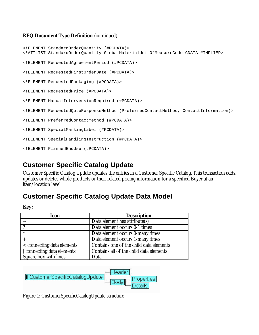### **RFQ Document Type Definition** (continued)

```
<!ELEMENT StandardOrderQuantity (#PCDATA)>
<!ATTLIST StandardOrderQuantity GlobalMaterialUnitOfMeasureCode CDATA #IMPLIED>
<!ELEMENT RequestedAgreementPeriod (#PCDATA)>
<!ELEMENT RequestedFirstOrderDate (#PCDATA)>
<!ELEMENT RequestedPackaging (#PCDATA)>
<!ELEMENT RequestedPrice (#PCDATA)>
<!ELEMENT ManualIntervensionRequired (#PCDATA)>
<!ELEMENT RequestedQoteResponseMethod (PreferredContactMethod, ContactInformation)>
<!ELEMENT PreferredContactMethod (#PCDATA)>
<!ELEMENT SpecialMarkingLabel (#PCDATA)>
<!ELEMENT SpecialHandlingInstruction (#PCDATA)>
<!ELEMENT PlannedEndUse (#PCDATA)>
```
# **Customer Specific Catalog Update**

Customer Specific Catalog Update updates the entries in a Customer Specific Catalog. This transaction adds, updates or deletes whole products or their related pricing information for a specified Buyer at an item/location level.

# **Customer Specific Catalog Update Data Model**

| Icon                       | <b>Description</b>                      |
|----------------------------|-----------------------------------------|
|                            | Data element has attribute(s)           |
|                            | Data element occurs 0-1 times           |
| $\ast$                     | Data element occurs 0-many times        |
|                            | Data element occurs 1-many times        |
| < connecting data elements | Contains one of the child data elements |
| [connecting data elements] | Contains all of the child data elements |
| Square box with lines      | Data                                    |



Figure 1: CustomerSpecificCatalogUpdate structure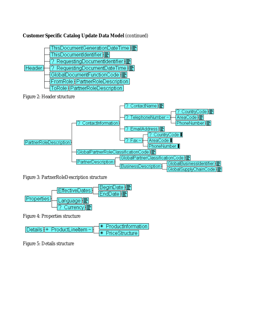# **Customer Specific Catalog Update Data Model** (continued)



Figure 2: Header structure



Figure 3: PartnerRoleDescription structure



Figure 4: Properties structure

| $Detais + ProductLineItem -$ | $\overline{\mathcal{H}}$ Productinformation |
|------------------------------|---------------------------------------------|
|                              | <b>*</b> PriceStructure                     |

Figure 5: Details structure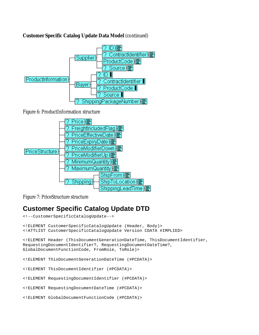# **Customer Specific Catalog Update Data Model** (continued)



Figure 6: ProductInformation structure



Figure 7: PriceStructure structure

# **Customer Specific Catalog Update DTD**

```
<!--CustomerSpecificCatalogUpdate-->
<!ELEMENT CustomerSpecificCatalogUpdate (Header, Body)>
<!ATTLIST CustomerSpecificCatalogUpdate Version CDATA #IMPLIED>
<!ELEMENT Header (ThisDocumentGenerationDateTime, ThisDocumentIdentifier,
RequestingDocumentIdentifier?, RequestingDocumentDateTime?,
GlobalDocumentFunctionCode, FromRole, ToRole)>
<!ELEMENT ThisDocumentGenerationDateTime (#PCDATA)>
<!ELEMENT ThisDocumentIdentifier (#PCDATA)>
<!ELEMENT RequestingDocumentIdentifier (#PCDATA)>
<!ELEMENT RequestingDocumentDateTime (#PCDATA)>
<!ELEMENT GlobalDocumentFunctionCode (#PCDATA)>
```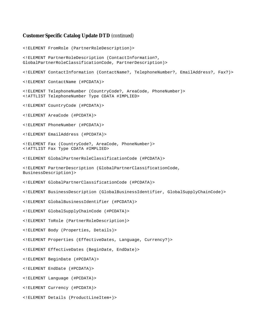#### **Customer Specific Catalog Update DTD** (continued)

<!ELEMENT FromRole (PartnerRoleDescription)> <!ELEMENT PartnerRoleDescription (ContactInformation?, GlobalPartnerRoleClassificationCode, PartnerDescription)> <!ELEMENT ContactInformation (ContactName?, TelephoneNumber?, EmailAddress?, Fax?)> <!ELEMENT ContactName (#PCDATA)> <!ELEMENT TelephoneNumber (CountryCode?, AreaCode, PhoneNumber)> <!ATTLIST TelephoneNumber Type CDATA #IMPLIED> <!ELEMENT CountryCode (#PCDATA)> <!ELEMENT AreaCode (#PCDATA)> <!ELEMENT PhoneNumber (#PCDATA)> <!ELEMENT EmailAddress (#PCDATA)> <!ELEMENT Fax (CountryCode?, AreaCode, PhoneNumber)> <!ATTLIST Fax Type CDATA #IMPLIED> <!ELEMENT GlobalPartnerRoleClassificationCode (#PCDATA)> <!ELEMENT PartnerDescription (GlobalPartnerClassificationCode, BusinessDescription)> <!ELEMENT GlobalPartnerClassificationCode (#PCDATA)> <!ELEMENT BusinessDescription (GlobalBusinessIdentifier, GlobalSupplyChainCode)> <!ELEMENT GlobalBusinessIdentifier (#PCDATA)> <!ELEMENT GlobalSupplyChainCode (#PCDATA)> <!ELEMENT ToRole (PartnerRoleDescription)> <!ELEMENT Body (Properties, Details)> <!ELEMENT Properties (EffectiveDates, Language, Currency?)> <!ELEMENT EffectiveDates (BeginDate, EndDate)> <!ELEMENT BeginDate (#PCDATA)> <!ELEMENT EndDate (#PCDATA)> <!ELEMENT Language (#PCDATA)> <!ELEMENT Currency (#PCDATA)> <!ELEMENT Details (ProductLineItem+)>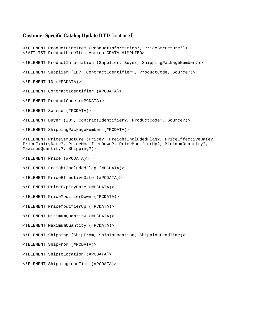#### **Customer Specific Catalog Update DTD** (continued)

<!ELEMENT ProductLineItem (ProductInformation\*, PriceStructure\*)> <!ATTLIST ProductLineItem Action CDATA #IMPLIED> <!ELEMENT ProductInformation (Supplier, Buyer, ShippingPackageNumber?)> <!ELEMENT Supplier (ID?, ContractIdentifier?, ProductCode, Source?)> <!ELEMENT ID (#PCDATA)> <!ELEMENT ContractIdentifier (#PCDATA)> <!ELEMENT ProductCode (#PCDATA)> <!ELEMENT Source (#PCDATA)> <!ELEMENT Buyer (ID?, ContractIdentifier?, ProductCode?, Source?)> <!ELEMENT ShippingPackageNumber (#PCDATA)> <!ELEMENT PriceStructure (Price?, FreightIncludedFlag?, PriceEffectiveDate?, PriceExpiryDate?, PriceModifierDown?, PriceModifierUp?, MinimumQuantity?, MaximumQuantity?, Shipping?)> <!ELEMENT Price (#PCDATA)> <!ELEMENT FreightIncludedFlag (#PCDATA)> <!ELEMENT PriceEffectiveDate (#PCDATA)> <!ELEMENT PriceExpiryDate (#PCDATA)> <!ELEMENT PriceModifierDown (#PCDATA)> <!ELEMENT PriceModifierUp (#PCDATA)> <!ELEMENT MinimumQuantity (#PCDATA)> <!ELEMENT MaximumQuantity (#PCDATA)> <!ELEMENT Shipping (ShipFrom, ShipToLocation, ShippingLeadTime)> <!ELEMENT ShipFrom (#PCDATA)> <!ELEMENT ShipToLocation (#PCDATA)> <!ELEMENT ShippingLeadTime (#PCDATA)>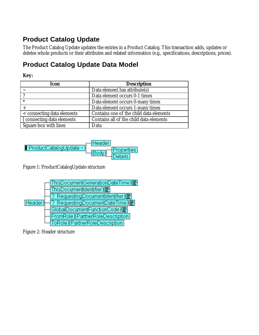# **Product Catalog Update**

The Product Catalog Update updates the entries in a Product Catalog. This transaction adds, updates or deletes whole products or their attributes and related information (e.g., specifications, descriptions, prices).

# **Product Catalog Update Data Model**

# **Key:**

| <b>Icon</b>                | <b>Description</b>                      |
|----------------------------|-----------------------------------------|
|                            | Data element has attribute(s)           |
|                            | Data element occurs 0-1 times           |
| $\ast$                     | Data element occurs 0-many times        |
|                            | Data element occurs 1-many times        |
| < connecting data elements | Contains one of the child data elements |
| [ connecting data elements | Contains all of the child data elements |
| Square box with lines      | Data                                    |



Figure 1: ProductCatalogUpdate structure



Figure 2: Header structure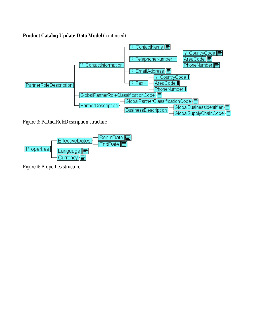# **Product Catalog Update Data Model** (continued)



Figure 3: PartnerRoleDescription structure



Figure 4: Properties structure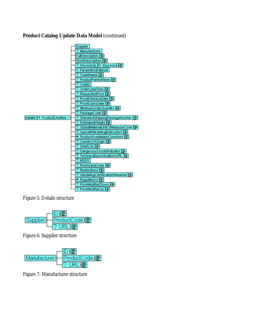# **Product Catalog Update Data Model** (continued)



Figure 5: Details structure



Figure 6: Supplier structure



Figure 7: Manufacturer structure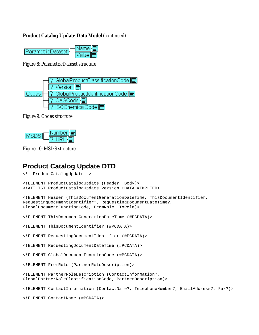### **Product Catalog Update Data Model** (continued)

| ParametricDataset } | ≀Name li≣  |
|---------------------|------------|
|                     | /alue ll⊟r |

Figure 8: ParametricDataset structure



Figure 9: Codes structure



Figure 10: MSDS structure

# **Product Catalog Update DTD**

```
<!--ProductCatalogUpdate-->
<!ELEMENT ProductCatalogUpdate (Header, Body)>
<!ATTLIST ProductCatalogUpdate Version CDATA #IMPLIED>
<!ELEMENT Header (ThisDocumentGenerationDateTime, ThisDocumentIdentifier,
RequestingDocumentIdentifier?, RequestingDocumentDateTime?,
GlobalDocumentFunctionCode, FromRole, ToRole)>
<!ELEMENT ThisDocumentGenerationDateTime (#PCDATA)>
<!ELEMENT ThisDocumentIdentifier (#PCDATA)>
<!ELEMENT RequestingDocumentIdentifier (#PCDATA)>
<!ELEMENT RequestingDocumentDateTime (#PCDATA)>
<!ELEMENT GlobalDocumentFunctionCode (#PCDATA)>
<!ELEMENT FromRole (PartnerRoleDescription)>
<!ELEMENT PartnerRoleDescription (ContactInformation?,
GlobalPartnerRoleClassificationCode, PartnerDescription)>
<!ELEMENT ContactInformation (ContactName?, TelephoneNumber?, EmailAddress?, Fax?)>
```
<!ELEMENT ContactName (#PCDATA)>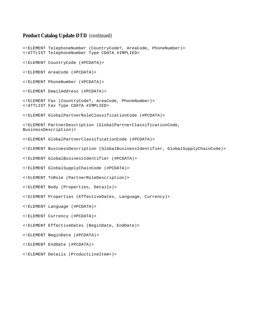#### **Product Catalog Update DTD** (continued)

<!ELEMENT TelephoneNumber (CountryCode?, AreaCode, PhoneNumber)> <!ATTLIST TelephoneNumber Type CDATA #IMPLIED> <!ELEMENT CountryCode (#PCDATA)> <!ELEMENT AreaCode (#PCDATA)> <!ELEMENT PhoneNumber (#PCDATA)> <!ELEMENT EmailAddress (#PCDATA)> <!ELEMENT Fax (CountryCode?, AreaCode, PhoneNumber)> <!ATTLIST Fax Type CDATA #IMPLIED> <!ELEMENT GlobalPartnerRoleClassificationCode (#PCDATA)> <!ELEMENT PartnerDescription (GlobalPartnerClassificationCode, BusinessDescription)> <!ELEMENT GlobalPartnerClassificationCode (#PCDATA)> <!ELEMENT BusinessDescription (GlobalBusinessIdentifier, GlobalSupplyChainCode)> <!ELEMENT GlobalBusinessIdentifier (#PCDATA)> <!ELEMENT GlobalSupplyChainCode (#PCDATA)> <!ELEMENT ToRole (PartnerRoleDescription)> <!ELEMENT Body (Properties, Details)> <!ELEMENT Properties (EffectiveDates, Language, Currency)> <!ELEMENT Language (#PCDATA)> <!ELEMENT Currency (#PCDATA)> <!ELEMENT EffectiveDates (BeginDate, EndDate)> <!ELEMENT BeginDate (#PCDATA)> <!ELEMENT EndDate (#PCDATA)> <!ELEMENT Details (ProductLineItem+)>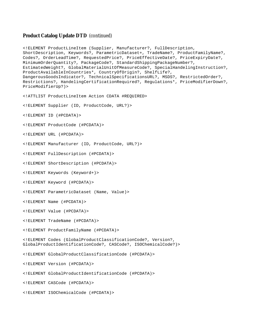#### **Product Catalog Update DTD** (continued)

<!ELEMENT ProductLineItem (Supplier, Manufacturer?, FullDescription, ShortDescription, Keywords?, ParametricDataset+, TradeName?, ProductFamilyName?, Codes?, OrderLeadTime?, RequestedPrice?, PriceEffectiveDate?, PriceExpiryDate?, MinimumOrderQuantity?, PackageCode?, StandardShippingPackageNumber?, EstimatedWeight?, GlobalMaterialUnitOfMeasureCode?, SpecialHandelingInstruction?, ProductAvailableInCountries\*, CountryOfOrigin?, ShelfLife?, DangerousGoodsIndicator?, TechnicalSpecificationsURL?, MSDS?, RestrictedOrder?, Restrictions?, HandelingCertificationRequired?, Regulations\*, PriceModifierDown?, PriceModifierUp?)> <!ATTLIST ProductLineItem Action CDATA #REQUIRED> <!ELEMENT Supplier (ID, ProductCode, URL?)> <!ELEMENT ID (#PCDATA)> <!ELEMENT ProductCode (#PCDATA)> <!ELEMENT URL (#PCDATA)> <!ELEMENT Manufacturer (ID, ProductCode, URL?)> <!ELEMENT FullDescription (#PCDATA)>

<!ELEMENT ShortDescription (#PCDATA)>

<!ELEMENT Keywords (Keyword+)>

<!ELEMENT Keyword (#PCDATA)>

<!ELEMENT ParametricDataset (Name, Value)>

<!ELEMENT Name (#PCDATA)>

<!ELEMENT Value (#PCDATA)>

<!ELEMENT TradeName (#PCDATA)>

<!ELEMENT ProductFamilyName (#PCDATA)>

<!ELEMENT Codes (GlobalProductClassificationCode?, Version?, GlobalProductIdentificationCode?, CASCode?, ISOChemicalCode?)>

<!ELEMENT GlobalProductClassificationCode (#PCDATA)>

<!ELEMENT Version (#PCDATA)>

<!ELEMENT GlobalProductIdentificationCode (#PCDATA)>

<!ELEMENT CASCode (#PCDATA)>

<!ELEMENT ISOChemicalCode (#PCDATA)>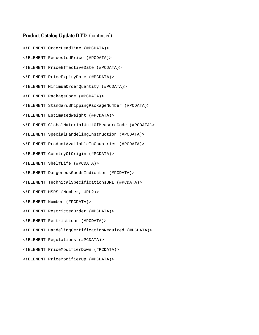### **Product Catalog Update DTD** (continued)

<!ELEMENT OrderLeadTime (#PCDATA)> <!ELEMENT RequestedPrice (#PCDATA)> <!ELEMENT PriceEffectiveDate (#PCDATA)> <!ELEMENT PriceExpiryDate (#PCDATA)> <!ELEMENT MinimumOrderQuantity (#PCDATA)> <!ELEMENT PackageCode (#PCDATA)> <!ELEMENT StandardShippingPackageNumber (#PCDATA)> <!ELEMENT EstimatedWeight (#PCDATA)> <!ELEMENT GlobalMaterialUnitOfMeasureCode (#PCDATA)> <!ELEMENT SpecialHandelingInstruction (#PCDATA)> <!ELEMENT ProductAvailableInCountries (#PCDATA)> <!ELEMENT CountryOfOrigin (#PCDATA)> <!ELEMENT ShelfLife (#PCDATA)> <!ELEMENT DangerousGoodsIndicator (#PCDATA)> <!ELEMENT TechnicalSpecificationsURL (#PCDATA)> <!ELEMENT MSDS (Number, URL?)> <!ELEMENT Number (#PCDATA)> <!ELEMENT RestrictedOrder (#PCDATA)> <!ELEMENT Restrictions (#PCDATA)> <!ELEMENT HandelingCertificationRequired (#PCDATA)> <!ELEMENT Regulations (#PCDATA)> <!ELEMENT PriceModifierDown (#PCDATA)> <!ELEMENT PriceModifierUp (#PCDATA)>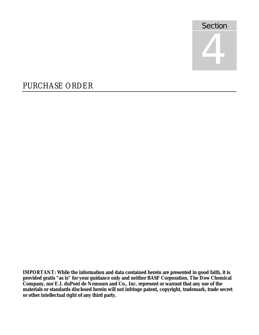

# PURCHASE ORDER

**IMPORTANT: While the information and data contained herein are presented in good faith, it is provided gratis "as is" for your guidance only and neither BASF Corporation, The Dow Chemical Company, nor E.I. duPont de Nemours and Co., Inc. represent or warrant that any use of the materials or standards disclosed herein will not infringe patent, copyright, trademark, trade secret or other intellectual right of any third party.**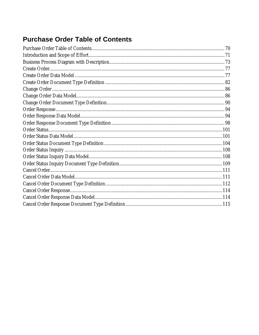# **Purchase Order Table of Contents**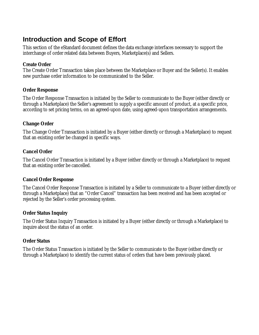# **Introduction and Scope of Effort**

This section of the eStandard document defines the data exchange interfaces necessary to support the interchange of order related data between Buyers, Marketplace(s) and Sellers.

### **Create Order**

The Create Order Transaction takes place between the Marketplace or Buyer and the Seller(s). It enables new purchase order information to be communicated to the Seller.

## **Order Response**

The Order Response Transaction is initiated by the Seller to communicate to the Buyer (either directly or through a Marketplace) the Seller's agreement to supply a specific amount of product, at a specific price, according to set pricing terms, on an agreed-upon date, using agreed-upon transportation arrangements.

# **Change Order**

The Change Order Transaction is initiated by a Buyer (either directly or through a Marketplace) to request that an existing order be changed in specific ways.

# **Cancel Order**

The Cancel Order Transaction is initiated by a Buyer (either directly or through a Marketplace) to request that an existing order be cancelled.

# **Cancel Order Response**

The Cancel Order Response Transaction is initiated by a Seller to communicate to a Buyer (either directly or through a Marketplace) that an "Order Cancel" transaction has been received and has been accepted or rejected by the Seller's order processing system.

# **Order Status Inquiry**

The Order Status Inquiry Transaction is initiated by a Buyer (either directly or through a Marketplace) to inquire about the status of an order.

# **Order Status**

The Order Status Transaction is initiated by the Seller to communicate to the Buyer (either directly or through a Marketplace) to identify the current status of orders that have been previously placed.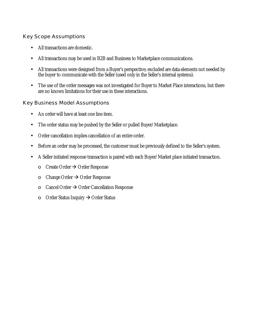## Key Scope Assumptions

- All transactions are domestic.
- All transactions may be used in B2B and Business to Marketplace communications.
- All transactions were designed from a Buyer's perspective; excluded are data elements not needed by the buyer to communicate with the Seller (used only in the Seller's internal systems).
- The use of the order messages was not investigated for Buyer to Market Place interactions, but there are no known limitations for their use in these interactions.

## Key Business Model Assumptions

- An order will have at least one line item.
- The order status may be pushed by the Seller or pulled Buyer/Marketplace.
- Order cancellation implies cancellation of an entire order.
- Before an order may be processed, the customer must be previously defined to the Seller's system.
- A Seller initiated response transaction is paired with each Buyer/Market place initiated transaction.
	- $\circ$  Create Order  $\rightarrow$  Order Response
	- $\circ$  Change Order  $\rightarrow$  Order Response
	- $\circ$  Cancel Order  $\rightarrow$  Order Cancellation Response
	- o Order Status Inquiry  $\rightarrow$  Order Status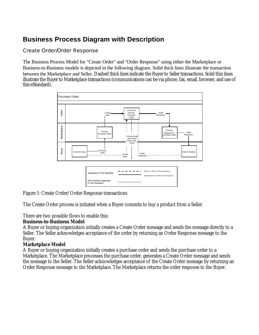## **Business Process Diagram with Description**

### Create Order/Order Response

The Business Process Model for "Create Order" and "Order Response" using either the Marketplace or Business-to-Business models is depicted in the following diagram. Solid thick lines illustrate the transaction between the Marketplace and Seller. Dashed thick lines indicate the Buyer to Seller transactions. Solid thin lines illustrate the Buyer to Marketplace transactions (communications can be via phone, fax, email, browser, and use of this eStandard).



Figure 1: Create Order/Order Response transactions

The Create Order process is initiated when a Buyer commits to buy a product from a Seller.

There are two possible flows to enable this:

#### **Business-to-Business Model**

A Buyer or buying organization initially creates a Create Order message and sends the message directly to a Seller. The Seller acknowledges acceptance of the order by returning an Order Response message to the Buyer.

#### **Marketplace Model**

A Buyer or buying organization initially creates a purchase order and sends the purchase order to a Marketplace. The Marketplace processes the purchase order, generates a Create Order message and sends the message to the Seller. The Seller acknowledges acceptance of the Create Order message by returning an Order Response message to the Marketplace. The Marketplace returns the order response to the Buyer.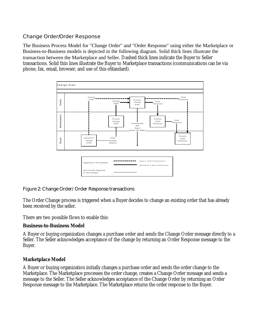#### Change Order/Order Response

The Business Process Model for "Change Order" and "Order Response" using either the Marketplace or Business-to-Business models is depicted in the following diagram. Solid thick lines illustrate the transaction between the Marketplace and Seller. Dashed thick lines indicate the Buyer to Seller transactions. Solid thin lines illustrate the Buyer to Marketplace transactions (communications can be via phone, fax, email, browser, and use of this eStandard).



#### Figure 2: Change Order/Order Response transactions

The Order Change process is triggered when a Buyer decides to change an existing order that has already been received by the seller.

There are two possible flows to enable this:

#### **Business-to-Business Model**

A Buyer or buying organization changes a purchase order and sends the Change Order message directly to a Seller. The Seller acknowledges acceptance of the change by returning an Order Response message to the Buyer.

#### **Marketplace Model**

A Buyer or buying organization initially changes a purchase order and sends the order change to the Marketplace. The Marketplace processes the order change, creates a Change Order message and sends a message to the Seller. The Seller acknowledges acceptance of the Change Order by returning an Order Response message to the Marketplace. The Marketplace returns the order response to the Buyer.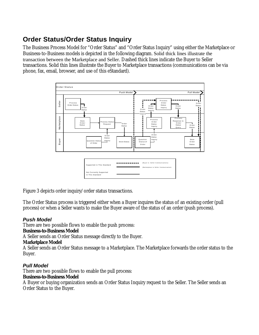# **Order Status/Order Status Inquiry**

The Business Process Model for "Order Status" and "Order Status Inquiry" using either the Marketplace or Business-to-Business models is depicted in the following diagram. Solid thick lines illustrate the transaction between the Marketplace and Seller. Dashed thick lines indicate the Buyer to Seller transactions. Solid thin lines illustrate the Buyer to Marketplace transactions (communications can be via phone, fax, email, browser, and use of this eStandard).



Figure 3 depicts order inquiry/order status transactions.

The Order Status process is triggered either when a Buyer inquires the status of an existing order (pull process) or when a Seller wants to make the Buyer aware of the status of an order (push process).

## *Push Model*

There are two possible flows to enable the push process:

#### **Business-to-Business Model**

A Seller sends an Order Status message directly to the Buyer.

## **Marketplace Model**

A Seller sends an Order Status message to a Marketplace. The Marketplace forwards the order status to the Buyer.

## *Pull Model*

There are two possible flows to enable the pull process:

#### **Business-to-Business Model**

A Buyer or buying organization sends an Order Status Inquiry request to the Seller. The Seller sends an Order Status to the Buyer.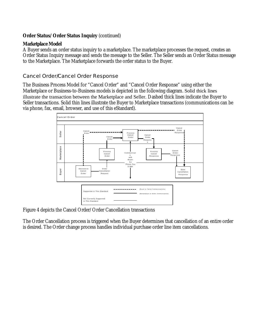### **Order Status/Order Status Inquiry** (continued)

#### **Marketplace Model**

A Buyer sends an order status inquiry to a marketplace. The marketplace processes the request, creates an Order Status Inquiry message and sends the message to the Seller. The Seller sends an Order Status message to the Marketplace. The Marketplace forwards the order status to the Buyer.

#### Cancel Order/Cancel Order Response

The Business Process Model for "Cancel Order" and "Cancel Order Response" using either the Marketplace or Business-to-Business models is depicted in the following diagram. Solid thick lines illustrate the transaction between the Marketplace and Seller. Dashed thick lines indicate the Buyer to Seller transactions. Solid thin lines illustrate the Buyer to Marketplace transactions (communications can be via phone, fax, email, browser, and use of this eStandard).



Figure 4 depicts the Cancel Order/Order Cancellation transactions

The Order Cancellation process is triggered when the Buyer determines that cancellation of an entire order is desired. The Order change process handles individual purchase order line item cancellations.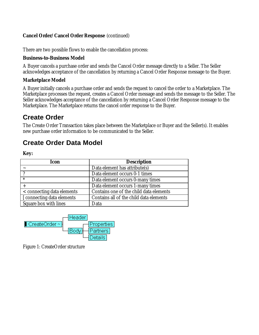#### **Cancel Order/Cancel Order Response** (continued)

There are two possible flows to enable the cancellation process:

#### **Business-to-Business Model**

A Buyer cancels a purchase order and sends the Cancel Order message directly to a Seller. The Seller acknowledges acceptance of the cancellation by returning a Cancel Order Response message to the Buyer.

#### **Marketplace Model**

A Buyer initially cancels a purchase order and sends the request to cancel the order to a Marketplace. The Marketplace processes the request, creates a Cancel Order message and sends the message to the Seller. The Seller acknowledges acceptance of the cancellation by returning a Cancel Order Response message to the Marketplace. The Marketplace returns the cancel order response to the Buyer.

## **Create Order**

The Create Order Transaction takes place between the Marketplace or Buyer and the Seller(s). It enables new purchase order information to be communicated to the Seller.

## **Create Order Data Model**

**Key:**

| <b>Icon</b>                | <b>Description</b>                      |
|----------------------------|-----------------------------------------|
|                            | Data element has attribute(s)           |
|                            | Data element occurs 0-1 times           |
| $\ast$                     | Data element occurs 0-many times        |
|                            | Data element occurs 1-many times        |
| < connecting data elements | Contains one of the child data elements |
| [ connecting data elements | Contains all of the child data elements |
| Square box with lines      | Data                                    |



Figure 1: CreateOrder structure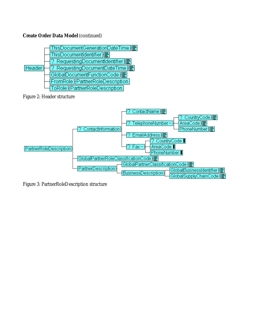

Figure 2: Header structure



Figure 3: PartnerRoleDescription structure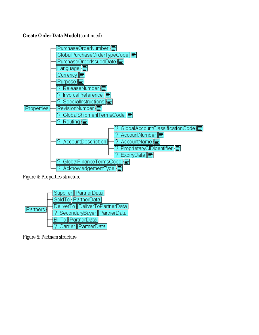

Figure 4: Properties structure



Figure 5: Partners structure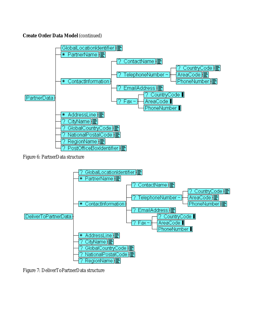

Figure 6: PartnerData structure



Figure 7: DeliverToPartnerData structure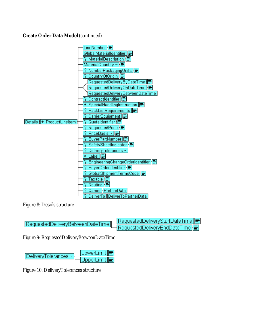

Figure 8: Details structure

| RequestedDeliveryBetweenDateTime RequestedDeliveryStartDateTime = |  |
|-------------------------------------------------------------------|--|
|                                                                   |  |

Figure 9: RequestedDeliveryBetweenDateTime



Figure 10: DeliveryTolerances structure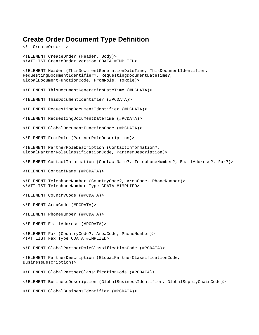## **Create Order Document Type Definition**

<!--CreateOrder--> <!ELEMENT CreateOrder (Header, Body)> <!ATTLIST CreateOrder Version CDATA #IMPLIED> <!ELEMENT Header (ThisDocumentGenerationDateTime, ThisDocumentIdentifier, RequestingDocumentIdentifier?, RequestingDocumentDateTime?, GlobalDocumentFunctionCode, FromRole, ToRole)> <!ELEMENT ThisDocumentGenerationDateTime (#PCDATA)> <!ELEMENT ThisDocumentIdentifier (#PCDATA)> <!ELEMENT RequestingDocumentIdentifier (#PCDATA)> <!ELEMENT RequestingDocumentDateTime (#PCDATA)> <!ELEMENT GlobalDocumentFunctionCode (#PCDATA)> <!ELEMENT FromRole (PartnerRoleDescription)> <!ELEMENT PartnerRoleDescription (ContactInformation?, GlobalPartnerRoleClassificationCode, PartnerDescription)> <!ELEMENT ContactInformation (ContactName?, TelephoneNumber?, EmailAddress?, Fax?)> <!ELEMENT ContactName (#PCDATA)> <!ELEMENT TelephoneNumber (CountryCode?, AreaCode, PhoneNumber)> <!ATTLIST TelephoneNumber Type CDATA #IMPLIED> <!ELEMENT CountryCode (#PCDATA)> <!ELEMENT AreaCode (#PCDATA)> <!ELEMENT PhoneNumber (#PCDATA)> <!ELEMENT EmailAddress (#PCDATA)> <!ELEMENT Fax (CountryCode?, AreaCode, PhoneNumber)> <!ATTLIST Fax Type CDATA #IMPLIED> <!ELEMENT GlobalPartnerRoleClassificationCode (#PCDATA)> <!ELEMENT PartnerDescription (GlobalPartnerClassificationCode, BusinessDescription)> <!ELEMENT GlobalPartnerClassificationCode (#PCDATA)> <!ELEMENT BusinessDescription (GlobalBusinessIdentifier, GlobalSupplyChainCode)> <!ELEMENT GlobalBusinessIdentifier (#PCDATA)>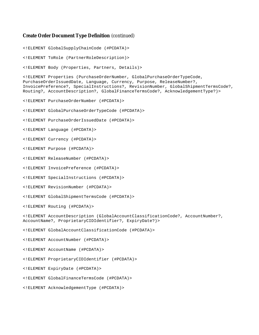<!ELEMENT GlobalSupplyChainCode (#PCDATA)>

<!ELEMENT ToRole (PartnerRoleDescription)>

<!ELEMENT Body (Properties, Partners, Details)>

<!ELEMENT Properties (PurchaseOrderNumber, GlobalPurchaseOrderTypeCode, PurchaseOrderIssuedDate, Language, Currency, Purpose, ReleaseNumber?, InvoicePreference?, SpecialInstructions?, RevisionNumber, GlobalShipmentTermsCode?, Routing?, AccountDescription?, GlobalFinanceTermsCode?, AcknowledgementType?)>

<!ELEMENT PurchaseOrderNumber (#PCDATA)>

<!ELEMENT GlobalPurchaseOrderTypeCode (#PCDATA)>

<!ELEMENT PurchaseOrderIssuedDate (#PCDATA)>

<!ELEMENT Language (#PCDATA)>

<!ELEMENT Currency (#PCDATA)>

<!ELEMENT Purpose (#PCDATA)>

- <!ELEMENT ReleaseNumber (#PCDATA)>
- <!ELEMENT InvoicePreference (#PCDATA)>
- <!ELEMENT SpecialInstructions (#PCDATA)>
- <!ELEMENT RevisionNumber (#PCDATA)>
- <!ELEMENT GlobalShipmentTermsCode (#PCDATA)>

<!ELEMENT Routing (#PCDATA)>

<!ELEMENT AccountDescription (GlobalAccountClassificationCode?, AccountNumber?, AccountName?, ProprietaryCIDIdentifier?, ExpiryDate?)>

<!ELEMENT GlobalAccountClassificationCode (#PCDATA)>

<!ELEMENT AccountNumber (#PCDATA)>

<!ELEMENT AccountName (#PCDATA)>

<!ELEMENT ProprietaryCIDIdentifier (#PCDATA)>

- <!ELEMENT ExpiryDate (#PCDATA)>
- <!ELEMENT GlobalFinanceTermsCode (#PCDATA)>
- <!ELEMENT AcknowledgementType (#PCDATA)>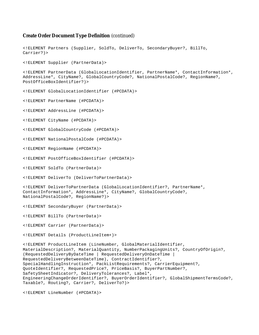<!ELEMENT Partners (Supplier, SoldTo, DeliverTo, SecondaryBuyer?, BillTo, Carrier?)> <!ELEMENT Supplier (PartnerData)> <!ELEMENT PartnerData (GlobalLocationIdentifier, PartnerName\*, ContactInformation\*, AddressLine\*, CityName?, GlobalCountryCode?, NationalPostalCode?, RegionName?, PostOfficeBoxIdentifier?)> <!ELEMENT GlobalLocationIdentifier (#PCDATA)> <!ELEMENT PartnerName (#PCDATA)> <!ELEMENT AddressLine (#PCDATA)> <!ELEMENT CityName (#PCDATA)> <!ELEMENT GlobalCountryCode (#PCDATA)> <!ELEMENT NationalPostalCode (#PCDATA)> <!ELEMENT RegionName (#PCDATA)> <!ELEMENT PostOfficeBoxIdentifier (#PCDATA)> <!ELEMENT SoldTo (PartnerData)> <!ELEMENT DeliverTo (DeliverToPartnerData)> <!ELEMENT DeliverToPartnerData (GlobalLocationIdentifier?, PartnerName\*, ContactInformation\*, AddressLine\*, CityName?, GlobalCountryCode?, NationalPostalCode?, RegionName?)> <!ELEMENT SecondaryBuyer (PartnerData)> <!ELEMENT BillTo (PartnerData)> <!ELEMENT Carrier (PartnerData)> <!ELEMENT Details (ProductLineItem+)> <!ELEMENT ProductLineItem (LineNumber, GlobalMaterialIdentifier, MaterialDescription?, MaterialQuantity, NumberPackagingUnits?, CountryOfOrigin?, (RequestedDeliveryByDateTime | RequestedDeliveryOnDateTime | RequestedDeliveryBetweenDateTime), ContractIdentifier?, SpecialHandlingInstruction\*, PackListRequirements?, CarrierEquipment?, QuoteIdentifier?, RequestedPrice?, PriceBasis?, BuyerPartNumber?, SafetySheetIndicator?, DeliveryTolerances?, Label\*, EngineeringChangeOrderIdentifier?, BuyerOrderIdentifier?, GlobalShipmentTermsCode?, Taxable?, Routing?, Carrier?, DeliverTo?)>

<!ELEMENT LineNumber (#PCDATA)>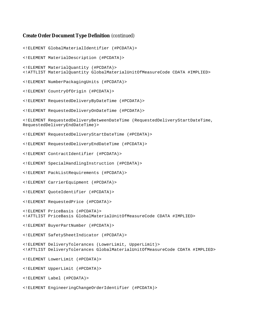```
<!ELEMENT GlobalMaterialIdentifier (#PCDATA)>
<!ELEMENT MaterialDescription (#PCDATA)>
<!ELEMENT MaterialQuantity (#PCDATA)>
<!ATTLIST MaterialQuantity GlobalMaterialUnitOfMeasureCode CDATA #IMPLIED>
<!ELEMENT NumberPackagingUnits (#PCDATA)>
<!ELEMENT CountryOfOrigin (#PCDATA)>
<!ELEMENT RequestedDeliveryByDateTime (#PCDATA)>
<!ELEMENT RequestedDeliveryOnDateTime (#PCDATA)>
<!ELEMENT RequestedDeliveryBetweenDateTime (RequestedDeliveryStartDateTime,
RequestedDeliveryEndDateTime)>
<!ELEMENT RequestedDeliveryStartDateTime (#PCDATA)>
<!ELEMENT RequestedDeliveryEndDateTime (#PCDATA)>
<!ELEMENT ContractIdentifier (#PCDATA)>
<!ELEMENT SpecialHandlingInstruction (#PCDATA)>
<!ELEMENT PackListRequirements (#PCDATA)>
<!ELEMENT CarrierEquipment (#PCDATA)>
<!ELEMENT QuoteIdentifier (#PCDATA)>
<!ELEMENT RequestedPrice (#PCDATA)>
<!ELEMENT PriceBasis (#PCDATA)>
<!ATTLIST PriceBasis GlobalMaterialUnitOfMeasureCode CDATA #IMPLIED>
<!ELEMENT BuyerPartNumber (#PCDATA)>
<!ELEMENT SafetySheetIndicator (#PCDATA)>
<!ELEMENT DeliveryTolerances (LowerLimit, UpperLimit)>
<!ATTLIST DeliveryTolerances GlobalMaterialUnitOfMeasureCode CDATA #IMPLIED>
<!ELEMENT LowerLimit (#PCDATA)>
<!ELEMENT UpperLimit (#PCDATA)>
<!ELEMENT Label (#PCDATA)>
<!ELEMENT EngineeringChangeOrderIdentifier (#PCDATA)>
```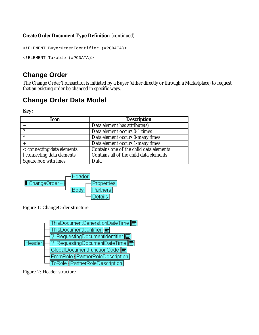```
<!ELEMENT BuyerOrderIdentifier (#PCDATA)>
<!ELEMENT Taxable (#PCDATA)>
```
## **Change Order**

The Change Order Transaction is initiated by a Buyer (either directly or through a Marketplace) to request that an existing order be changed in specific ways.

## **Change Order Data Model**

**Key:**

| <b>Icon</b>                | <b>Description</b>                      |
|----------------------------|-----------------------------------------|
|                            | Data element has attribute(s)           |
|                            | Data element occurs 0-1 times           |
| $\ast$                     | Data element occurs 0-many times        |
|                            | Data element occurs 1-many times        |
| < connecting data elements | Contains one of the child data elements |
| [ connecting data elements | Contains all of the child data elements |
| Square box with lines      | Data                                    |



Figure 1: ChangeOrder structure



Figure 2: Header structure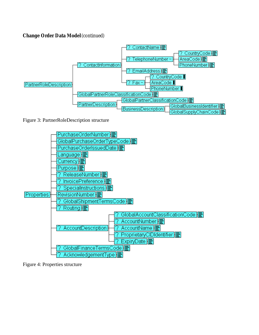

Figure 3: PartnerRoleDescription structure



Figure 4: Properties structure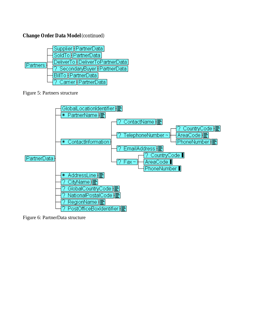

Figure 5: Partners structure



Figure 6: PartnerData structure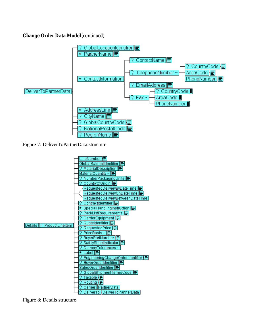

Figure 7: DeliverToPartnerData structure



Figure 8: Details structure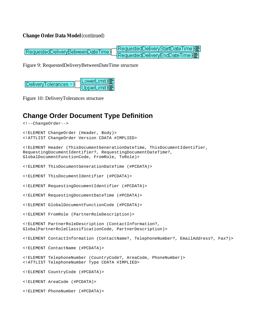RequestedDeliveryStartDateTime RequestedDeliveryBetweenDateTime RequestedDelivervEndDateTime

Figure 9: RequestedDeliveryBetweenDateTime structure

| $\vert$ DeliveryTolerances ~ $\vert$ | $\overline{\mathsf{LowerLimit}}$ |
|--------------------------------------|----------------------------------|
|                                      | UpperLimit] <b>E</b>             |

Figure 10: DeliveryTolerances structure

## **Change Order Document Type Definition**

```
<!--ChangeOrder-->
<!ELEMENT ChangeOrder (Header, Body)>
<!ATTLIST ChangeOrder Version CDATA #IMPLIED>
<!ELEMENT Header (ThisDocumentGenerationDateTime, ThisDocumentIdentifier,
RequestingDocumentIdentifier?, RequestingDocumentDateTime?,
GlobalDocumentFunctionCode, FromRole, ToRole)>
<!ELEMENT ThisDocumentGenerationDateTime (#PCDATA)>
<!ELEMENT ThisDocumentIdentifier (#PCDATA)>
<!ELEMENT RequestingDocumentIdentifier (#PCDATA)>
<!ELEMENT RequestingDocumentDateTime (#PCDATA)>
<!ELEMENT GlobalDocumentFunctionCode (#PCDATA)>
<!ELEMENT FromRole (PartnerRoleDescription)>
<!ELEMENT PartnerRoleDescription (ContactInformation?,
GlobalPartnerRoleClassificationCode, PartnerDescription)>
<!ELEMENT ContactInformation (ContactName?, TelephoneNumber?, EmailAddress?, Fax?)>
<!ELEMENT ContactName (#PCDATA)>
<!ELEMENT TelephoneNumber (CountryCode?, AreaCode, PhoneNumber)>
<!ATTLIST TelephoneNumber Type CDATA #IMPLIED>
<!ELEMENT CountryCode (#PCDATA)>
<!ELEMENT AreaCode (#PCDATA)>
<!ELEMENT PhoneNumber (#PCDATA)>
```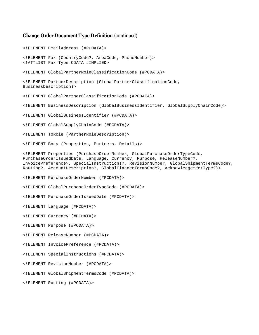<!ELEMENT EmailAddress (#PCDATA)> <!ELEMENT Fax (CountryCode?, AreaCode, PhoneNumber)> <!ATTLIST Fax Type CDATA #IMPLIED> <!ELEMENT GlobalPartnerRoleClassificationCode (#PCDATA)> <!ELEMENT PartnerDescription (GlobalPartnerClassificationCode, BusinessDescription)> <!ELEMENT GlobalPartnerClassificationCode (#PCDATA)> <!ELEMENT BusinessDescription (GlobalBusinessIdentifier, GlobalSupplyChainCode)> <!ELEMENT GlobalBusinessIdentifier (#PCDATA)> <!ELEMENT GlobalSupplyChainCode (#PCDATA)> <!ELEMENT ToRole (PartnerRoleDescription)> <!ELEMENT Body (Properties, Partners, Details)> <!ELEMENT Properties (PurchaseOrderNumber, GlobalPurchaseOrderTypeCode, PurchaseOrderIssuedDate, Language, Currency, Purpose, ReleaseNumber?, InvoicePreference?, SpecialInstructions?, RevisionNumber, GlobalShipmentTermsCode?, Routing?, AccountDescription?, GlobalFinanceTermsCode?, AcknowledgementType?)> <!ELEMENT PurchaseOrderNumber (#PCDATA)> <!ELEMENT GlobalPurchaseOrderTypeCode (#PCDATA)> <!ELEMENT PurchaseOrderIssuedDate (#PCDATA)> <!ELEMENT Language (#PCDATA)> <!ELEMENT Currency (#PCDATA)> <!ELEMENT Purpose (#PCDATA)> <!ELEMENT ReleaseNumber (#PCDATA)> <!ELEMENT InvoicePreference (#PCDATA)> <!ELEMENT SpecialInstructions (#PCDATA)> <!ELEMENT RevisionNumber (#PCDATA)> <!ELEMENT GlobalShipmentTermsCode (#PCDATA)> <!ELEMENT Routing (#PCDATA)>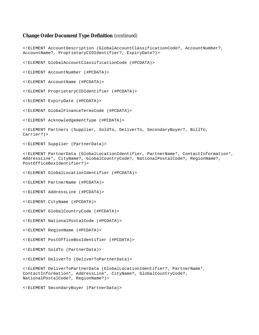<!ELEMENT AccountDescription (GlobalAccountClassificationCode?, AccountNumber?, AccountName?, ProprietaryCIDIdentifier?, ExpiryDate?)> <!ELEMENT GlobalAccountClassificationCode (#PCDATA)> <!ELEMENT AccountNumber (#PCDATA)> <!ELEMENT AccountName (#PCDATA)> <!ELEMENT ProprietaryCIDIdentifier (#PCDATA)> <!ELEMENT ExpiryDate (#PCDATA)> <!ELEMENT GlobalFinanceTermsCode (#PCDATA)> <!ELEMENT AcknowledgementType (#PCDATA)> <!ELEMENT Partners (Supplier, SoldTo, DeliverTo, SecondaryBuyer?, BillTo, Carrier?)> <!ELEMENT Supplier (PartnerData)> <!ELEMENT PartnerData (GlobalLocationIdentifier, PartnerName\*, ContactInformation\*, AddressLine\*, CityName?, GlobalCountryCode?, NationalPostalCode?, RegionName?, PostOfficeBoxIdentifier?)> <!ELEMENT GlobalLocationIdentifier (#PCDATA)> <!ELEMENT PartnerName (#PCDATA)> <!ELEMENT AddressLine (#PCDATA)> <!ELEMENT CityName (#PCDATA)> <!ELEMENT GlobalCountryCode (#PCDATA)> <!ELEMENT NationalPostalCode (#PCDATA)> <!ELEMENT RegionName (#PCDATA)> <!ELEMENT PostOfficeBoxIdentifier (#PCDATA)> <!ELEMENT SoldTo (PartnerData)> <!ELEMENT DeliverTo (DeliverToPartnerData)> <!ELEMENT DeliverToPartnerData (GlobalLocationIdentifier?, PartnerName\*, ContactInformation\*, AddressLine\*, CityName?, GlobalCountryCode?, NationalPostalCode?, RegionName?)> <!ELEMENT SecondaryBuyer (PartnerData)>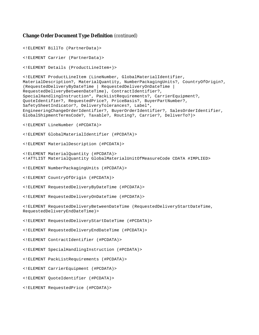<!ELEMENT BillTo (PartnerData)> <!ELEMENT Carrier (PartnerData)> <!ELEMENT Details (ProductLineItem+)> <!ELEMENT ProductLineItem (LineNumber, GlobalMaterialIdentifier, MaterialDescription?, MaterialQuantity, NumberPackagingUnits?, CountryOfOrigin?, (RequestedDeliveryByDateTime | RequestedDeliveryOnDateTime | RequestedDeliveryBetweenDateTime), ContractIdentifier?, SpecialHandlingInstruction\*, PackListRequirements?, CarrierEquipment?, QuoteIdentifier?, RequestedPrice?, PriceBasis?, BuyerPartNumber?, SafetySheetIndicator?, DeliveryTolerances?, Label\*, EngineeringChangeOrderIdentifier?, BuyerOrderIdentifier?, SalesOrderIdentifier, GlobalShipmentTermsCode?, Taxable?, Routing?, Carrier?, DeliverTo?)> <!ELEMENT LineNumber (#PCDATA)> <!ELEMENT GlobalMaterialIdentifier (#PCDATA)> <!ELEMENT MaterialDescription (#PCDATA)> <!ELEMENT MaterialQuantity (#PCDATA)> <!ATTLIST MaterialQuantity GlobalMaterialUnitOfMeasureCode CDATA #IMPLIED> <!ELEMENT NumberPackagingUnits (#PCDATA)> <!ELEMENT CountryOfOrigin (#PCDATA)> <!ELEMENT RequestedDeliveryByDateTime (#PCDATA)> <!ELEMENT RequestedDeliveryOnDateTime (#PCDATA)> <!ELEMENT RequestedDeliveryBetweenDateTime (RequestedDeliveryStartDateTime, RequestedDeliveryEndDateTime)> <!ELEMENT RequestedDeliveryStartDateTime (#PCDATA)> <!ELEMENT RequestedDeliveryEndDateTime (#PCDATA)> <!ELEMENT ContractIdentifier (#PCDATA)> <!ELEMENT SpecialHandlingInstruction (#PCDATA)> <!ELEMENT PackListRequirements (#PCDATA)> <!ELEMENT CarrierEquipment (#PCDATA)> <!ELEMENT QuoteIdentifier (#PCDATA)> <!ELEMENT RequestedPrice (#PCDATA)>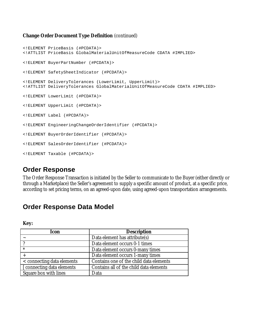```
<!ELEMENT PriceBasis (#PCDATA)>
<!ATTLIST PriceBasis GlobalMaterialUnitOfMeasureCode CDATA #IMPLIED>
<!ELEMENT BuyerPartNumber (#PCDATA)>
<!ELEMENT SafetySheetIndicator (#PCDATA)>
<!ELEMENT DeliveryTolerances (LowerLimit, UpperLimit)>
<!ATTLIST DeliveryTolerances GlobalMaterialUnitOfMeasureCode CDATA #IMPLIED>
<!ELEMENT LowerLimit (#PCDATA)>
<!ELEMENT UpperLimit (#PCDATA)>
<!ELEMENT Label (#PCDATA)>
<!ELEMENT EngineeringChangeOrderIdentifier (#PCDATA)>
<!ELEMENT BuyerOrderIdentifier (#PCDATA)>
<!ELEMENT SalesOrderIdentifier (#PCDATA)>
<!ELEMENT Taxable (#PCDATA)>
```
## **Order Response**

The Order Response Transaction is initiated by the Seller to communicate to the Buyer (either directly or through a Marketplace) the Seller's agreement to supply a specific amount of product, at a specific price, according to set pricing terms, on an agreed-upon date, using agreed-upon transportation arrangements.

## **Order Response Data Model**

**Key:**

| <b>Icon</b>                | <b>Description</b>                      |
|----------------------------|-----------------------------------------|
|                            | Data element has attribute(s)           |
|                            | Data element occurs 0-1 times           |
| $\ast$                     | Data element occurs 0-many times        |
|                            | Data element occurs 1-many times        |
| < connecting data elements | Contains one of the child data elements |
| [ connecting data elements | Contains all of the child data elements |
| Square box with lines      | Data                                    |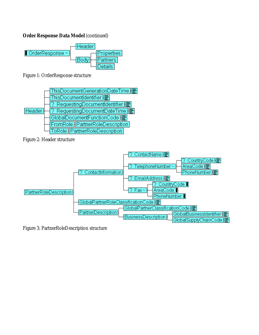### **Order Response Data Model (continued)**



Figure 1: OrderResponse structure



Figure 2: Header structure



Figure 3: PartnerRoleDescription structure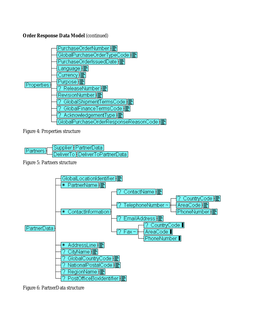### **Order Response Data Model** (continued)



Figure 4: Properties structure



Figure 5: Partners structure



Figure 6: PartnerData structure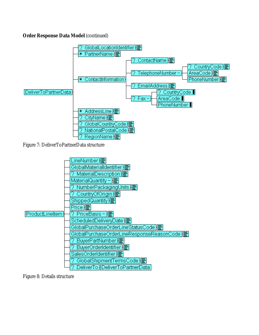#### **Order Response Data Model** (continued)



Figure 7: DeliverToPartnerData structure



Figure 8: Details structure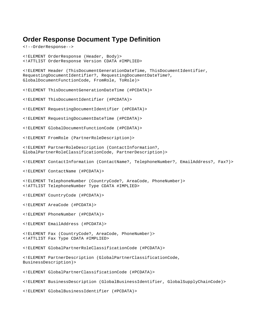## **Order Response Document Type Definition**

<!--OrderResponse-->

<!ELEMENT OrderResponse (Header, Body)> <!ATTLIST OrderResponse Version CDATA #IMPLIED> <!ELEMENT Header (ThisDocumentGenerationDateTime, ThisDocumentIdentifier, RequestingDocumentIdentifier?, RequestingDocumentDateTime?, GlobalDocumentFunctionCode, FromRole, ToRole)> <!ELEMENT ThisDocumentGenerationDateTime (#PCDATA)> <!ELEMENT ThisDocumentIdentifier (#PCDATA)> <!ELEMENT RequestingDocumentIdentifier (#PCDATA)> <!ELEMENT RequestingDocumentDateTime (#PCDATA)> <!ELEMENT GlobalDocumentFunctionCode (#PCDATA)> <!ELEMENT FromRole (PartnerRoleDescription)> <!ELEMENT PartnerRoleDescription (ContactInformation?, GlobalPartnerRoleClassificationCode, PartnerDescription)> <!ELEMENT ContactInformation (ContactName?, TelephoneNumber?, EmailAddress?, Fax?)> <!ELEMENT ContactName (#PCDATA)> <!ELEMENT TelephoneNumber (CountryCode?, AreaCode, PhoneNumber)> <!ATTLIST TelephoneNumber Type CDATA #IMPLIED> <!ELEMENT CountryCode (#PCDATA)> <!ELEMENT AreaCode (#PCDATA)> <!ELEMENT PhoneNumber (#PCDATA)> <!ELEMENT EmailAddress (#PCDATA)> <!ELEMENT Fax (CountryCode?, AreaCode, PhoneNumber)> <!ATTLIST Fax Type CDATA #IMPLIED> <!ELEMENT GlobalPartnerRoleClassificationCode (#PCDATA)> <!ELEMENT PartnerDescription (GlobalPartnerClassificationCode, BusinessDescription)> <!ELEMENT GlobalPartnerClassificationCode (#PCDATA)> <!ELEMENT BusinessDescription (GlobalBusinessIdentifier, GlobalSupplyChainCode)> <!ELEMENT GlobalBusinessIdentifier (#PCDATA)>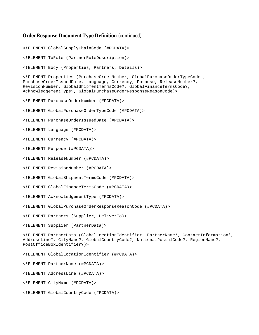#### **Order Response Document Type Definition** (continued)

<!ELEMENT GlobalSupplyChainCode (#PCDATA)>

<!ELEMENT ToRole (PartnerRoleDescription)>

<!ELEMENT Body (Properties, Partners, Details)>

<!ELEMENT Properties (PurchaseOrderNumber, GlobalPurchaseOrderTypeCode , PurchaseOrderIssuedDate, Language, Currency, Purpose, ReleaseNumber?, RevisionNumber, GlobalShipmentTermsCode?, GlobalFinanceTermsCode?, AcknowledgementType?, GlobalPurchaseOrderResponseReasonCode)>

<!ELEMENT PurchaseOrderNumber (#PCDATA)>

<!ELEMENT GlobalPurchaseOrderTypeCode (#PCDATA)>

<!ELEMENT PurchaseOrderIssuedDate (#PCDATA)>

<!ELEMENT Language (#PCDATA)>

<!ELEMENT Currency (#PCDATA)>

<!ELEMENT Purpose (#PCDATA)>

<!ELEMENT ReleaseNumber (#PCDATA)>

<!ELEMENT RevisionNumber (#PCDATA)>

<!ELEMENT GlobalShipmentTermsCode (#PCDATA)>

<!ELEMENT GlobalFinanceTermsCode (#PCDATA)>

<!ELEMENT AcknowledgementType (#PCDATA)>

<!ELEMENT GlobalPurchaseOrderResponseReasonCode (#PCDATA)>

<!ELEMENT Partners (Supplier, DeliverTo)>

<!ELEMENT Supplier (PartnerData)>

<!ELEMENT PartnerData (GlobalLocationIdentifier, PartnerName\*, ContactInformation\*, AddressLine\*, CityName?, GlobalCountryCode?, NationalPostalCode?, RegionName?, PostOfficeBoxIdentifier?)>

<!ELEMENT GlobalLocationIdentifier (#PCDATA)>

<!ELEMENT PartnerName (#PCDATA)>

<!ELEMENT AddressLine (#PCDATA)>

<!ELEMENT CityName (#PCDATA)>

<!ELEMENT GlobalCountryCode (#PCDATA)>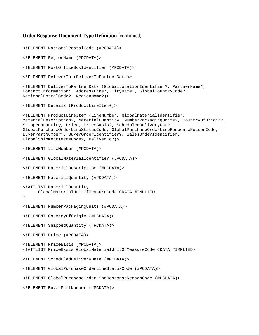#### **Order Response Document Type Definition** (continued)

```
<!ELEMENT NationalPostalCode (#PCDATA)>
<!ELEMENT RegionName (#PCDATA)>
<!ELEMENT PostOfficeBoxIdentifier (#PCDATA)>
<!ELEMENT DeliverTo (DeliverToPartnerData)>
<!ELEMENT DeliverToPartnerData (GlobalLocationIdentifier?, PartnerName*,
ContactInformation*, AddressLine*, CityName?, GlobalCountryCode?,
NationalPostalCode?, RegionName?)>
<!ELEMENT Details (ProductLineItem+)>
<!ELEMENT ProductLineItem (LineNumber, GlobalMaterialIdentifier,
MaterialDescription?, MaterialQuantity, NumberPackagingUnits?, CountryOfOrigin?,
ShippedQuantity, Price, PriceBasis?, ScheduledDeliveryDate,
GlobalPurchaseOrderLineStatusCode, GlobalPurchaseOrderLineResponseReasonCode,
BuyerPartNumber?, BuyerOrderIdentifier?, SalesOrderIdentifier,
GlobalShipmentTermsCode?, DeliverTo?)>
<!ELEMENT LineNumber (#PCDATA)>
<!ELEMENT GlobalMaterialIdentifier (#PCDATA)>
<!ELEMENT MaterialDescription (#PCDATA)>
<!ELEMENT MaterialQuantity (#PCDATA)>
<!ATTLIST MaterialQuantity
     GlobalMaterialUnitOfMeasureCode CDATA #IMPLIED
>
<!ELEMENT NumberPackagingUnits (#PCDATA)>
<!ELEMENT CountryOfOrigin (#PCDATA)>
<!ELEMENT ShippedQuantity (#PCDATA)>
<!ELEMENT Price (#PCDATA)>
<!ELEMENT PriceBasis (#PCDATA)>
<!ATTLIST PriceBasis GlobalMaterialUnitOfMeasureCode CDATA #IMPLIED>
<!ELEMENT ScheduledDeliveryDate (#PCDATA)>
<!ELEMENT GlobalPurchaseOrderLineStatusCode (#PCDATA)>
<!ELEMENT GlobalPurchaseOrderLineResponseReasonCode (#PCDATA)>
<!ELEMENT BuyerPartNumber (#PCDATA)>
```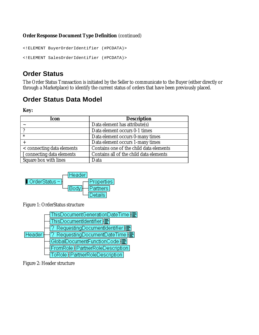#### **Order Response Document Type Definition** (continued)

```
<!ELEMENT BuyerOrderIdentifier (#PCDATA)>
<!ELEMENT SalesOrderIdentifier (#PCDATA)>
```
## **Order Status**

The Order Status Transaction is initiated by the Seller to communicate to the Buyer (either directly or through a Marketplace) to identify the current status of orders that have been previously placed.

# **Order Status Data Model**

**Key:**

| <b>Icon</b>                | <b>Description</b>                      |
|----------------------------|-----------------------------------------|
|                            | Data element has attribute(s)           |
|                            | Data element occurs 0-1 times           |
| $\ast$                     | Data element occurs 0-many times        |
|                            | Data element occurs 1-many times        |
| < connecting data elements | Contains one of the child data elements |
| [ connecting data elements | Contains all of the child data elements |
| Square box with lines      | Data                                    |



Figure 1: OrderStatus structure



Figure 2: Header structure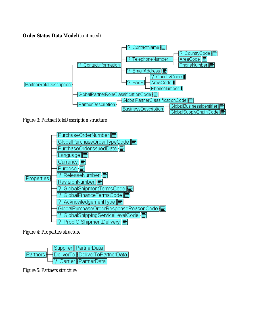### **Order Status Data Model** (continued)



Figure 3: PartnerRoleDescription structure



Figure 4: Properties structure



Figure 5: Partners structure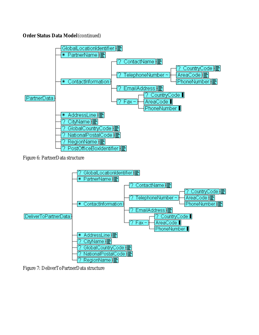### **Order Status Data Model** (continued)



Figure 6: PartnerData structure



Figure 7: DeliverToPartnerData structure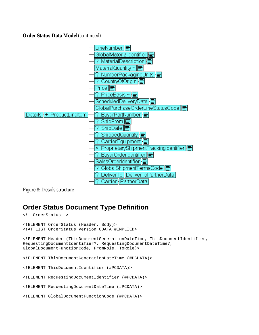#### **Order Status Data Model** (continued)



Figure 8: Details structure

## **Order Status Document Type Definition**

```
<!--OrderStatus-->
<!ELEMENT OrderStatus (Header, Body)>
<!ATTLIST OrderStatus Version CDATA #IMPLIED>
<!ELEMENT Header (ThisDocumentGenerationDateTime, ThisDocumentIdentifier,
RequestingDocumentIdentifier?, RequestingDocumentDateTime?,
GlobalDocumentFunctionCode, FromRole, ToRole)>
<!ELEMENT ThisDocumentGenerationDateTime (#PCDATA)>
<!ELEMENT ThisDocumentIdentifier (#PCDATA)>
<!ELEMENT RequestingDocumentIdentifier (#PCDATA)>
<!ELEMENT RequestingDocumentDateTime (#PCDATA)>
<!ELEMENT GlobalDocumentFunctionCode (#PCDATA)>
```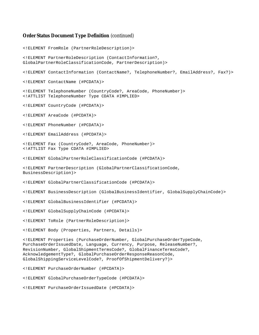#### **Order Status Document Type Definition** (continued)

<!ELEMENT FromRole (PartnerRoleDescription)> <!ELEMENT PartnerRoleDescription (ContactInformation?, GlobalPartnerRoleClassificationCode, PartnerDescription)> <!ELEMENT ContactInformation (ContactName?, TelephoneNumber?, EmailAddress?, Fax?)> <!ELEMENT ContactName (#PCDATA)> <!ELEMENT TelephoneNumber (CountryCode?, AreaCode, PhoneNumber)> <!ATTLIST TelephoneNumber Type CDATA #IMPLIED> <!ELEMENT CountryCode (#PCDATA)> <!ELEMENT AreaCode (#PCDATA)> <!ELEMENT PhoneNumber (#PCDATA)> <!ELEMENT EmailAddress (#PCDATA)> <!ELEMENT Fax (CountryCode?, AreaCode, PhoneNumber)> <!ATTLIST Fax Type CDATA #IMPLIED> <!ELEMENT GlobalPartnerRoleClassificationCode (#PCDATA)> <!ELEMENT PartnerDescription (GlobalPartnerClassificationCode, BusinessDescription)> <!ELEMENT GlobalPartnerClassificationCode (#PCDATA)> <!ELEMENT BusinessDescription (GlobalBusinessIdentifier, GlobalSupplyChainCode)> <!ELEMENT GlobalBusinessIdentifier (#PCDATA)> <!ELEMENT GlobalSupplyChainCode (#PCDATA)> <!ELEMENT ToRole (PartnerRoleDescription)> <!ELEMENT Body (Properties, Partners, Details)> <!ELEMENT Properties (PurchaseOrderNumber, GlobalPurchaseOrderTypeCode, PurchaseOrderIssuedDate, Language, Currency, Purpose, ReleaseNumber?, RevisionNumber, GlobalShipmentTermsCode?, GlobalFinanceTermsCode?, AcknowledgementType?, GlobalPurchaseOrderResponseReasonCode, GlobalShippingServiceLevelCode?, ProofOfShipmentDelivery?)> <!ELEMENT PurchaseOrderNumber (#PCDATA)> <!ELEMENT GlobalPurchaseOrderTypeCode (#PCDATA)>

<!ELEMENT PurchaseOrderIssuedDate (#PCDATA)>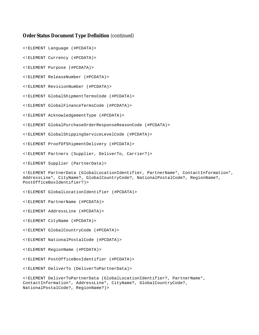#### **Order Status Document Type Definition** (continued)

<!ELEMENT Language (#PCDATA)>

<!ELEMENT Currency (#PCDATA)>

<!ELEMENT Purpose (#PCDATA)>

<!ELEMENT ReleaseNumber (#PCDATA)>

<!ELEMENT RevisionNumber (#PCDATA)>

<!ELEMENT GlobalShipmentTermsCode (#PCDATA)>

<!ELEMENT GlobalFinanceTermsCode (#PCDATA)>

<!ELEMENT AcknowledgementType (#PCDATA)>

<!ELEMENT GlobalPurchaseOrderResponseReasonCode (#PCDATA)>

<!ELEMENT GlobalShippingServiceLevelCode (#PCDATA)>

<!ELEMENT ProofOfShipmentDelivery (#PCDATA)>

<!ELEMENT Partners (Supplier, DeliverTo, Carrier?)>

<!ELEMENT Supplier (PartnerData)>

<!ELEMENT PartnerData (GlobalLocationIdentifier, PartnerName\*, ContactInformation\*, AddressLine\*, CityName?, GlobalCountryCode?, NationalPostalCode?, RegionName?, PostOfficeBoxIdentifier?)>

<!ELEMENT GlobalLocationIdentifier (#PCDATA)>

<!ELEMENT PartnerName (#PCDATA)>

<!ELEMENT AddressLine (#PCDATA)>

<!ELEMENT CityName (#PCDATA)>

<!ELEMENT GlobalCountryCode (#PCDATA)>

<!ELEMENT NationalPostalCode (#PCDATA)>

<!ELEMENT RegionName (#PCDATA)>

<!ELEMENT PostOfficeBoxIdentifier (#PCDATA)>

<!ELEMENT DeliverTo (DeliverToPartnerData)>

<!ELEMENT DeliverToPartnerData (GlobalLocationIdentifier?, PartnerName\*, ContactInformation\*, AddressLine\*, CityName?, GlobalCountryCode?, NationalPostalCode?, RegionName?)>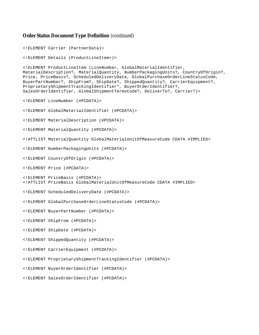#### **Order Status Document Type Definition** (continued)

```
<!ELEMENT Carrier (PartnerData)>
<!ELEMENT Details (ProductLineItem+)>
<!ELEMENT ProductLineItem (LineNumber, GlobalMaterialIdentifier,
MaterialDescription?, MaterialQuantity, NumberPackagingUnits?, CountryOfOrigin?,
Price, PriceBasis?, ScheduledDeliveryDate, GlobalPurchaseOrderLineStatusCode,
BuyerPartNumber?, ShipFrom?, ShipDate?, ShippedQuantity?, CarrierEquipment?,
ProprietaryShipmentTrackingIdentifier*, BuyerOrderIdentifier?,
SalesOrderIdentifier, GlobalShipmentTermsCode?, DeliverTo?, Carrier?)>
<!ELEMENT LineNumber (#PCDATA)>
<!ELEMENT GlobalMaterialIdentifier (#PCDATA)>
<!ELEMENT MaterialDescription (#PCDATA)>
<!ELEMENT MaterialQuantity (#PCDATA)>
<!ATTLIST MaterialQuantity GlobalMaterialUnitOfMeasureCode CDATA #IMPLIED>
<!ELEMENT NumberPackagingUnits (#PCDATA)>
<!ELEMENT CountryOfOrigin (#PCDATA)>
<!ELEMENT Price (#PCDATA)>
<!ELEMENT PriceBasis (#PCDATA)>
<!ATTLIST PriceBasis GlobalMaterialUnitOfMeasureCode CDATA #IMPLIED>
<!ELEMENT ScheduledDeliveryDate (#PCDATA)>
<!ELEMENT GlobalPurchaseOrderLineStatusCode (#PCDATA)>
<!ELEMENT BuyerPartNumber (#PCDATA)>
<!ELEMENT ShipFrom (#PCDATA)>
<!ELEMENT ShipDate (#PCDATA)>
<!ELEMENT ShippedQuantity (#PCDATA)>
<!ELEMENT CarrierEquipment (#PCDATA)>
<!ELEMENT ProprietaryShipmentTrackingIdentifier (#PCDATA)>
<!ELEMENT BuyerOrderIdentifier (#PCDATA)>
<!ELEMENT SalesOrderIdentifier (#PCDATA)>
```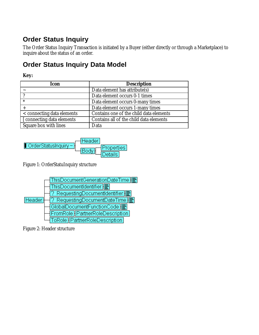# **Order Status Inquiry**

The Order Status Inquiry Transaction is initiated by a Buyer (either directly or through a Marketplace) to inquire about the status of an order.

# **Order Status Inquiry Data Model**

## **Key:**

| <b>Icon</b>                | <b>Description</b>                      |
|----------------------------|-----------------------------------------|
|                            | Data element has attribute(s)           |
|                            | Data element occurs 0-1 times           |
| $\ast$                     | Data element occurs 0-many times        |
|                            | Data element occurs 1-many times        |
| < connecting data elements | Contains one of the child data elements |
| [ connecting data elements | Contains all of the child data elements |
| Square box with lines      | Data                                    |



Figure 1: OrderStatuInquiry structure



Figure 2: Header structure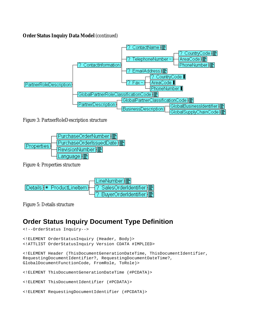#### **Order Status Inquiry Data Model** (continued)



Figure 3: PartnerRoleDescription structure



Figure 4: Properties structure



Figure 5: Details structure

### **Order Status Inquiry Document Type Definition**

```
<!--OrderStatus Inquiry-->
<!ELEMENT OrderStatusInquiry (Header, Body)>
<!ATTLIST OrderStatusInquiry Version CDATA #IMPLIED>
<!ELEMENT Header (ThisDocumentGenerationDateTime, ThisDocumentIdentifier,
RequestingDocumentIdentifier?, RequestingDocumentDateTime?,
GlobalDocumentFunctionCode, FromRole, ToRole)>
<!ELEMENT ThisDocumentGenerationDateTime (#PCDATA)>
<!ELEMENT ThisDocumentIdentifier (#PCDATA)>
<!ELEMENT RequestingDocumentIdentifier (#PCDATA)>
```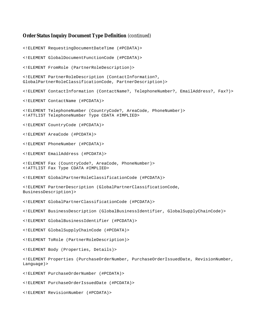#### **Order Status Inquiry Document Type Definition** (continued)

<!ELEMENT RequestingDocumentDateTime (#PCDATA)> <!ELEMENT GlobalDocumentFunctionCode (#PCDATA)> <!ELEMENT FromRole (PartnerRoleDescription)> <!ELEMENT PartnerRoleDescription (ContactInformation?, GlobalPartnerRoleClassificationCode, PartnerDescription)> <!ELEMENT ContactInformation (ContactName?, TelephoneNumber?, EmailAddress?, Fax?)> <!ELEMENT ContactName (#PCDATA)> <!ELEMENT TelephoneNumber (CountryCode?, AreaCode, PhoneNumber)> <!ATTLIST TelephoneNumber Type CDATA #IMPLIED> <!ELEMENT CountryCode (#PCDATA)> <!ELEMENT AreaCode (#PCDATA)> <!ELEMENT PhoneNumber (#PCDATA)> <!ELEMENT EmailAddress (#PCDATA)> <!ELEMENT Fax (CountryCode?, AreaCode, PhoneNumber)> <!ATTLIST Fax Type CDATA #IMPLIED> <!ELEMENT GlobalPartnerRoleClassificationCode (#PCDATA)> <!ELEMENT PartnerDescription (GlobalPartnerClassificationCode, BusinessDescription)> <!ELEMENT GlobalPartnerClassificationCode (#PCDATA)> <!ELEMENT BusinessDescription (GlobalBusinessIdentifier, GlobalSupplyChainCode)> <!ELEMENT GlobalBusinessIdentifier (#PCDATA)> <!ELEMENT GlobalSupplyChainCode (#PCDATA)> <!ELEMENT ToRole (PartnerRoleDescription)> <!ELEMENT Body (Properties, Details)> <!ELEMENT Properties (PurchaseOrderNumber, PurchaseOrderIssuedDate, RevisionNumber, Language)> <!ELEMENT PurchaseOrderNumber (#PCDATA)> <!ELEMENT PurchaseOrderIssuedDate (#PCDATA)>

<!ELEMENT RevisionNumber (#PCDATA)>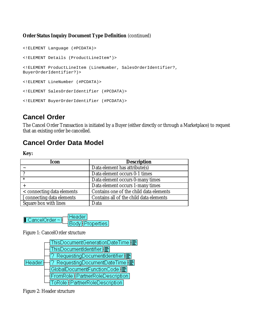### **Order Status Inquiry Document Type Definition** (continued)

```
<!ELEMENT Language (#PCDATA)>
<!ELEMENT Details (ProductLineItem*)>
<!ELEMENT ProductLineItem (LineNumber, SalesOrderIdentifier?,
BuyerOrderIdentifier?)>
<!ELEMENT LineNumber (#PCDATA)>
<!ELEMENT SalesOrderIdentifier (#PCDATA)>
<!ELEMENT BuyerOrderIdentifier (#PCDATA)>
```
### **Cancel Order**

The Cancel Order Transaction is initiated by a Buyer (either directly or through a Marketplace) to request that an existing order be cancelled.

### **Cancel Order Data Model**

**Key:**

| Icon                       | <b>Description</b>                      |  |
|----------------------------|-----------------------------------------|--|
|                            | Data element has attribute(s)           |  |
| ി                          | Data element occurs 0-1 times           |  |
| $\ast$                     | Data element occurs 0-many times        |  |
|                            | Data element occurs 1-many times        |  |
| < connecting data elements | Contains one of the child data elements |  |
| [ connecting data elements | Contains all of the child data elements |  |
| Square box with lines      | Data                                    |  |

Header  $\Box$  CancelOrder  $\sim$ Body Properties

Figure 1: CancelOrder structure



Figure 2: Header structure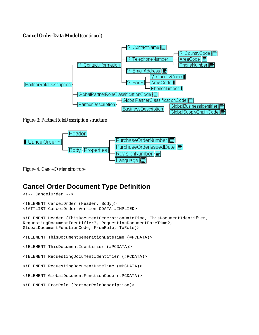#### **Cancel Order Data Model** (continued)



Figure 3: PartnerRoleDescription structure



Figure 4: CancelOrder structure

### **Cancel Order Document Type Definition**

```
<!-- CancelOrder -->
<!ELEMENT CancelOrder (Header, Body)>
<!ATTLIST CancelOrder Version CDATA #IMPLIED>
<!ELEMENT Header (ThisDocumentGenerationDateTime, ThisDocumentIdentifier,
RequestingDocumentIdentifier?, RequestingDocumentDateTime?,
GlobalDocumentFunctionCode, FromRole, ToRole)>
<!ELEMENT ThisDocumentGenerationDateTime (#PCDATA)>
<!ELEMENT ThisDocumentIdentifier (#PCDATA)>
<!ELEMENT RequestingDocumentIdentifier (#PCDATA)>
<!ELEMENT RequestingDocumentDateTime (#PCDATA)>
<!ELEMENT GlobalDocumentFunctionCode (#PCDATA)>
<!ELEMENT FromRole (PartnerRoleDescription)>
```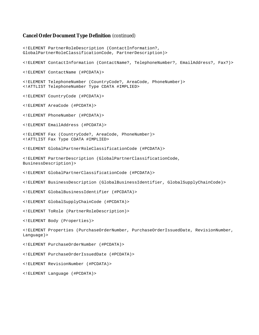#### **Cancel Order Document Type Definition** (continued)

<!ELEMENT PartnerRoleDescription (ContactInformation?, GlobalPartnerRoleClassificationCode, PartnerDescription)> <!ELEMENT ContactInformation (ContactName?, TelephoneNumber?, EmailAddress?, Fax?)> <!ELEMENT ContactName (#PCDATA)> <!ELEMENT TelephoneNumber (CountryCode?, AreaCode, PhoneNumber)> <!ATTLIST TelephoneNumber Type CDATA #IMPLIED> <!ELEMENT CountryCode (#PCDATA)> <!ELEMENT AreaCode (#PCDATA)> <!ELEMENT PhoneNumber (#PCDATA)> <!ELEMENT EmailAddress (#PCDATA)> <!ELEMENT Fax (CountryCode?, AreaCode, PhoneNumber)> <!ATTLIST Fax Type CDATA #IMPLIED> <!ELEMENT GlobalPartnerRoleClassificationCode (#PCDATA)> <!ELEMENT PartnerDescription (GlobalPartnerClassificationCode, BusinessDescription)> <!ELEMENT GlobalPartnerClassificationCode (#PCDATA)> <!ELEMENT BusinessDescription (GlobalBusinessIdentifier, GlobalSupplyChainCode)> <!ELEMENT GlobalBusinessIdentifier (#PCDATA)> <!ELEMENT GlobalSupplyChainCode (#PCDATA)> <!ELEMENT ToRole (PartnerRoleDescription)> <!ELEMENT Body (Properties)> <!ELEMENT Properties (PurchaseOrderNumber, PurchaseOrderIssuedDate, RevisionNumber, Language)> <!ELEMENT PurchaseOrderNumber (#PCDATA)> <!ELEMENT PurchaseOrderIssuedDate (#PCDATA)> <!ELEMENT RevisionNumber (#PCDATA)> <!ELEMENT Language (#PCDATA)>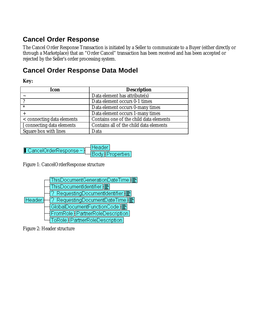## **Cancel Order Response**

The Cancel Order Response Transaction is initiated by a Seller to communicate to a Buyer (either directly or through a Marketplace) that an "Order Cancel" transaction has been received and has been accepted or rejected by the Seller's order processing system.

### **Cancel Order Response Data Model**

### **Key:**

| Icon                       | <b>Description</b>                      |  |
|----------------------------|-----------------------------------------|--|
|                            | Data element has attribute(s)           |  |
|                            | Data element occurs 0-1 times           |  |
| $\ast$                     | Data element occurs 0-many times        |  |
|                            | Data element occurs 1-many times        |  |
| < connecting data elements | Contains one of the child data elements |  |
| [ connecting data elements | Contains all of the child data elements |  |
| Square box with lines      | Data                                    |  |



Figure 1: CancelOrderResponse structure



Figure 2: Header structure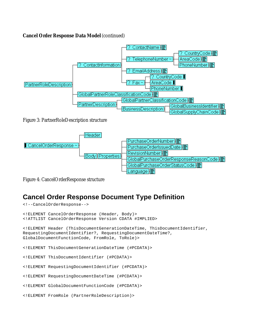#### **Cancel Order Response Data Model** (continued)



Figure 3: PartnerRoleDescription structure



Figure 4: CancelOrderResponse structure

<!--CancelOrderResponse-->

## **Cancel Order Response Document Type Definition**

```
<!ELEMENT CancelOrderResponse (Header, Body)>
<!ATTLIST CancelOrderResponse Version CDATA #IMPLIED>
<!ELEMENT Header (ThisDocumentGenerationDateTime, ThisDocumentIdentifier,
RequestingDocumentIdentifier?, RequestingDocumentDateTime?,
GlobalDocumentFunctionCode, FromRole, ToRole)>
<!ELEMENT ThisDocumentGenerationDateTime (#PCDATA)>
<!ELEMENT ThisDocumentIdentifier (#PCDATA)>
<!ELEMENT RequestingDocumentIdentifier (#PCDATA)>
<!ELEMENT RequestingDocumentDateTime (#PCDATA)>
<!ELEMENT GlobalDocumentFunctionCode (#PCDATA)>
<!ELEMENT FromRole (PartnerRoleDescription)>
```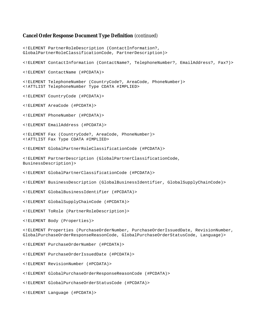#### **Cancel Order Response Document Type Definition** (continued)

<!ELEMENT PartnerRoleDescription (ContactInformation?, GlobalPartnerRoleClassificationCode, PartnerDescription)> <!ELEMENT ContactInformation (ContactName?, TelephoneNumber?, EmailAddress?, Fax?)> <!ELEMENT ContactName (#PCDATA)> <!ELEMENT TelephoneNumber (CountryCode?, AreaCode, PhoneNumber)> <!ATTLIST TelephoneNumber Type CDATA #IMPLIED> <!ELEMENT CountryCode (#PCDATA)> <!ELEMENT AreaCode (#PCDATA)> <!ELEMENT PhoneNumber (#PCDATA)> <!ELEMENT EmailAddress (#PCDATA)> <!ELEMENT Fax (CountryCode?, AreaCode, PhoneNumber)> <!ATTLIST Fax Type CDATA #IMPLIED> <!ELEMENT GlobalPartnerRoleClassificationCode (#PCDATA)> <!ELEMENT PartnerDescription (GlobalPartnerClassificationCode, BusinessDescription)> <!ELEMENT GlobalPartnerClassificationCode (#PCDATA)> <!ELEMENT BusinessDescription (GlobalBusinessIdentifier, GlobalSupplyChainCode)> <!ELEMENT GlobalBusinessIdentifier (#PCDATA)> <!ELEMENT GlobalSupplyChainCode (#PCDATA)> <!ELEMENT ToRole (PartnerRoleDescription)> <!ELEMENT Body (Properties)> <!ELEMENT Properties (PurchaseOrderNumber, PurchaseOrderIssuedDate, RevisionNumber, GlobalPurchaseOrderResponseReasonCode, GlobalPurchaseOrderStatusCode, Language)> <!ELEMENT PurchaseOrderNumber (#PCDATA)> <!ELEMENT PurchaseOrderIssuedDate (#PCDATA)> <!ELEMENT RevisionNumber (#PCDATA)> <!ELEMENT GlobalPurchaseOrderResponseReasonCode (#PCDATA)> <!ELEMENT GlobalPurchaseOrderStatusCode (#PCDATA)> <!ELEMENT Language (#PCDATA)>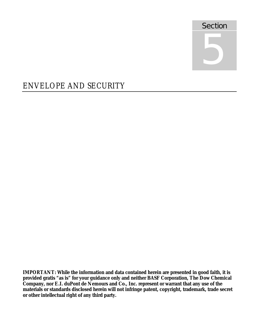

# ENVELOPE AND SECURITY

**IMPORTANT: While the information and data contained herein are presented in good faith, it is provided gratis "as is" for your guidance only and neither BASF Corporation, The Dow Chemical Company, nor E.I. duPont de Nemours and Co., Inc. represent or warrant that any use of the materials or standards disclosed herein will not infringe patent, copyright, trademark, trade secret or other intellectual right of any third party.**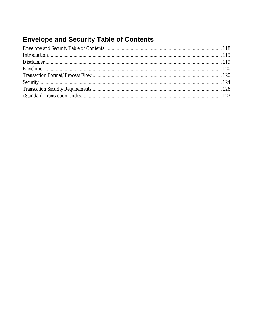# **Envelope and Security Table of Contents**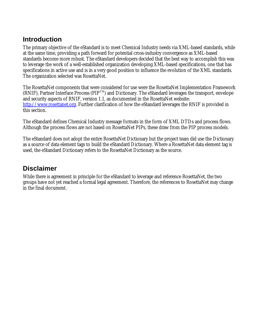### **Introduction**

The primary objective of the eStandard is to meet Chemical Industry needs via XML-based standards, while at the same time, providing a path forward for potential cross-industry convergence as XML-based standards become more robust. The eStandard developers decided that the best way to accomplish this was to leverage the work of a well-established organization developing XML-based specifications, one that has specifications in active use and is in a very good position to influence the evolution of the XML standards. The organization selected was RosettaNet.

The RosettaNet components that were considered for use were the RosettaNet Implementation Framework  $(RNIF)$ , Partner Interface Process (PIP<sup>TM</sup>) and Dictionary. The eStandard leverages the transport, envelope and security aspects of RNIF, version 1.1, as documented in the RosettaNet website: http://www.rosettanet.org. Further clarification of how the eStandard leverages the RNIF is provided in this section.

The eStandard defines Chemical Industry message formats in the form of XML DTDs and process flows. Although the process flows are not based on RosettaNet PIPs, these draw from the PIP process models.

The eStandard does not adopt the entire RosettaNet Dictionary but the project team did use the Dictionary as a source of data element tags to build the eStandard Dictionary. Where a RosettaNet data element tag is used, the eStandard Dictionary refers to the RosettaNet Dictionary as the source.

### **Disclaimer**

While there is agreement in principle for the eStandard to leverage and reference RosettaNet, the two groups have not yet reached a formal legal agreement. Therefore, the references to RosettaNet may change in the final document.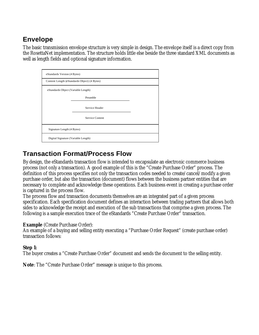### **Envelope**

The basic transmission envelope structure is very simple in design. The envelope itself is a direct copy from the RosettaNet implementation. The structure holds little else beside the three standard XML documents as well as length fields and optional signature information.

| eStandards Version (4 Bytes)        |                                              |  |  |
|-------------------------------------|----------------------------------------------|--|--|
|                                     | Content Length (eStandards Object) (4 Bytes) |  |  |
|                                     | eStandards Object (Variable Length)          |  |  |
|                                     | Preamble                                     |  |  |
|                                     | Service Header                               |  |  |
| Service Content                     |                                              |  |  |
| Signature Length (4 Bytes)          |                                              |  |  |
| Digital Signature (Variable Length) |                                              |  |  |

### **Transaction Format/Process Flow**

By design, the eStandards transaction flow is intended to encapsulate an electronic commerce business process (not only a transaction). A good example of this is the "Create Purchase Order" process. The definition of this process specifies not only the transaction codes needed to create/cancel/modify a given purchase order, but also the transaction (document) flows between the business partner entities that are necessary to complete and acknowledge these operations. Each business event in creating a purchase order is captured in the process flow.

The process flow and transaction documents themselves are an integrated part of a given process specification. Each specification document defines an interaction between trading partners that allows both sides to acknowledge the receipt and execution of the sub transactions that comprise a given process. The following is a sample execution trace of the eStandards "Create Purchase Order" transaction.

#### **Example** (Create Purchase Order):

An example of a buying and selling entity executing a "Purchase Order Request" (create purchase order) transaction follows:

#### **Step 1:**

The buyer creates a "Create Purchase Order" document and sends the document to the selling entity.

**Note**: The "Create Purchase Order" message is unique to this process.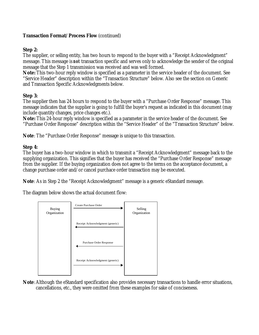#### **Step 2:**

The supplier, or selling entity, has two hours to respond to the buyer with a "Receipt Acknowledgment" message. This message is *not* transaction specific and serves only to acknowledge the sender of the original message that the Step 1 transmission was received and was well formed.

**Note:** This two-hour reply window is specified as a parameter in the service header of the document. See "Service Header" description within the "Transaction Structure" below. Also see the section on Generic and Transaction Specific Acknowledgments below.

#### **Step 3:**

The supplier then has 24 hours to respond to the buyer with a "Purchase Order Response" message. This message indicates that the supplier is going to fulfill the buyer's request as indicated in this document (may include quantity changes, price changes etc.).

**Note:** This 24-hour reply window is specified as a parameter in the service header of the document. See "Purchase Order Response" description within the "Service Header" of the "Transaction Structure" below.

**Note**: The "Purchase Order Response" message is unique to this transaction.

#### **Step 4:**

The buyer has a two-hour window in which to transmit a "Receipt Acknowledgment" message back to the supplying organization. This signifies that the buyer has received the "Purchase Order Response" message from the supplier. If the buying organization does not agree to the terms on the acceptance document, a change purchase order and/or cancel purchace order transaction may be executed.

**Note**: As in Step 2 the "Receipt Acknowledgment" message is a generic eStandard message.

The diagram below shows the actual document flow:



**Note**:Although the eStandard specification also provides necessary transactions to handle error situations, cancellations, etc., they were omitted from these examples for sake of conciseness.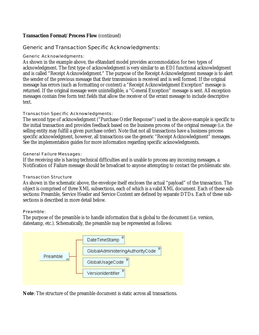#### Generic and Transaction Specific Acknowledgments:

#### Generic Acknowledgments:

As shown in the example above, the eStandard model provides accommodation for two types of acknowledgment. The first type of acknowledgment is very similar to an EDI functional acknowledgment and is called "Receipt Acknowledgment." The purpose of the Receipt Acknowledgment message is to alert the sender of the previous message that their transmission is received and is well formed. If the original message has errors (such as formatting or content) a "Receipt Acknowledgment Exception" message is returned. If the original message were unintelligible, a "General Exception" message is sent. All exception messages contain free form text fields that allow the receiver of the errant message to include descriptive text.

#### Transaction Specific Acknowledgments:

The second type of acknowledgment ("Purchase Order Response") used in the above example is specific to the initial transaction and provides feedback based on the business process of the original message (i.e. the selling entity may fulfill a given purchase order). Note that not all transactions have a business process specific acknowledgment, however, all transactions use the generic "Receipt Acknowledgment" messages. See the implementation guides for more information regarding specific acknowledgments.

#### General Failure Messages:

If the receiving site is having technical difficulties and is unable to process any incoming messages, a Notification of Failure message should be broadcast to anyone attempting to contact the problematic site.

#### Transaction Structure

As shown in the schematic above, the envelope itself encloses the actual "payload" of the transaction. The object is comprised of three XML subsections, each of which is a valid XML document. Each of these subsections: Preamble, Service Header and Service Content are defined by separate DTDs. Each of these subsections is described in more detail below.

#### Preamble:

The purpose of the preamble is to handle information that is global to the document (i.e. version, datestamp, etc.). Schematically, the preamble may be represented as follows:



**Note**: The structure of the preamble document is static across all transactions.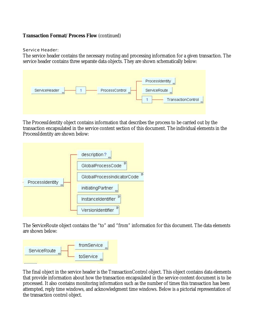Service Header:

The service header contains the necessary routing and processing information for a given transaction. The service header contains three separate data objects. They are shown schematically below:



The ProcessIdentity object contains information that describes the process to be carried out by the transaction encapsulated in the service content section of this document. The individual elements in the ProcessIdentity are shown below:



The ServiceRoute object contains the "to" and "from" information for this document. The data elements are shown below:



The final object in the service header is the TransactionControl object. This object contains data elements that provide information about how the transaction encapsulated in the service content document is to be processed. It also contains monitoring information such as the number of times this transaction has been attempted, reply time windows, and acknowledgment time windows. Below is a pictorial representation of the transaction control object.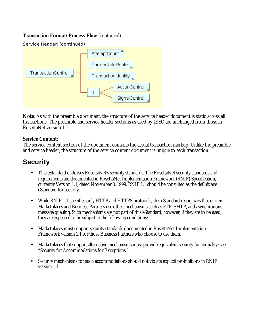Service Header: (continued)



**Note:** As with the preamble document, the structure of the service header document is static across all transactions. The preamble and service header sections as used by IESC are unchanged from those in RosettaNet version 1.1.

#### **Service Content:**

The service content section of the document contains the actual transaction markup. Unlike the preamble and service header, the structure of the service content document is unique to each transaction.

### **Security**

- This eStandard endorses RosettaNet's security standards. The RosettaNet security standards and requirements are documented in RosettaNet Implementation Framework (RNIF) Specification, currently Version 1.1, dated November 8, 1999. RNIF 1.1 should be consulted as the definitieve eStandard for security.
- While RNIF 1.1 specifies only HTTP and HTTPS protocols, this eStandard recognizes that current Marketplaces and Business Partners use other mechanisms such as FTP, SMTP, and asynchronous message queuing. Such mechanisms are not part of this eStandard; however, if they are to be used, they are expected to be subject to the following conditions:
- Marketplaces must support security standards documented in RosettaNet Implementation Framework version 1.1 for those Business Partners who choose to use them.
- Marketplaces that support alternative mechanisms must provide equivalent security functionality; see "Security for Accommodations for Exceptions."
- Security mechanisms for such accommodations should not violate explicit prohibitions in RNIF version 1.1.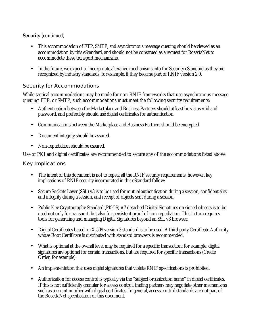### **Security** (continued)

- This accommodation of FTP, SMTP, and asynchronous message queuing should be viewed as an accommodation by this eStandard, and should not be construed as a request for RosettaNet to accommodate these transport mechanisms.
- In the future, we expect to incorporate alterative mechanisms into the Security eStandard as they are recognized by industry standards, for example, if they became part of RNIF version 2.0.

### Security for Accommodations

While tactical accommodations may be made for non-RNIF frameworks that use asynchronous message queuing, FTP, or SMTP, such accommodations must meet the following security requirements:

- Authentication between the Marketplace and Business Partners should at least be via user-id and password, and preferably should use digital certificates for authentication.
- Communications between the Marketplace and Business Partners should be encrypted.
- Document integrity should be assured.
- Non-repudiation should be assured.

Use of PKI and digital certificates are recommended to secure any of the accommodations listed above.

#### Key Implications

- The intent of this document is not to repeat all the RNIF security requirements, however, key implications of RNIF security incorporated in this eStandard follow:
- Secure Sockets Layer (SSL) v3 is to be used for mutual authentication during a session, confidentiality and integrity during a session, and receipt of objects sent during a session.
- Public Key Cryptography Standard (PKCS) #7 detached Digital Signatures on signed objects is to be used not only for transport, but also for persistent proof of non-repudiation. This in turn requires tools for generating and managing Digital Signatures beyond an SSL v3 browser.
- Digital Certificates based on X.509 version 3 standard is to be used. A third party Certificate Authority whose Root Certificate is distributed with standard browsers is recommended.
- What is optional at the overall level may be required for a specific transaction: for example, digital signatures are optional for certain transactions, but are required for specific transactions (Create Order, for example).
- An implementation that uses digital signatures that violate RNIF specifications is prohibited.
- Authorization for access control is typically via the "subject organization name" in digital certificates. If this is not sufficiently granular for access control, trading partners may negotiate other mechanisms such as account number with digital certificates. In general, access control standards are not part of the RosettaNet specification or this document.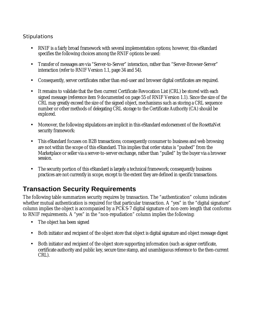### **Stipulations**

- RNIF is a fairly broad framework with several implementation options; however, this eStandard specifies the following choices among the RNIF options be used:
- Transfer of messages are via "Server-to-Server" interaction, rather than "Server-Browser-Server" interaction (refer to RNIF Version 1.1, page 34 and 54).
- Consequently, server certificates rather than end-user and browser digital certificates are required.
- It remains to validate that the then current Certificate Revocation List (CRL) be stored with each signed message (reference item 9 documented on page 55 of RNIF Version 1.1). Since the size of the CRL may greatly exceed the size of the signed object, mechanisms such as storing a CRL sequence number or other methods of delegating CRL storage to the Certificate Authority (CA) should be explored.
- Moreover, the following stipulations are implicit in this eStandard endorsement of the RosettaNet security framework:
- This eStandard focuses on B2B transactions; consequently consumer to business and web browsing are not within the scope of this eStandard. This implies that order status is "pushed" from the Marketplace or seller via a server-to-server exchange, rather than "pulled" by the buyer via a browser session.
- The security portion of this eStandard is largely a technical framework; consequently business practices are not currently in scope, except to the extent they are defined in specific transactions.

## **Transaction Security Requirements**

The following table summarizes security requires by transaction. The "authentication" column indicates whether mutual authentication is required for that particular transaction. A "yes" in the "digital signature" column implies the object is accompanied by a PCKS-7 digital signature of non-zero length that conforms to RNIF requirements. A "yes" in the "non-repudiation" column implies the following:

- The object has been signed
- Both initiator and recipient of the object store that object is digital signature and object message digest
- Both initiator and recipient of the object store supporting information (such as signer certificate, certificate authority and public key, secure time stamp, and unambiguous reference to the then-current CRL).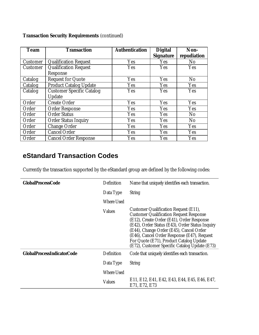| <b>Team</b> | <b>Transaction</b>               | <b>Authentication</b> | <b>Digital</b><br><b>Signature</b> | Non-<br>repudiation |
|-------------|----------------------------------|-----------------------|------------------------------------|---------------------|
| Customer    | <b>Qualification Request</b>     | Yes                   | Yes                                | N <sub>0</sub>      |
| Customer    | <b>Qualification Request</b>     | Yes                   | Yes                                | Yes                 |
|             | Response                         |                       |                                    |                     |
| Catalog     | Request for Quote                | Yes                   | Yes                                | No                  |
| Catalog     | <b>Product Catalog Update</b>    | Yes                   | Yes                                | Yes                 |
| Catalog     | <b>Customer Specific Catalog</b> | Yes                   | Yes                                | Yes                 |
|             | Update                           |                       |                                    |                     |
| Order       | <b>Create Order</b>              | Yes                   | Yes                                | Yes                 |
| Order       | <b>Order Response</b>            | Yes                   | Yes                                | Yes                 |
| Order       | <b>Order Status</b>              | Yes                   | Yes                                | No                  |
| Order       | <b>Order Status Inquiry</b>      | Yes                   | Yes                                | No                  |
| Order       | Change Order                     | Yes                   | Yes                                | Yes                 |
| Order       | <b>Cancel Order</b>              | Yes                   | Yes                                | Yes                 |
| Order       | <b>Cancel Order Response</b>     | Yes                   | Yes                                | Yes                 |

### **Transaction Security Requirements** (continued)

## **eStandard Transaction Codes**

Currently the transaction supported by the eStandard group are defined by the following codes:

| <b>GlobalProcessCode</b>          | Definition    | Name that uniquely identifies each transaction.                                                                                                                                                                                                                                                                                                                               |
|-----------------------------------|---------------|-------------------------------------------------------------------------------------------------------------------------------------------------------------------------------------------------------------------------------------------------------------------------------------------------------------------------------------------------------------------------------|
|                                   | Data Type     | <b>String</b>                                                                                                                                                                                                                                                                                                                                                                 |
|                                   | Where Used    |                                                                                                                                                                                                                                                                                                                                                                               |
|                                   | <b>Values</b> | Customer Qualification Request (E11),<br><b>Customer Qualification Request Response</b><br>(E12), Create Order (E41), Order Response<br>(E42), Order Status (E43), Order Status Inquiry<br>(E44), Change Order (E45), Cancel Order<br>(E46), Cancel Order Response (E47), Request<br>For Quote (E71), Product Catalog Update<br>(E72), Customer Specific Catalog Update (E73) |
| <b>GlobalProcessIndicatorCode</b> | Definition    | Code that uniquely identifies each transaction.                                                                                                                                                                                                                                                                                                                               |
|                                   | Data Type     | <b>String</b>                                                                                                                                                                                                                                                                                                                                                                 |
|                                   | Where Used    |                                                                                                                                                                                                                                                                                                                                                                               |
|                                   | <b>Values</b> | E11, E12, E41, E42, E43, E44, E45, E46, E47,<br>E71, E72, E73                                                                                                                                                                                                                                                                                                                 |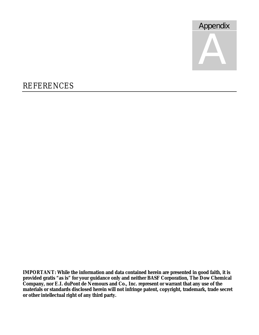

# REFERENCES

**IMPORTANT: While the information and data contained herein are presented in good faith, it is provided gratis "as is" for your guidance only and neither BASF Corporation, The Dow Chemical Company, nor E.I. duPont de Nemours and Co., Inc. represent or warrant that any use of the materials or standards disclosed herein will not infringe patent, copyright, trademark, trade secret or other intellectual right of any third party.**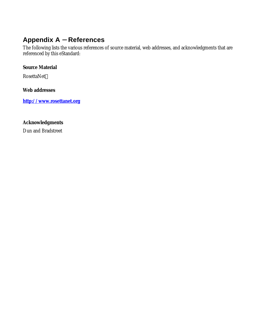### **Appendix A - References**

The following lists the various references of source material, web addresses, and acknowledgments that are referenced by this eStandard:

#### **Source Material**

RosettaNet

#### **Web addresses**

**http://www.rosettanet.org**

### **Acknowledgments**

Dun and Bradstreet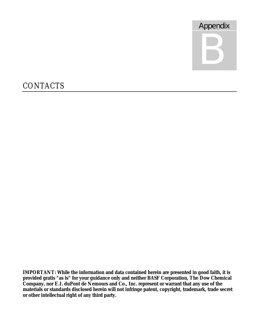

# **CONTACTS**

**IMPORTANT: While the information and data contained herein are presented in good faith, it is provided gratis "as is" for your guidance only and neither BASF Corporation, The Dow Chemical Company, nor E.I. duPont de Nemours and Co., Inc. represent or warrant that any use of the materials or standards disclosed herein will not infringe patent, copyright, trademark, trade secret or other intellectual right of any third party.**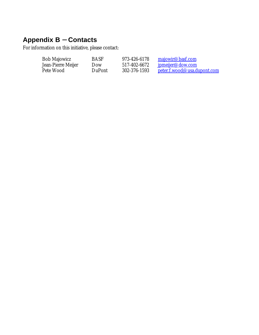# **Appendix B - Contacts**

For information on this initiative, please contact:

| Bob Majowicz       | <b>BASF</b> | 973-426-6178 | <u>majowir@basf.com</u>            |
|--------------------|-------------|--------------|------------------------------------|
| Jean-Pierre Meijer | 10ow        | 517-402-6672 | <u>ipmeijer@dow.com</u>            |
| Pete Wood          | DuPont      | 302-376-1593 | <u>peter.f.wood@usa.dupont.com</u> |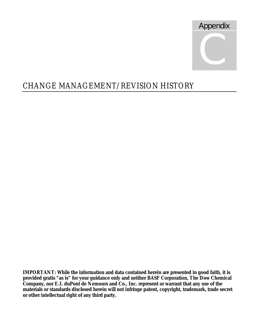

# CHANGE MANAGEMENT/REVISION HISTORY

**IMPORTANT: While the information and data contained herein are presented in good faith, it is provided gratis "as is" for your guidance only and neither BASF Corporation, The Dow Chemical Company, nor E.I. duPont de Nemours and Co., Inc. represent or warrant that any use of the materials or standards disclosed herein will not infringe patent, copyright, trademark, trade secret or other intellectual right of any third party.**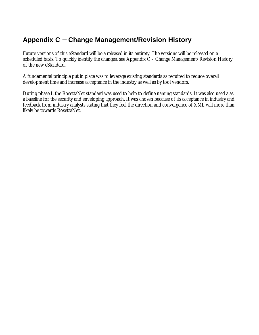## **Appendix C - Change Management/Revision History**

Future versions of this eStandard will be a released in its entirety. The versions will be released on a scheduled basis. To quickly identity the changes, see Appendix  $\tilde{C}$  – Change Management/Revision History of the new eStandard.

A fundamental principle put in place was to leverage existing standards as required to reduce overall development time and increase acceptance in the industry as well as by tool vendors.

During phase I, the RosettaNet standard was used to help to define naming standards. It was also used a as a baseline for the security and enveloping approach. It was chosen because of its acceptance in industry and feedback from industry analysts stating that they feel the direction and convergence of XML will more than likely be towards RosettaNet.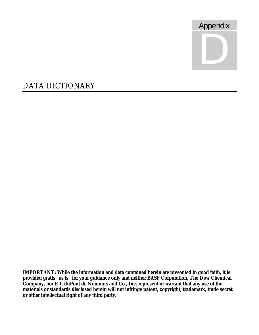

# DATA DICTIONARY

**IMPORTANT: While the information and data contained herein are presented in good faith, it is provided gratis "as is" for your guidance only and neither BASF Corporation, The Dow Chemical Company, nor E.I. duPont de Nemours and Co., Inc. represent or warrant that any use of the materials or standards disclosed herein will not infringe patent, copyright, trademark, trade secret or other intellectual right of any third party.**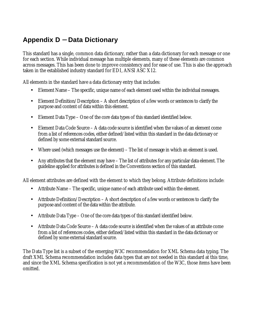## **Appendix D - Data Dictionary**

This standard has a single, common data dictionary, rather than a data dictionary for each message or one for each section. While individual message has multiple elements, many of these elements are common across messages. This has been done to improve consistency and for ease of use. This is also the approach taken in the established industry standard for EDI, ANSI ASC X12.

All elements in the standard have a data dictionary entry that includes:

- Element Name The specific, unique name of each element used within the individual messages.
- Element Definition/Description A short description of a few words or sentences to clarify the purpose and content of data within this element.
- Element Data Type One of the core data types of this standard identified below.
- Element Data Code Source A data code source is identified when the values of an element come from a list of references codes, either defined/listed within this standard in the data dictionary or defined by some external standard source.
- Where used (which messages use the element) The list of message in which an element is used.
- Any attributes that the element may have The list of attributes for any particular data element. The guideline applied for attributes is defined in the Conventions section of this standard.

All element attributes are defined with the element to which they belong. Attribute definitions include:

- Attribute Name The specific, unique name of each attribute used within the element.
- Attribute Definition/Description A short description of a few words or sentences to clarify the purpose and content of the data within the attribute.
- Attribute Data Type One of the core data types of this standard identified below.
- Attribute Data Code Source A data code source is identified when the values of an attribute come from a list of references codes, either defined/listed within this standard in the data dictionary or defined by some external standard source.

The Data Type list is a subset of the emerging W3C recommendation for XML Schema data typing. The draft XML Schema recommendation includes data types that are not needed in this standard at this time, and since the XML Schema specification is not yet a recommendation of the W3C, those items have been omitted.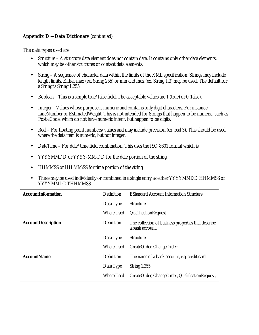The data types used are:

- Structure A structure data element does not contain data. It contains only other data elements, which may be other structures or content data elements.
- String A sequence of character data within the limits of the XML specification. Strings may include length limits. Either max (ex. String 255) or min and max (ex. String 1,3) may be used. The default for a String is String 1,255.
- Boolean This is a simple true/false field. The acceptable values are 1 (true) or 0 (false).
- Integer Values whose purpose is numeric and contains only digit characters. For instance LineNumber or EstimatedWeight. This is not intended for Strings that happen to be numeric, such as PostalCode, which do not have numeric intent, but happen to be digits.
- Real For floating point numbers/values and may include precision (ex. real 3). This should be used where the data item is numeric, but not integer.
- DateTime For date/time field combination. This uses the ISO 8601 format which is:
- YYYYMMDD or YYYY-MM-DD for the date portion of the string
- HHMMSS or HH:MM:SS for time portion of the string
- These may be used individually or combined in a single entry as either YYYYMMDD HHMMSS or YYYYMMDDTHHMMSS

| <b>AccountInformation</b> | Definition        | <b>EStandard Account Information Structure</b>                         |
|---------------------------|-------------------|------------------------------------------------------------------------|
|                           | Data Type         | <b>Structure</b>                                                       |
|                           | Where Used        | <b>QualificationRequest</b>                                            |
| <b>AccountDescription</b> | Definition        | The collection of business properties that describe<br>a bank account. |
|                           | Data Type         | <b>Structure</b>                                                       |
|                           | <b>Where Used</b> | CreateOrder, ChangeOrder                                               |
| <b>AccountName</b>        | Definition        | The name of a bank account, e.g. credit card.                          |
|                           | Data Type         | String $1,255$                                                         |
|                           | Where Used        | CreateOrder, ChangeOrder, QualificationRequest,                        |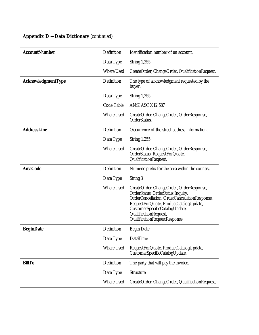| <b>AccountNumber</b> | Definition        | Identification number of an account.                                                                                                                                                                                                                                |
|----------------------|-------------------|---------------------------------------------------------------------------------------------------------------------------------------------------------------------------------------------------------------------------------------------------------------------|
|                      | Data Type         | <b>String 1,255</b>                                                                                                                                                                                                                                                 |
|                      | <b>Where Used</b> | CreateOrder, ChangeOrder, QualificationRequest,                                                                                                                                                                                                                     |
| AcknowledgmentType   | Definition        | The type of acknowledgment requested by the<br>buyer.                                                                                                                                                                                                               |
|                      | Data Type         | <b>String 1,255</b>                                                                                                                                                                                                                                                 |
|                      | Code Table        | ANSI ASC X12 587                                                                                                                                                                                                                                                    |
|                      | Where Used        | CreateOrder, ChangeOrder, OrderResponse,<br>OrderStatus,                                                                                                                                                                                                            |
| <b>AddressLine</b>   | Definition        | Occurrence of the street address information.                                                                                                                                                                                                                       |
|                      | Data Type         | <b>String 1,255</b>                                                                                                                                                                                                                                                 |
|                      | <b>Where Used</b> | CreateOrder, ChangeOrder, OrderResponse,<br>OrderStatus, RequestForQuote,<br>QualificationRequest,                                                                                                                                                                  |
| <b>AreaCode</b>      | Definition        | Numeric prefix for the area within the country.                                                                                                                                                                                                                     |
|                      | Data Type         | String 3                                                                                                                                                                                                                                                            |
|                      | <b>Where Used</b> | CreateOrder, ChangeOrder, OrderResponse,<br>OrderStatus, OrderStatus Inquiry,<br>OrderCancellation, OrderCancellationResponse,<br>RequestForQuote, ProductCatalogUpdate,<br>CustomerSpecificCatalogUpdate,<br>QualificationRequest,<br>QualificationRequestResponse |
| <b>BeginDate</b>     | Definition        | <b>Begin Date</b>                                                                                                                                                                                                                                                   |
|                      | Data Type         | DateTime                                                                                                                                                                                                                                                            |
|                      | <b>Where Used</b> | RequestForQuote, ProductCatalogUpdate,<br>CustomerSpecificCatalogUpdate,                                                                                                                                                                                            |
| <b>BillTo</b>        | Definition        | The party that will pay the invoice.                                                                                                                                                                                                                                |
|                      | Data Type         | Structure                                                                                                                                                                                                                                                           |
|                      | Where Used        | CreateOrder, ChangeOrder, QualificationRequest,                                                                                                                                                                                                                     |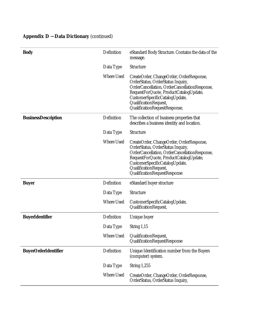| <b>Body</b>                 | Definition | eStandard Body Structure. Contains the data of the<br>message.                                                                                                                                                                                                       |
|-----------------------------|------------|----------------------------------------------------------------------------------------------------------------------------------------------------------------------------------------------------------------------------------------------------------------------|
|                             | Data Type  | <b>Structure</b>                                                                                                                                                                                                                                                     |
|                             | Where Used | CreateOrder, ChangeOrder, OrderResponse,<br>OrderStatus, OrderStatus Inquiry,<br>OrderCancellation, OrderCancellationResponse,<br>RequestForQuote, ProductCatalogUpdate,<br>CustomerSpecificCatalogUpdate,<br>QualificationRequest,<br>QualificationRequestResponse, |
| <b>BusinessDescription</b>  | Definition | The collection of business properties that<br>describes a business identity and location.                                                                                                                                                                            |
|                             | Data Type  | <b>Structure</b>                                                                                                                                                                                                                                                     |
|                             | Where Used | CreateOrder, ChangeOrder, OrderResponse,<br>OrderStatus, OrderStatus Inquiry,<br>OrderCancellation, OrderCancellationResponse,<br>RequestForQuote, ProductCatalogUpdate,<br>CustomerSpecificCatalogUpdate,<br>QualificationRequest,<br>QualificationRequestResponse  |
| <b>Buyer</b>                | Definition | eStandard buyer structure                                                                                                                                                                                                                                            |
|                             | Data Type  | Structure                                                                                                                                                                                                                                                            |
|                             | Where Used | CustomerSpecificCatalogUpdate,<br>QualificationRequest,                                                                                                                                                                                                              |
| <b>BuyerIdentifier</b>      | Definition | Unique buyer                                                                                                                                                                                                                                                         |
|                             | Data Type  | String 1,15                                                                                                                                                                                                                                                          |
|                             | Where Used | QualificationRequest,<br>QualificationRequestResponse                                                                                                                                                                                                                |
| <b>BuyerOrderIdentifier</b> | Definition | Unique Identification number from the Buyers<br>(computer) system.                                                                                                                                                                                                   |
|                             | Data Type  | <b>String 1,255</b>                                                                                                                                                                                                                                                  |
|                             | Where Used | CreateOrder, ChangeOrder, OrderResponse,<br>OrderStatus, OrderStatus Inquiry,                                                                                                                                                                                        |
|                             |            |                                                                                                                                                                                                                                                                      |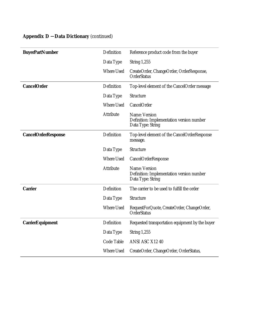| <b>BuyerPartNumber</b>     | Definition        | Reference product code from the buyer                                           |
|----------------------------|-------------------|---------------------------------------------------------------------------------|
|                            | Data Type         | <b>String 1,255</b>                                                             |
|                            | <b>Where Used</b> | CreateOrder, ChangeOrder, OrderResponse,<br><b>OrderStatus</b>                  |
| <b>CancelOrder</b>         | Definition        | Top-level element of the CancelOrder message                                    |
|                            | Data Type         | Structure                                                                       |
|                            | <b>Where Used</b> | CancelOrder                                                                     |
|                            | Attribute         | Name: Version<br>Definition: Implementation version number<br>Data Type: String |
| <b>CancelOrderResponse</b> | Definition        | Top-level element of the CancelOrderResponse<br>message.                        |
|                            | Data Type         | Structure                                                                       |
|                            | <b>Where Used</b> | <b>CancelOrderResponse</b>                                                      |
|                            | Attribute         | Name: Version<br>Definition: Implementation version number<br>Data Type: String |
| <b>Carrier</b>             | Definition        | The carrier to be used to fulfill the order                                     |
|                            | Data Type         | <b>Structure</b>                                                                |
|                            | <b>Where Used</b> | RequestForQuote, CreateOrder, ChangeOrder,<br><b>OrderStatus</b>                |
| <b>CarrierEquipment</b>    | Definition        | Requested transportation equipment by the buyer                                 |
|                            | Data Type         | <b>String 1,255</b>                                                             |
|                            | Code Table        | ANSI ASC X12 40                                                                 |
|                            | <b>Where Used</b> | CreateOrder, ChangeOrder, OrderStatus,                                          |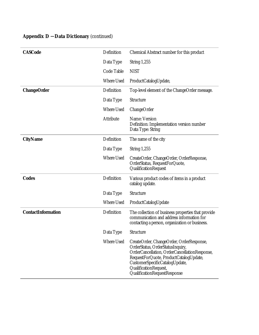| <b>CASCode</b>            | Definition        | Chemical Abstract number for this product                                                                                                                                                                                                                          |
|---------------------------|-------------------|--------------------------------------------------------------------------------------------------------------------------------------------------------------------------------------------------------------------------------------------------------------------|
|                           | Data Type         | <b>String 1,255</b>                                                                                                                                                                                                                                                |
|                           | Code Table        | <b>NIST</b>                                                                                                                                                                                                                                                        |
|                           | <b>Where Used</b> | ProductCatalogUpdate,                                                                                                                                                                                                                                              |
| <b>ChangeOrder</b>        | Definition        | Top-level element of the ChangeOrder message.                                                                                                                                                                                                                      |
|                           | Data Type         | Structure                                                                                                                                                                                                                                                          |
|                           | <b>Where Used</b> | ChangeOrder                                                                                                                                                                                                                                                        |
|                           | Attribute         | Name: Version<br>Definition: Implementation version number<br>Data Type: String                                                                                                                                                                                    |
| <b>CityName</b>           | Definition        | The name of the city                                                                                                                                                                                                                                               |
|                           | Data Type         | <b>String 1,255</b>                                                                                                                                                                                                                                                |
|                           | <b>Where Used</b> | CreateOrder, ChangeOrder, OrderResponse,<br>OrderStatus, RequestForQuote,<br>QualificationRequest                                                                                                                                                                  |
| <b>Codes</b>              | Definition        | Various product codes of items in a product<br>catalog update.                                                                                                                                                                                                     |
|                           | Data Type         | Structure                                                                                                                                                                                                                                                          |
|                           | <b>Where Used</b> | ProductCatalogUpdate                                                                                                                                                                                                                                               |
| <b>ContactInformation</b> | Definition        | The collection of business properties that provide<br>communication and address information for<br>contacting a person, organization or business.                                                                                                                  |
|                           | Data Type         | Structure                                                                                                                                                                                                                                                          |
|                           | <b>Where Used</b> | CreateOrder, ChangeOrder, OrderResponse,<br>OrderStatus, OrderStatusInquiry,<br>OrderCancellation, OrderCancellationResponse,<br>RequestForQuote, ProductCatalogUpdate,<br>CustomerSpecificCatalogUpdate,<br>QualificationRequest,<br>QualificationRequestResponse |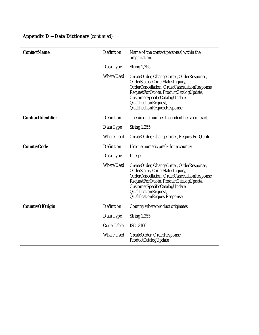| <b>ContactName</b>        | Definition        | Name of the contact person(s) within the<br>organization.                                                                                                                                                                                                          |
|---------------------------|-------------------|--------------------------------------------------------------------------------------------------------------------------------------------------------------------------------------------------------------------------------------------------------------------|
|                           | Data Type         | <b>String 1,255</b>                                                                                                                                                                                                                                                |
|                           | Where Used        | CreateOrder, ChangeOrder, OrderResponse,<br>OrderStatus, OrderStatusInquiry,<br>OrderCancellation, OrderCancellationResponse,<br>RequestForQuote, ProductCatalogUpdate,<br>CustomerSpecificCatalogUpdate,<br>QualificationRequest,<br>QualificationRequestResponse |
| <b>ContractIdentifier</b> | Definition        | The unique number than identifies a contract.                                                                                                                                                                                                                      |
|                           | Data Type         | <b>String 1,255</b>                                                                                                                                                                                                                                                |
|                           | <b>Where Used</b> | CreateOrder, ChangeOrder, RequestForQuote                                                                                                                                                                                                                          |
| <b>CountryCode</b>        | Definition        | Unique numeric prefix for a country                                                                                                                                                                                                                                |
|                           | Data Type         | Integer                                                                                                                                                                                                                                                            |
|                           | <b>Where Used</b> | CreateOrder, ChangeOrder, OrderResponse,<br>OrderStatus, OrderStatusInquiry,<br>OrderCancellation, OrderCancellationResponse,<br>RequestForQuote, ProductCatalogUpdate,<br>CustomerSpecificCatalogUpdate,<br>QualificationRequest,<br>QualificationRequestResponse |
| <b>CountryOfOrigin</b>    | Definition        | Country where product originates.                                                                                                                                                                                                                                  |
|                           | Data Type         | <b>String 1,255</b>                                                                                                                                                                                                                                                |
|                           | Code Table        | <b>ISO 3166</b>                                                                                                                                                                                                                                                    |
|                           | <b>Where Used</b> | CreateOrder, OrderResponse,<br>ProductCatalogUpdate                                                                                                                                                                                                                |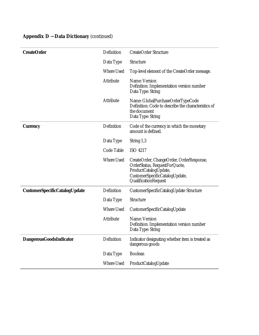| <b>CreateOrder</b>                   | Definition        | <b>CreateOrder Structure</b>                                                                                                                                 |
|--------------------------------------|-------------------|--------------------------------------------------------------------------------------------------------------------------------------------------------------|
|                                      | Data Type         | Structure                                                                                                                                                    |
|                                      | Where Used        | Top-level element of the CreateOrder message.                                                                                                                |
|                                      | Attribute         | Name: Version<br>Definition: Implementation version number<br>Data Type: String                                                                              |
|                                      | Attribute         | Name: GlobalPurchaseOrderTypeCode<br>Definition: Code to describe the characteristics of<br>the document<br>Data Type: String                                |
| <b>Currency</b>                      | Definition        | Code of the currency in which the monetary<br>amount is defined.                                                                                             |
|                                      | Data Type         | String 1,3                                                                                                                                                   |
|                                      | Code Table        | ISO 4217                                                                                                                                                     |
|                                      | <b>Where Used</b> | CreateOrder, ChangeOrder, OrderResponse,<br>OrderStatus, RequestForQuote,<br>ProductCatalogUpdate,<br>CustomerSpecificCatalogUpdate,<br>QualificationRequest |
| <b>CustomerSpecificCatalogUpdate</b> | Definition        | CustomerSpecificCatalogUpdate Structure                                                                                                                      |
|                                      | Data Type         | Structure                                                                                                                                                    |
|                                      | <b>Where Used</b> | CustomerSpecificCatalogUpdate                                                                                                                                |
|                                      | <b>Attribute</b>  | Name: Version<br>Definition: Implementation version number<br>Data Type: String                                                                              |
| <b>DangerousGoodsIndicator</b>       | Definition        | Indicator designating whether item is treated as<br>dangerous goods                                                                                          |
|                                      | Data Type         | <b>Boolean</b>                                                                                                                                               |
|                                      | <b>Where Used</b> | ProductCatalogUpdate                                                                                                                                         |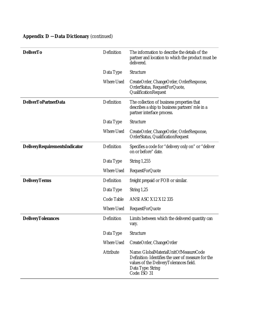|  | <b>Appendix D - Data Dictionary (continued)</b> |  |
|--|-------------------------------------------------|--|
|--|-------------------------------------------------|--|

| <b>DeliverTo</b>              | Definition        | The information to describe the details of the<br>partner and location to which the product must be<br>delivered.                                                           |
|-------------------------------|-------------------|-----------------------------------------------------------------------------------------------------------------------------------------------------------------------------|
|                               | Data Type         | Structure                                                                                                                                                                   |
|                               | <b>Where Used</b> | CreateOrder, ChangeOrder, OrderResponse,<br>OrderStatus, RequestForQuote,<br>QualificationRequest                                                                           |
| <b>DeliverToPartnerData</b>   | Definition        | The collection of business properties that<br>describes a ship to business partners' role in a<br>partner interface process.                                                |
|                               | Data Type         | <b>Structure</b>                                                                                                                                                            |
|                               | <b>Where Used</b> | CreateOrder, ChangeOrder, OrderResponse,<br>OrderStatus, QualificationRequest                                                                                               |
| DeliveryRequirementsIndicator | Definition        | Specifies a code for "delivery only on" or "deliver<br>on or before" date.                                                                                                  |
|                               | Data Type         | <b>String 1,255</b>                                                                                                                                                         |
|                               | Where Used        | <b>RequestForQuote</b>                                                                                                                                                      |
| <b>DeliveryTerms</b>          | Definition        | freight prepaid or FOB or similar.                                                                                                                                          |
|                               | Data Type         | String $1,25$                                                                                                                                                               |
|                               | Code Table        | <b>ANSI ASC X12 X12 335</b>                                                                                                                                                 |
|                               | Where Used        | <b>RequestForQuote</b>                                                                                                                                                      |
| <b>DeliveryTolerances</b>     | Definition        | Limits between which the delivered quantity can<br>vary.                                                                                                                    |
|                               | Data Type         | Structure                                                                                                                                                                   |
|                               | Where Used        | CreateOrder, ChangeOrder                                                                                                                                                    |
|                               | Attribute         | Name: GlobalMaterialUnitOfMeasureCode<br>Definition: Identifies the user of measure for the<br>values of the DeliveryTolerances field.<br>Data Type: String<br>Code: ISO 31 |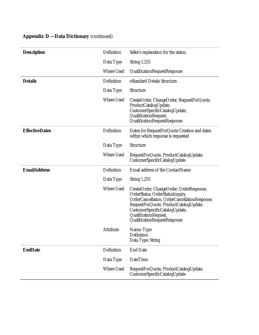| <b>Description</b>    | Definition        | Seller's explanation for the status.                                                                                                                                                                                                                               |
|-----------------------|-------------------|--------------------------------------------------------------------------------------------------------------------------------------------------------------------------------------------------------------------------------------------------------------------|
|                       | Data Type         | <b>String 1,255</b>                                                                                                                                                                                                                                                |
|                       | <b>Where Used</b> | QualificationRequestResponse                                                                                                                                                                                                                                       |
| <b>Details</b>        | Definition        | eStandard Details Structure.                                                                                                                                                                                                                                       |
|                       | Data Type         | Structure                                                                                                                                                                                                                                                          |
|                       | <b>Where Used</b> | CreateOrder, ChangeOrder, RequestForQuote,<br>ProductCatalogUpdate,<br>CustomerSpecificCatalogUpdate,<br>QualificationRequest,<br>QualificationRequestResponse                                                                                                     |
| <b>EffectiveDates</b> | Definition        | Dates for RequestForQuote Creation and dates<br>within which response is requested                                                                                                                                                                                 |
|                       | Data Type         | Structure                                                                                                                                                                                                                                                          |
|                       | <b>Where Used</b> | RequestForQuote, ProductCatalogUpdate,<br>CustomerSpecificCatalogUpdate                                                                                                                                                                                            |
| <b>EmailAddress</b>   | Definition        | Email address of the ContactName                                                                                                                                                                                                                                   |
|                       | Data Type         | <b>String 1,255</b>                                                                                                                                                                                                                                                |
|                       | <b>Where Used</b> | CreateOrder, ChangeOrder, OrderResponse,<br>OrderStatus, OrderStatusInquiry,<br>OrderCancellation, OrderCancellationResponse,<br>RequestForQuote, ProductCatalogUpdate,<br>CustomerSpecificCatalogUpdate,<br>QualificationRequest,<br>QualificationRequestResponse |
|                       | Attribute         | Name: Type<br>Definition:<br>Data Type: String                                                                                                                                                                                                                     |
| <b>EndDate</b>        | Definition        | <b>End Date</b>                                                                                                                                                                                                                                                    |
|                       | Data Type         | DateTime                                                                                                                                                                                                                                                           |
|                       | <b>Where Used</b> | RequestForQuote, ProductCatalogUpdate,<br>CustomerSpecificCatalogUpdate                                                                                                                                                                                            |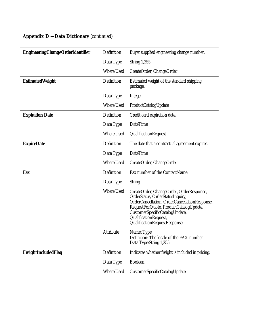|  | <b>Appendix D - Data Dictionary (continued)</b> |  |
|--|-------------------------------------------------|--|
|--|-------------------------------------------------|--|

| <b>EngineeringChangeOrderIdentifier</b> | Definition        | Buyer supplied engineering change number.                                                                                                                                                                                                                          |
|-----------------------------------------|-------------------|--------------------------------------------------------------------------------------------------------------------------------------------------------------------------------------------------------------------------------------------------------------------|
|                                         | Data Type         | <b>String 1,255</b>                                                                                                                                                                                                                                                |
|                                         | <b>Where Used</b> | CreateOrder, ChangeOrder                                                                                                                                                                                                                                           |
| <b>EstimatedWeight</b>                  | Definition        | Estimated weight of the standard shipping<br>package.                                                                                                                                                                                                              |
|                                         | Data Type         | <b>Integer</b>                                                                                                                                                                                                                                                     |
|                                         | <b>Where Used</b> | ProductCatalogUpdate                                                                                                                                                                                                                                               |
| <b>Expiration Date</b>                  | Definition        | Credit card expiration date.                                                                                                                                                                                                                                       |
|                                         | Data Type         | <b>DateTime</b>                                                                                                                                                                                                                                                    |
|                                         | <b>Where Used</b> | QualificationRequest                                                                                                                                                                                                                                               |
| <b>ExpiryDate</b>                       | Definition        | The date that a contractual agreement expires.                                                                                                                                                                                                                     |
|                                         | Data Type         | <b>DateTime</b>                                                                                                                                                                                                                                                    |
|                                         | <b>Where Used</b> | CreateOrder, ChangeOrder                                                                                                                                                                                                                                           |
| Fax                                     | Definition        | Fax number of the ContactName.                                                                                                                                                                                                                                     |
|                                         | Data Type         | <b>String</b>                                                                                                                                                                                                                                                      |
|                                         | <b>Where Used</b> | CreateOrder, ChangeOrder, OrderResponse,<br>OrderStatus, OrderStatusInquiry,<br>OrderCancellation, OrderCancellationResponse,<br>RequestForQuote, ProductCatalogUpdate,<br>CustomerSpecificCatalogUpdate,<br>QualificationRequest,<br>QualificationRequestResponse |
|                                         | Attribute         | Name: Type<br>Definition: The locale of the FAX number<br>Data Type:String 1,255                                                                                                                                                                                   |
| FreightIncludedFlag                     | Definition        | Indicates whether freight is included in pricing.                                                                                                                                                                                                                  |
|                                         | Data Type         | <b>Boolean</b>                                                                                                                                                                                                                                                     |
|                                         | Where Used        | CustomerSpecificCatalogUpdate                                                                                                                                                                                                                                      |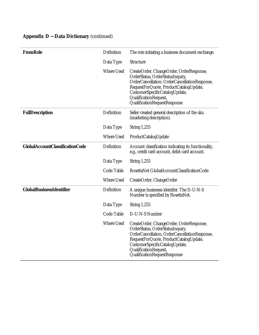| <b>FromRole</b>                        | Definition        | The role initiating a business document exchange.                                                                                                                                                                                                                  |
|----------------------------------------|-------------------|--------------------------------------------------------------------------------------------------------------------------------------------------------------------------------------------------------------------------------------------------------------------|
|                                        | Data Type         | <b>Structure</b>                                                                                                                                                                                                                                                   |
|                                        | <b>Where Used</b> | CreateOrder, ChangeOrder, OrderResponse,<br>OrderStatus, OrderStatusInquiry,<br>OrderCancellation, OrderCancellationResponse,<br>RequestForQuote, ProductCatalogUpdate,<br>CustomerSpecificCatalogUpdate,<br>QualificationRequest,<br>QualificationRequestResponse |
| <b>FullDescription</b>                 | Definition        | Seller created general description of the sku<br>(marketing description).                                                                                                                                                                                          |
|                                        | Data Type         | <b>String 1,255</b>                                                                                                                                                                                                                                                |
|                                        | <b>Where Used</b> | ProductCatalogUpdate                                                                                                                                                                                                                                               |
| <b>GlobalAccountClassificationCode</b> | Definition        | Account classification indicating its functionality,<br>e.g., credit card account, debit card account.                                                                                                                                                             |
|                                        | Data Type         | <b>String 1,255</b>                                                                                                                                                                                                                                                |
|                                        | Code Table        | RosettaNet GlobalAccountClassificationCode                                                                                                                                                                                                                         |
|                                        | <b>Where Used</b> | CreateOrder, ChangeOrder                                                                                                                                                                                                                                           |
| <b>GlobalBusinessIdentifier</b>        | Definition        | A unique businesss identifer. The D-U-N-S<br>Number is specified by RosettaNet.                                                                                                                                                                                    |
|                                        | Data Type         | <b>String 1,255</b>                                                                                                                                                                                                                                                |
|                                        | Code Table        | D-U-N-S Number                                                                                                                                                                                                                                                     |
|                                        | Where Used        | CreateOrder, ChangeOrder, OrderResponse,<br>OrderStatus, OrderStatusInquiry,<br>OrderCancellation, OrderCancellationResponse,<br>RequestForQuote, ProductCatalogUpdate,<br>CustomerSpecificCatalogUpdate,<br>QualificationRequest,<br>QualificationRequestResponse |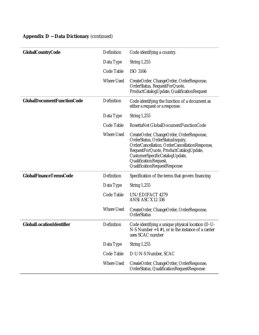| <b>GlobalCountryCode</b>          | Definition        | Code identifying a country.                                                                                                                                                                                                                                        |
|-----------------------------------|-------------------|--------------------------------------------------------------------------------------------------------------------------------------------------------------------------------------------------------------------------------------------------------------------|
|                                   |                   |                                                                                                                                                                                                                                                                    |
|                                   | Data Type         | <b>String 1,255</b>                                                                                                                                                                                                                                                |
|                                   | Code Table        | <b>ISO 3166</b>                                                                                                                                                                                                                                                    |
|                                   | <b>Where Used</b> | CreateOrder, ChangeOrder, OrderResponse,<br>OrderStatus, RequestForQuote,<br>ProductCatalogUpdate, QualificationRequest                                                                                                                                            |
| <b>GlobalDocumentFunctionCode</b> | Definition        | Code identifying the function of a document as<br>either a request or a response.                                                                                                                                                                                  |
|                                   | Data Type         | <b>String 1,255</b>                                                                                                                                                                                                                                                |
|                                   | Code Table        | RosettaNet GlobalDocumentFunctionCode                                                                                                                                                                                                                              |
|                                   | <b>Where Used</b> | CreateOrder, ChangeOrder, OrderResponse,<br>OrderStatus, OrderStatusInquiry,<br>OrderCancellation, OrderCancellationResponse,<br>RequestForQuote, ProductCatalogUpdate,<br>CustomerSpecificCatalogUpdate,<br>QualificationRequest,<br>QualificationRequestResponse |
| <b>GlobalFinanceTermsCode</b>     | Definition        | Specification of the terms that govern financing                                                                                                                                                                                                                   |
|                                   | Data Type         | <b>String 1,255</b>                                                                                                                                                                                                                                                |
|                                   | Code Table        | UN/EDIFACT 4279<br>ANSI ASC X12 336                                                                                                                                                                                                                                |
|                                   | <b>Where Used</b> | CreateOrder, ChangeOrder, OrderResponse,<br>OrderStatus                                                                                                                                                                                                            |
| <b>GlobalLocationIdentifier</b>   | Definition        | Code identifying a unique physical location (D-U-<br>N-S Number $+4$ #), or in the instance of a carrier<br>uses SCAC number                                                                                                                                       |
|                                   | Data Type         | <b>String 1,255</b>                                                                                                                                                                                                                                                |
|                                   | Code Table        | D-U-N-S Number, SCAC                                                                                                                                                                                                                                               |
|                                   | Where Used        | CreateOrder, ChangeOrder, OrderResponse,<br>OrderStatus, QualificationRequestResponse                                                                                                                                                                              |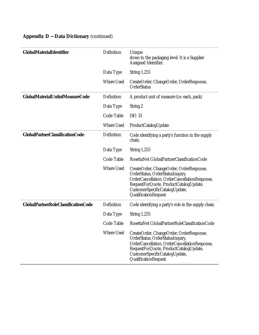| <b>Appendix D - Data Dictionary (continued)</b> |  |
|-------------------------------------------------|--|
|                                                 |  |

| GlobalMaterialIdentifier                   | Definition        | Unique<br>down to the packaging level. It is a Supplier<br>Assigned Identifier.                                                                                                                                                   |
|--------------------------------------------|-------------------|-----------------------------------------------------------------------------------------------------------------------------------------------------------------------------------------------------------------------------------|
|                                            | Data Type         | <b>String 1,255</b>                                                                                                                                                                                                               |
|                                            | <b>Where Used</b> | CreateOrder, ChangeOrder, OrderResponse,<br>OrderStatus                                                                                                                                                                           |
| <b>GlobalMaterialUnitofMeasureCode</b>     | Definition        | A product unit of measure (i.e. each, pack)                                                                                                                                                                                       |
|                                            | Data Type         | String 2                                                                                                                                                                                                                          |
|                                            | Code Table        | ISO <sub>31</sub>                                                                                                                                                                                                                 |
|                                            | <b>Where Used</b> | ProductCatalogUpdate                                                                                                                                                                                                              |
| <b>GlobalPartnerClassificationCode</b>     | Definition        | Code identifying a party's function in the supply<br>chain.                                                                                                                                                                       |
|                                            | Data Type         | <b>String 1,255</b>                                                                                                                                                                                                               |
|                                            | Code Table        | RosettaNet GlobalPartnerClassificationCode                                                                                                                                                                                        |
|                                            | <b>Where Used</b> | CreateOrder, ChangeOrder, OrderResponse,<br>OrderStatus, OrderStatusInquiry,<br>OrderCancellation, OrderCancellationResponse,<br>RequestForQuote, ProductCatalogUpdate,<br>CustomerSpecificCatalogUpdate,<br>QualificationRequest |
| <b>GlobalPartnerRoleClassificationCode</b> | Definition        | Code identifying a party's role in the supply chain.                                                                                                                                                                              |
|                                            | Data Type         | <b>String 1,255</b>                                                                                                                                                                                                               |
|                                            | Code Table        | RosettaNet GlobalPartnerRoleClassificationCode                                                                                                                                                                                    |
|                                            | Where Used        | CreateOrder, ChangeOrder, OrderResponse,<br>OrderStatus, OrderStatusInquiry,<br>OrderCancellation, OrderCancellationResponse,<br>RequestForQuote, ProductCatalogUpdate,<br>CustomerSpecificCatalogUpdate,<br>QualificationRequest |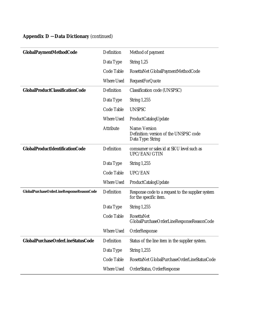|  | <b>Appendix D - Data Dictionary (continued)</b> |  |
|--|-------------------------------------------------|--|
|--|-------------------------------------------------|--|

| <b>GlobalPaymentMethodCode</b>            | Definition        | Method of payment                                                            |
|-------------------------------------------|-------------------|------------------------------------------------------------------------------|
|                                           | Data Type         | String 1,25                                                                  |
|                                           | Code Table        | RosettaNet GlobalPaymentMethodCode                                           |
|                                           | <b>Where Used</b> | <b>RequestForQuote</b>                                                       |
| <b>GlobalProductClassificationCode</b>    | Definition        | Classification code (UNSPSC)                                                 |
|                                           | Data Type         | <b>String 1,255</b>                                                          |
|                                           | Code Table        | <b>UNSPSC</b>                                                                |
|                                           | <b>Where Used</b> | ProductCatalogUpdate                                                         |
|                                           | Attribute         | Name: Version<br>Definition: version of the UNSPSC code<br>Data Type: String |
| GlobalProductIdentificationCode           | Definition        | comsumer or sales id at SKU level such as<br>UPC/EAN/GTIN                    |
|                                           | Data Type         | <b>String 1,255</b>                                                          |
|                                           | Code Table        | UPC/EAN                                                                      |
|                                           | <b>Where Used</b> | ProductCatalogUpdate                                                         |
| GlobalPurchaseOrderLineResponseReasonCode | Definition        | Response code to a request to the supplier system<br>for the specific item.  |
|                                           | Data Type         | <b>String 1,255</b>                                                          |
|                                           | Code Table        | <b>RosettaNet</b><br>GlobalPurchaseOrderLineResponseReasonCode               |
|                                           | <b>Where Used</b> | OrderResponse                                                                |
| GlobalPurchaseOrderLineStatusCode         | Definition        | Status of the line item in the supplier system.                              |
|                                           | Data Type         | <b>String 1,255</b>                                                          |
|                                           | Code Table        | RosettaNet GlobalPurchaseOrderLineStatusCode                                 |
|                                           | Where Used        | OrderStatus, OrderResponse                                                   |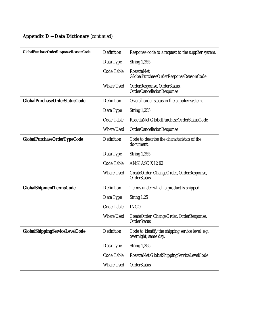|  |  | <b>Appendix D - Data Dictionary (continued)</b> |  |
|--|--|-------------------------------------------------|--|
|--|--|-------------------------------------------------|--|

| GlobalPurchaseOrderResponseReasonCode | Definition        | Response code to a request to the supplier system.                         |
|---------------------------------------|-------------------|----------------------------------------------------------------------------|
|                                       | Data Type         | <b>String 1,255</b>                                                        |
|                                       | Code Table        | <b>RosettaNet</b><br>GlobalPurchaseOrderResponseReasonCode                 |
|                                       | <b>Where Used</b> | OrderResponse, OrderStatus,<br>OrderCancellationResponse                   |
| <b>GlobalPurchaseOrderStatusCode</b>  | Definition        | Overall order status in the supplier system.                               |
|                                       | Data Type         | <b>String 1,255</b>                                                        |
|                                       | Code Table        | RosettaNet GlobalPurchaseOrderStatusCode                                   |
|                                       | <b>Where Used</b> | OrderCancellationResponse                                                  |
| <b>GlobalPurchaseOrderTypeCode</b>    | Definition        | Code to describe the characteristics of the<br>document.                   |
|                                       | Data Type         | <b>String 1,255</b>                                                        |
|                                       | Code Table        | ANSI ASC X12 92                                                            |
|                                       | <b>Where Used</b> | CreateOrder, ChangeOrder, OrderResponse,<br>OrderStatus                    |
| <b>GlobalShipmentTermsCode</b>        | Definition        | Terms under which a product is shipped.                                    |
|                                       | Data Type         | String 1,25                                                                |
|                                       | Code Table        | <b>INCO</b>                                                                |
|                                       | <b>Where Used</b> | CreateOrder, ChangeOrder, OrderResponse,<br>OrderStatus                    |
| GlobalShippingServiceLevelCode        | Definition        | Code to identify the shipping service level, e.g.,<br>overnight, same day. |
|                                       | Data Type         | <b>String 1,255</b>                                                        |
|                                       | Code Table        | RosettaNet GlobalShippingServiceLevelCode                                  |
|                                       | Where Used        | OrderStatus                                                                |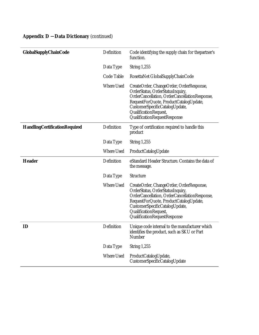| <b>GlobalSupplyChainCode</b>         | Definition        | Code identifying the supply chain for the partner's<br>function.                                                                                                                                                                                                   |
|--------------------------------------|-------------------|--------------------------------------------------------------------------------------------------------------------------------------------------------------------------------------------------------------------------------------------------------------------|
|                                      | Data Type         | <b>String 1,255</b>                                                                                                                                                                                                                                                |
|                                      | Code Table        | RosettaNet GlobalSupplyChainCode                                                                                                                                                                                                                                   |
|                                      | <b>Where Used</b> | CreateOrder, ChangeOrder, OrderResponse,<br>OrderStatus, OrderStatusInquiry,<br>OrderCancellation, OrderCancellationResponse,<br>RequestForQuote, ProductCatalogUpdate,<br>CustomerSpecificCatalogUpdate,<br>QualificationRequest,<br>QualificationRequestResponse |
| <b>HandlingCertificationRequired</b> | Definition        | Type of certification required to handle this<br>product                                                                                                                                                                                                           |
|                                      | Data Type         | <b>String 1,255</b>                                                                                                                                                                                                                                                |
|                                      | <b>Where Used</b> | ProductCatalogUpdate                                                                                                                                                                                                                                               |
| <b>Header</b>                        | Definition        | eStandard Header Structure. Contains the data of<br>the message.                                                                                                                                                                                                   |
|                                      | Data Type         | Structure                                                                                                                                                                                                                                                          |
|                                      | <b>Where Used</b> | CreateOrder, ChangeOrder, OrderResponse,<br>OrderStatus, OrderStatusInquiry,<br>OrderCancellation, OrderCancellationResponse,<br>RequestForQuote, ProductCatalogUpdate,<br>CustomerSpecificCatalogUpdate,<br>QualificationRequest,<br>QualificationRequestResponse |
| ID                                   | Definition        | Unique code internal to the manufacturer which<br>identifies the product, such as SKU or Part<br>Number                                                                                                                                                            |
|                                      | Data Type         | <b>String 1,255</b>                                                                                                                                                                                                                                                |
|                                      | Where Used        | ProductCatalogUpdate,<br>CustomerSpecificCatalogUpdate                                                                                                                                                                                                             |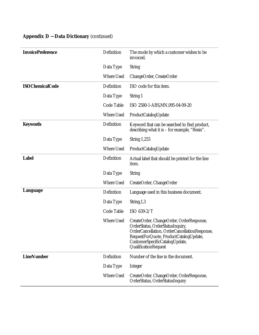| <b>InvoicePreference</b> | Definition        | The mode by which a customer wishes to be                                                                                                                                                                                         |
|--------------------------|-------------------|-----------------------------------------------------------------------------------------------------------------------------------------------------------------------------------------------------------------------------------|
|                          |                   | invoiced.                                                                                                                                                                                                                         |
|                          | Data Type         | <b>String</b>                                                                                                                                                                                                                     |
|                          | <b>Where Used</b> | ChangeOrder, CreateOrder                                                                                                                                                                                                          |
| <b>ISOChemicalCode</b>   | Definition        | ISO code for this item.                                                                                                                                                                                                           |
|                          | Data Type         | String 1                                                                                                                                                                                                                          |
|                          | Code Table        | ISO 2580-1-ABS, MN, 095-04-09-20                                                                                                                                                                                                  |
|                          | <b>Where Used</b> | ProductCatalogUpdate                                                                                                                                                                                                              |
| <b>Keywords</b>          | Definition        | Keyword that can be searched to find product,<br>describing what it is $-$ for example, "Resin".                                                                                                                                  |
|                          | Data Type         | <b>String 1,255</b>                                                                                                                                                                                                               |
|                          | <b>Where Used</b> | ProductCatalogUpdate                                                                                                                                                                                                              |
| <b>Label</b>             | Definition        | Actual label that should be printed for the line<br>item.                                                                                                                                                                         |
|                          | Data Type         | <b>String</b>                                                                                                                                                                                                                     |
|                          | <b>Where Used</b> | CreateOrder, ChangeOrder                                                                                                                                                                                                          |
|                          |                   |                                                                                                                                                                                                                                   |
| Language                 | Definition        | Language used in this business document.                                                                                                                                                                                          |
|                          | Data Type         | String, 1,3                                                                                                                                                                                                                       |
|                          | Code Table        | ISO 639-2/T                                                                                                                                                                                                                       |
|                          | <b>Where Used</b> | CreateOrder, ChangeOrder, OrderResponse,<br>OrderStatus, OrderStatusInquiry,<br>OrderCancellation, OrderCancellationResponse,<br>RequestForQuote, ProductCatalogUpdate,<br>CustomerSpecificCatalogUpdate,<br>QualificationRequest |
| <b>LineNumber</b>        | Definition        | Number of the line in the document.                                                                                                                                                                                               |
|                          | Data Type         | <b>Integer</b>                                                                                                                                                                                                                    |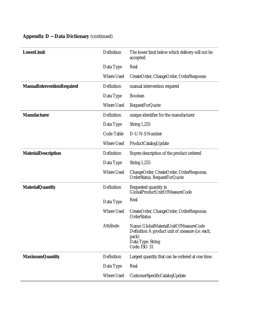| <b>LowerLimit</b>                 | Definition        | The lower limit below which delivery will not be<br>accepted.                                                                           |
|-----------------------------------|-------------------|-----------------------------------------------------------------------------------------------------------------------------------------|
|                                   | Data Type         | Real                                                                                                                                    |
|                                   | <b>Where Used</b> | CreateOrder, ChangeOrder, OrderResponse                                                                                                 |
| <b>ManualInterventionRequired</b> | Definition        | manual intervention required                                                                                                            |
|                                   | Data Type         | <b>Boolean</b>                                                                                                                          |
|                                   | <b>Where Used</b> | <b>RequestForQuote</b>                                                                                                                  |
| <b>Manufacturer</b>               | Definition        | unique identifier for the manufacturer                                                                                                  |
|                                   | Data Type         | <b>String 1,255</b>                                                                                                                     |
|                                   | Code Table        | D-U-N-S Number                                                                                                                          |
|                                   | <b>Where Used</b> | ProductCatalogUpdate                                                                                                                    |
| <b>MaterialDescription</b>        | Definition        | Buyers description of the product ordered                                                                                               |
|                                   | Data Type         | <b>String 1,255</b>                                                                                                                     |
|                                   | <b>Where Used</b> | ChangeOrder, CreateOrder, OrderResponse,<br>OrderStatus, RequestForQuote                                                                |
| <b>MaterialQuantity</b>           | Definition        | Requested quantity in<br>GlobalProductUnitOfMeasureCode                                                                                 |
|                                   | Data Type         | Real                                                                                                                                    |
|                                   | <b>Where Used</b> | CreateOrder, ChangeOrder, OrderResponse,<br>OrderStatus                                                                                 |
|                                   | Attribute         | Name: GlobalMaterialUnitOfMeasureCode<br>Definition A product unit of measure (i.e. each,<br>pack)<br>Data Type: String<br>Code: ISO 31 |
| <b>MaximumQuantity</b>            | Definition        | Largest quantity that can be ordered at one time.                                                                                       |
|                                   | Data Type         | Real                                                                                                                                    |
|                                   | <b>Where Used</b> | CustomerSpecificCatalogUpdate                                                                                                           |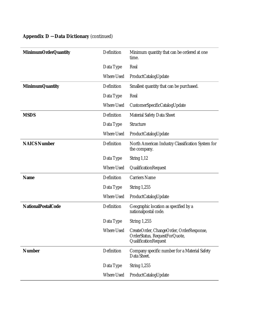| <b>MinimumOrderQuantity</b> | Definition        | Minimum quantity that can be ordered at one<br>time.                                              |
|-----------------------------|-------------------|---------------------------------------------------------------------------------------------------|
|                             | Data Type         | Real                                                                                              |
|                             | <b>Where Used</b> | ProductCatalogUpdate                                                                              |
| <b>MinimumQuantity</b>      | Definition        | Smallest quantity that can be purchased.                                                          |
|                             | Data Type         | Real                                                                                              |
|                             | <b>Where Used</b> | CustomerSpecificCatalogUpdate                                                                     |
| <b>MSDS</b>                 | Definition        | <b>Material Safety Data Sheet</b>                                                                 |
|                             | Data Type         | Structure                                                                                         |
|                             | <b>Where Used</b> | ProductCatalogUpdate                                                                              |
| <b>NAICS Number</b>         | Definition        | North American Industry Classification System for<br>the company.                                 |
|                             | Data Type         | String 1,12                                                                                       |
|                             | <b>Where Used</b> | QualificationRequest                                                                              |
| <b>Name</b>                 | Definition        | <b>Carriers Name</b>                                                                              |
|                             | Data Type         | <b>String 1,255</b>                                                                               |
|                             | <b>Where Used</b> | ProductCatalogUpdate                                                                              |
| <b>NationalPostalCode</b>   | Definition        | Geographic location as specified by a<br>nationalpostal code.                                     |
|                             | Data Type         | <b>String 1,255</b>                                                                               |
|                             | <b>Where Used</b> | CreateOrder, ChangeOrder, OrderResponse,<br>OrderStatus, RequestForQuote,<br>QualificationRequest |
| <b>Number</b>               | Definition        | Company specific number for a Material Safety<br>Data Sheet.                                      |
|                             | Data Type         | <b>String 1,255</b>                                                                               |
|                             | <b>Where Used</b> | ProductCatalogUpdate                                                                              |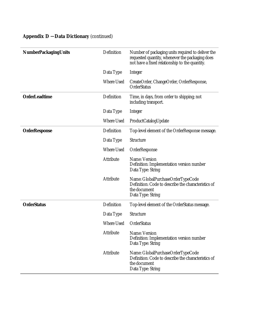|  |  |  |  | <b>Appendix D - Data Dictionary (continued)</b> |  |
|--|--|--|--|-------------------------------------------------|--|
|--|--|--|--|-------------------------------------------------|--|

| <b>NumberPackagingUnits</b> | Definition        | Number of packaging units required to deliver the<br>requested quantity, whenever the packaging does<br>not have a fixed relationship to the quantity. |
|-----------------------------|-------------------|--------------------------------------------------------------------------------------------------------------------------------------------------------|
|                             | Data Type         | Integer                                                                                                                                                |
|                             | <b>Where Used</b> | CreateOrder, ChangeOrder, OrderResponse,<br>OrderStatus                                                                                                |
| <b>OrderLeadtime</b>        | Definition        | Time, in days, from order to shipping; not<br>including transport.                                                                                     |
|                             | Data Type         | Integer                                                                                                                                                |
|                             | <b>Where Used</b> | ProductCatalogUpdate                                                                                                                                   |
| <b>OrderResponse</b>        | Definition        | Top-level element of the OrderResponse message.                                                                                                        |
|                             | Data Type         | <b>Structure</b>                                                                                                                                       |
|                             | <b>Where Used</b> | OrderResponse                                                                                                                                          |
|                             | Attribute         | Name: Version<br>Definition: Implementation version number<br>Data Type: String                                                                        |
|                             | Attribute         | Name: GlobalPurchaseOrderTypeCode<br>Definition: Code to describe the characteristics of<br>the document<br>Data Type: String                          |
| <b>OrderStatus</b>          | Definition        | Top-level element of the OrderStatus message.                                                                                                          |
|                             | Data Type         | Structure                                                                                                                                              |
|                             | <b>Where Used</b> | OrderStatus                                                                                                                                            |
|                             | Attribute         | Name: Version<br>Definition: Implementation version number<br>Data Type: String                                                                        |
|                             | Attribute         | Name: GlobalPurchaseOrderTypeCode<br>Definition: Code to describe the characteristics of<br>the document<br>Data Type: String                          |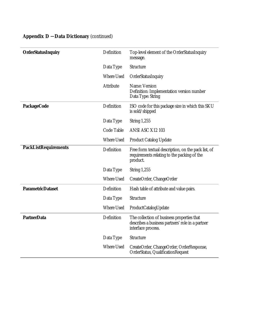|  | <b>Appendix D - Data Dictionary (continued)</b> |  |
|--|-------------------------------------------------|--|
|--|-------------------------------------------------|--|

| <b>OrderStatusInquiry</b>   | Definition        | Top-level element of the OrderStatusInquiry<br>message.                                                              |
|-----------------------------|-------------------|----------------------------------------------------------------------------------------------------------------------|
|                             | Data Type         | Structure                                                                                                            |
|                             | <b>Where Used</b> | OrderStatusInquiry                                                                                                   |
|                             | Attribute         | Name: Version<br>Definition: Implementation version number<br>Data Type: String                                      |
| <b>PackageCode</b>          | Definition        | ISO code for this package size in which this SKU<br>is sold/shipped                                                  |
|                             | Data Type         | <b>String 1,255</b>                                                                                                  |
|                             | Code Table        | ANSI ASC X12 103                                                                                                     |
|                             | Where Used        | <b>Product Catalog Update</b>                                                                                        |
| <b>PackListRequirements</b> | Definition        | Free form textual description, on the pack list, of<br>requirements relating to the packing of the<br>product.       |
|                             | Data Type         | String $1,255$                                                                                                       |
|                             | <b>Where Used</b> | CreateOrder, ChangeOrder                                                                                             |
| <b>ParametricDataset</b>    | Definition        | Hash table of attribute and value pairs.                                                                             |
|                             | Data Type         | Structure                                                                                                            |
|                             | <b>Where Used</b> | ProductCatalogUpdate                                                                                                 |
| <b>PartnerData</b>          | Definition        | The collection of business properties that<br>describes a business partners' role in a partner<br>interface process. |
|                             | Data Type         | Structure                                                                                                            |
|                             | <b>Where Used</b> | CreateOrder, ChangeOrder, OrderResponse,<br>OrderStatus, QualificationRequest                                        |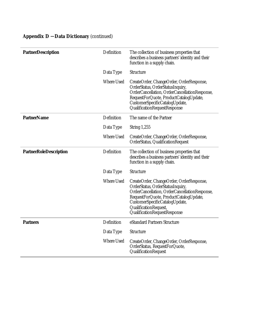| <b>PartnerDescription</b>     | Definition        | The collection of business properties that<br>describes a business partners' identity and their<br>function in a supply chain.                                                                                                                                     |
|-------------------------------|-------------------|--------------------------------------------------------------------------------------------------------------------------------------------------------------------------------------------------------------------------------------------------------------------|
|                               | Data Type         | Structure                                                                                                                                                                                                                                                          |
|                               | <b>Where Used</b> | CreateOrder, ChangeOrder, OrderResponse,<br>OrderStatus, OrderStatusInquiry,<br>OrderCancellation, OrderCancellationResponse,<br>RequestForQuote, ProductCatalogUpdate,<br>CustomerSpecificCatalogUpdate,<br>QualificationRequestResponse                          |
| <b>PartnerName</b>            | Definition        | The name of the Partner                                                                                                                                                                                                                                            |
|                               | Data Type         | <b>String 1,255</b>                                                                                                                                                                                                                                                |
|                               | <b>Where Used</b> | CreateOrder, ChangeOrder, OrderResponse,<br>OrderStatus, QualificationRequest                                                                                                                                                                                      |
| <b>PartnerRoleDescription</b> | Definition        | The collection of business properties that<br>describes a business partners' identity and their<br>function in a supply chain.                                                                                                                                     |
|                               | Data Type         | Structure                                                                                                                                                                                                                                                          |
|                               | <b>Where Used</b> | CreateOrder, ChangeOrder, OrderResponse,<br>OrderStatus, OrderStatusInquiry,<br>OrderCancellation, OrderCancellationResponse,<br>RequestForQuote, ProductCatalogUpdate,<br>CustomerSpecificCatalogUpdate,<br>QualificationRequest,<br>QualificationRequestResponse |
| <b>Partners</b>               | Definition        | eStandard Partners Structure                                                                                                                                                                                                                                       |
|                               | Data Type         | <b>Structure</b>                                                                                                                                                                                                                                                   |
|                               | <b>Where Used</b> | CreateOrder, ChangeOrder, OrderResponse,<br>OrderStatus, RequestForQuote,<br>QualificationRequest                                                                                                                                                                  |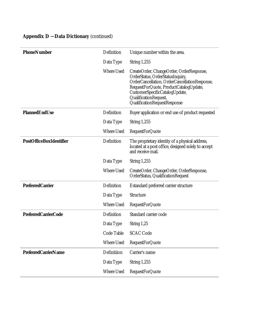| <b>PhoneNumber</b>             | Definition        | Unique number within the area.                                                                                                                                                                                                                                     |
|--------------------------------|-------------------|--------------------------------------------------------------------------------------------------------------------------------------------------------------------------------------------------------------------------------------------------------------------|
|                                | Data Type         | <b>String 1,255</b>                                                                                                                                                                                                                                                |
|                                | <b>Where Used</b> | CreateOrder, ChangeOrder, OrderResponse,<br>OrderStatus, OrderStatusInquiry,<br>OrderCancellation, OrderCancellationResponse,<br>RequestForQuote, ProductCatalogUpdate,<br>CustomerSpecificCatalogUpdate,<br>QualificationRequest,<br>QualificationRequestResponse |
| <b>PlannedEndUse</b>           | Definition        | Buyer application or end use of product requested                                                                                                                                                                                                                  |
|                                | Data Type         | <b>String 1,255</b>                                                                                                                                                                                                                                                |
|                                | <b>Where Used</b> | <b>RequestForQuote</b>                                                                                                                                                                                                                                             |
| <b>PostOfficeBoxIdentifier</b> | Definition        | The proprietary identity of a physical address,<br>located at a post office, designed solely to accept<br>and receive mail.                                                                                                                                        |
|                                | Data Type         | <b>String 1,255</b>                                                                                                                                                                                                                                                |
|                                | <b>Where Used</b> | CreateOrder, ChangeOrder, OrderResponse,<br>OrderStatus, QualificationRequest                                                                                                                                                                                      |
| <b>PreferredCarrier</b>        | Definition        | Estandard preferred carrier structure                                                                                                                                                                                                                              |
|                                | Data Type         | <b>Structure</b>                                                                                                                                                                                                                                                   |
|                                | <b>Where Used</b> | <b>RequestForQuote</b>                                                                                                                                                                                                                                             |
| <b>PreferredCarrierCode</b>    | Definition        | Standard carrier code                                                                                                                                                                                                                                              |
|                                | Data Type         | String $1,25$                                                                                                                                                                                                                                                      |
|                                | Code Table        | <b>SCAC Code</b>                                                                                                                                                                                                                                                   |
|                                | Where Used        | <b>RequestForQuote</b>                                                                                                                                                                                                                                             |
| <b>PreferredCarrierName</b>    | Definitiion       | Carrier's name                                                                                                                                                                                                                                                     |
|                                | Data Type         | <b>String 1,255</b>                                                                                                                                                                                                                                                |
|                                | Where Used        | <b>RequestForQuote</b>                                                                                                                                                                                                                                             |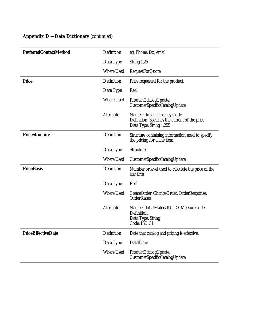| <b>PreferredContactMethod</b> | Definition        | eg. Phone, fax, email                                                                                   |
|-------------------------------|-------------------|---------------------------------------------------------------------------------------------------------|
|                               | Data Type         | String $1,25$                                                                                           |
|                               | <b>Where Used</b> | <b>RequestForQuote</b>                                                                                  |
| <b>Price</b>                  | Definition        | Price requested for the product.                                                                        |
|                               | Data Type         | Real                                                                                                    |
|                               | <b>Where Used</b> | ProductCatalogUpdate,<br>CustomerSpecificCatalogUpdate                                                  |
|                               | Attribute         | Name: Global Currency Code<br>Definition: Specifies the current of the price<br>Data Type: String 1,255 |
| <b>PriceStructure</b>         | Definition        | Structure containing information used to specify<br>the pricing for a line item.                        |
|                               | Data Type         | Structure                                                                                               |
|                               | <b>Where Used</b> | CustomerSpecificCatalogUpdate                                                                           |
| <b>PriceBasis</b>             | Definition        | Number or level used to calculate the price of the<br>line item                                         |
|                               | Data Type         | Real                                                                                                    |
|                               | <b>Where Used</b> | CreateOrder, ChangeOrder, OrderResponse,<br>OrderStatus                                                 |
|                               | <b>Attribute</b>  | Name: GlobalMaterialUnitOfMeasureCode<br>Definition:<br>Data Type: String<br>Code: ISO 31               |
| <b>PriceEffectiveDate</b>     | Definition        | Date that catalog and pricing is effective.                                                             |
|                               | Data Type         | <b>DateTime</b>                                                                                         |
|                               | <b>Where Used</b> | ProductCatalogUpdate,<br>CustomerSpecificCatalogUpdate                                                  |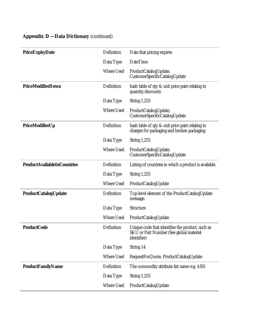| <b>PriceExpiryDate</b>             | Definition        | Date that pricing expires                                                                                         |
|------------------------------------|-------------------|-------------------------------------------------------------------------------------------------------------------|
|                                    | Data Type         | <b>DateTime</b>                                                                                                   |
|                                    | <b>Where Used</b> | ProductCatalogUpdate,<br>CustomerSpecificCatalogUpdate                                                            |
| <b>PriceModifierDown</b>           | Definition        | hash table of qty & unit price pairs relating to<br>quantity discounts                                            |
|                                    | Data Type         | <b>String 1,255</b>                                                                                               |
|                                    | <b>Where Used</b> | ProductCatalogUpdate,<br>CustomerSpecificCatalogUpdate                                                            |
| PriceModifierUp                    | Definition        | hash table of qty & unit price pairs relating to<br>charges for packaging and broken packaging                    |
|                                    | Data Type         | <b>String 1,255</b>                                                                                               |
|                                    | <b>Where Used</b> | ProductCatalogUpdate,<br>CustomerSpecificCatalogUpdate                                                            |
| <b>ProductAvailableInCountries</b> | Definition        | Listing of countries in which a product is available.                                                             |
|                                    | Data Type         | <b>String 1,255</b>                                                                                               |
|                                    | <b>Where Used</b> | ProductCatalogUpdate                                                                                              |
| <b>ProductCatalogUpdate</b>        | Definition        | Top-level element of the ProductCatalogUpdate<br>message.                                                         |
|                                    | Data Type         | Structure                                                                                                         |
|                                    | <b>Where Used</b> | ProductCatalogUpdate                                                                                              |
| <b>ProductCode</b>                 | Definition        | Unique code that identifies the product, such as<br><b>SKU</b> or Part Number (See global material<br>identifier) |
|                                    | Data Type         | String 14                                                                                                         |
|                                    | Where Used        | RequestForQuote, ProductCatalogUpdate                                                                             |
| <b>ProductFamilyName</b>           | Definition        | The commodity attribute list name e.g. ABS                                                                        |
|                                    | Data Type         | <b>String 1,255</b>                                                                                               |
|                                    | Where Used        | ProductCatalogUpdate                                                                                              |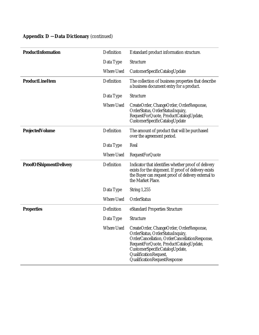| <b>ProductInformation</b>      | Definition        | Estandard product information structure.                                                                                                                                                                                                                           |
|--------------------------------|-------------------|--------------------------------------------------------------------------------------------------------------------------------------------------------------------------------------------------------------------------------------------------------------------|
|                                | Data Type         | Structure                                                                                                                                                                                                                                                          |
|                                | <b>Where Used</b> |                                                                                                                                                                                                                                                                    |
|                                |                   | CustomerSpecificCatalogUpdate                                                                                                                                                                                                                                      |
| <b>ProductLineItem</b>         | Definition        | The collection of business properties that describe<br>a business document entry for a product.                                                                                                                                                                    |
|                                | Data Type         | Structure                                                                                                                                                                                                                                                          |
|                                | <b>Where Used</b> | CreateOrder, ChangeOrder, OrderResponse,<br>OrderStatus, OrderStatusInquiry,<br>RequestForQuote, ProductCatalogUpdate,<br>CustomerSpecificCatalogUpdate                                                                                                            |
| <b>ProjectedVolume</b>         | Definition        | The amount of product that will be purchased<br>over the agreement period.                                                                                                                                                                                         |
|                                | Data Type         | Real                                                                                                                                                                                                                                                               |
|                                | <b>Where Used</b> | <b>RequestForQuote</b>                                                                                                                                                                                                                                             |
| <b>ProofOfShipmentDelivery</b> | Definition        | Indicator that identifies whether proof of delivery<br>exists for the shipment. If proof of delivery exists<br>the Buyer can request proof of delivery external to<br>the Market Place.                                                                            |
|                                | Data Type         | <b>String 1,255</b>                                                                                                                                                                                                                                                |
|                                | <b>Where Used</b> | OrderStatus                                                                                                                                                                                                                                                        |
| <b>Properties</b>              | Definition        | eStandard Properties Structure                                                                                                                                                                                                                                     |
|                                | Data Type         | Structure                                                                                                                                                                                                                                                          |
|                                | <b>Where Used</b> | CreateOrder, ChangeOrder, OrderResponse,<br>OrderStatus, OrderStatusInquiry,<br>OrderCancellation, OrderCancellationResponse,<br>RequestForQuote, ProductCatalogUpdate,<br>CustomerSpecificCatalogUpdate,<br>QualificationRequest,<br>QualificationRequestResponse |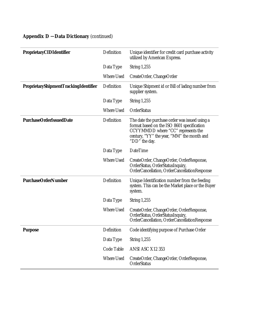|  | <b>Appendix D - Data Dictionary (continued)</b> |  |
|--|-------------------------------------------------|--|
|--|-------------------------------------------------|--|

| <b>ProprietaryCIDIdentifier</b>              | Definition        | Unique identifier for credit card purchase activity<br>utilized by American Express.                                                                                                              |
|----------------------------------------------|-------------------|---------------------------------------------------------------------------------------------------------------------------------------------------------------------------------------------------|
|                                              | Data Type         | <b>String 1,255</b>                                                                                                                                                                               |
|                                              | <b>Where Used</b> | CreateOrder, ChangeOrder                                                                                                                                                                          |
| <b>ProprietaryShipmentTrackingIdentifier</b> | Definition        | Unique Shipment id or Bill of lading number from<br>supplier system.                                                                                                                              |
|                                              | Data Type         | <b>String 1,255</b>                                                                                                                                                                               |
|                                              | <b>Where Used</b> | OrderStatus                                                                                                                                                                                       |
| <b>PurchaseOrderIssuedDate</b>               | Definition        | The date the purchase order was issued using a<br>format based on the ISO 8601 specification<br>CCYYMMDD where "CC" represents the<br>century, "YY" the year, "MM" the month and<br>"DD" the day. |
|                                              | Data Type         | <b>DateTime</b>                                                                                                                                                                                   |
|                                              | <b>Where Used</b> | CreateOrder, ChangeOrder, OrderResponse,<br>OrderStatus, OrderStatusInquiry,<br>OrderCancellation, OrderCancellationResponse                                                                      |
| <b>PurchaseOrderNumber</b>                   | Definition        | Unique Identification number from the feeding<br>system. This can be the Market place or the Buyer<br>system.                                                                                     |
|                                              | Data Type         | <b>String 1,255</b>                                                                                                                                                                               |
|                                              | <b>Where Used</b> | CreateOrder, ChangeOrder, OrderResponse,<br>OrderStatus, OrderStatusInquiry,<br>OrderCancellation, OrderCancellationResponse                                                                      |
| <b>Purpose</b>                               | Definition        | Code identifying purpose of Purchase Order                                                                                                                                                        |
|                                              | Data Type         | <b>String 1,255</b>                                                                                                                                                                               |
|                                              | Code Table        | ANSI ASC X12 353                                                                                                                                                                                  |
|                                              | Where Used        | CreateOrder, ChangeOrder, OrderResponse,<br>OrderStatus                                                                                                                                           |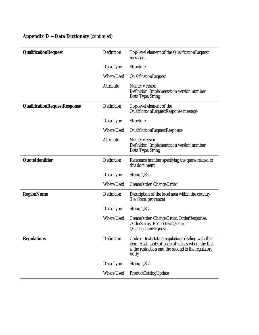|  | <b>Appendix D - Data Dictionary (continued)</b> |  |
|--|-------------------------------------------------|--|
|--|-------------------------------------------------|--|

| <b>QualificationRequest</b>  | Definition        | Top-level element of the QualificationRequest<br>message.                                                                                                                |
|------------------------------|-------------------|--------------------------------------------------------------------------------------------------------------------------------------------------------------------------|
|                              | Data Type         | Structure                                                                                                                                                                |
|                              | <b>Where Used</b> | QualificationRequest                                                                                                                                                     |
|                              | Attribute         | Name: Version<br>Definition: Implementation version number<br>Data Type: String                                                                                          |
| QualificationRequestResponse | Definition        | Top-level element of the<br>QualificationRequestResponse message.                                                                                                        |
|                              | Data Type         | Structure                                                                                                                                                                |
|                              | <b>Where Used</b> | QualificationRequestResponse                                                                                                                                             |
|                              | Attribute         | Name: Version<br>Definition: Implementation version number<br>Data Type: String                                                                                          |
| QuoteIdentifier              | Definition        | Reference number specifying the quote related to<br>this document                                                                                                        |
|                              | Data Type         | <b>String 1,255</b>                                                                                                                                                      |
|                              | <b>Where Used</b> | CreateOrder, ChangeOrder                                                                                                                                                 |
| <b>RegionName</b>            | Definition        | Description of the local area within the country<br>(I.e. State, provence)                                                                                               |
|                              | Data Type         | <b>String 1,255</b>                                                                                                                                                      |
|                              | <b>Where Used</b> | CreateOrder, ChangeOrder, OrderResponse,<br>OrderStatus, RequestForQuote,<br>QualificationRequest                                                                        |
| <b>Regulations</b>           | Definition        | Code or text stating regulations dealing with this<br>item. Hash table of pairs of values where the first<br>is the restriction and the second is the regulatory<br>body |
|                              | Data Type         | <b>String 1,255</b>                                                                                                                                                      |
|                              | Where Used        | ProductCatalogUpdate                                                                                                                                                     |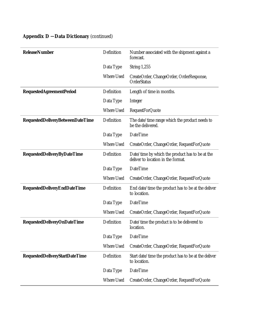| <b>ReleaseNumber</b>                    | Definition        | Number associated with the shipment against a<br>forecast.                            |
|-----------------------------------------|-------------------|---------------------------------------------------------------------------------------|
|                                         | Data Type         | <b>String 1,255</b>                                                                   |
|                                         | <b>Where Used</b> | CreateOrder, ChangeOrder, OrderResponse,<br><b>OrderStatus</b>                        |
| <b>RequestedAgreementPeriod</b>         | Definition        | Length of time in months.                                                             |
|                                         | Data Type         | Integer                                                                               |
|                                         | <b>Where Used</b> | <b>RequestForQuote</b>                                                                |
| <b>RequestedDeliveryBetweenDateTime</b> | Definition        | The date/time range which the product needs to<br>be the delivered.                   |
|                                         | Data Type         | DateTime                                                                              |
|                                         | <b>Where Used</b> | CreateOrder, ChangeOrder, RequestForQuote                                             |
| <b>RequestedDeliveryByDateTime</b>      | Definition        | Date/time by which the product has to be at the<br>deliver to location in the format. |
|                                         | Data Type         | <b>DateTime</b>                                                                       |
|                                         | <b>Where Used</b> | CreateOrder, ChangeOrder, RequestForQuote                                             |
| <b>RequestedDeliveryEndDateTime</b>     | Definition        | End date/time the product has to be at the deliver<br>to location.                    |
|                                         | Data Type         | <b>DateTime</b>                                                                       |
|                                         | <b>Where Used</b> | CreateOrder, ChangeOrder, RequestForQuote                                             |
| <b>RequestedDeliveryOnDateTime</b>      | Definition        | Date/time the product is to be delivered to<br>location.                              |
|                                         | Data Type         | <b>DateTime</b>                                                                       |
|                                         | <b>Where Used</b> | CreateOrder, ChangeOrder, RequestForQuote                                             |
| <b>RequestedDeliveryStartDateTime</b>   | Definition        | Start date/time the product has to be at the deliver<br>to location.                  |
|                                         | Data Type         | <b>DateTime</b>                                                                       |
|                                         |                   |                                                                                       |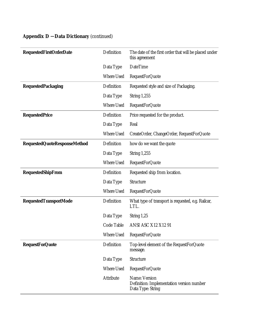| <b>RequestedFirstOrderDate</b>      | Definition        | The date of the first order that will be placed under<br>this agreement         |
|-------------------------------------|-------------------|---------------------------------------------------------------------------------|
|                                     | Data Type         | <b>DateTime</b>                                                                 |
|                                     | Where Used        | <b>RequestForQuote</b>                                                          |
| <b>RequestedPackaging</b>           | Definition        | Requested style and size of Packaging.                                          |
|                                     | Data Type         | <b>String 1,255</b>                                                             |
|                                     | <b>Where Used</b> | <b>RequestForQuote</b>                                                          |
| <b>RequestedPrice</b>               | Definition        | Price requested for the product.                                                |
|                                     | Data Type         | Real                                                                            |
|                                     | <b>Where Used</b> | CreateOrder, ChangeOrder, RequestForQuote                                       |
| <b>RequestedQuoteResponseMethod</b> | Definition        | how do we want the quote                                                        |
|                                     | Data Type         | <b>String 1,255</b>                                                             |
|                                     | Where Used        | <b>RequestForQuote</b>                                                          |
| <b>RequestedShipFrom</b>            | Definition        | Requested ship from location.                                                   |
|                                     | Data Type         | Structure                                                                       |
|                                     | Where Used        | <b>RequestForQuote</b>                                                          |
| <b>RequestedTransportMode</b>       | Definition        | What type of transport is requested, e.g. Railcar,<br>LTL.                      |
|                                     | Data Type         | String 1,25                                                                     |
|                                     | Code Table        | ANSI ASC X12 X12 91                                                             |
|                                     | <b>Where Used</b> | <b>RequestForQuote</b>                                                          |
| <b>RequestForQuote</b>              | Definition        | Top-level element of the RequestForQuote<br>message.                            |
|                                     | Data Type         | Structure                                                                       |
|                                     | Where Used        | <b>RequestForQuote</b>                                                          |
|                                     | Attribute         | Name: Version<br>Definition: Implementation version number<br>Data Type: String |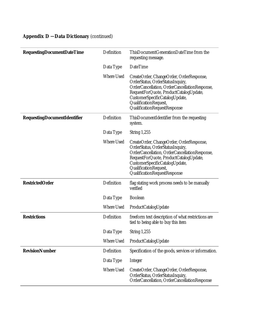| <b>RequestingDocumentDateTime</b>   | Definition        | ThisDocumentGenerationDateTime from the<br>requesting message.                                                                                                                                                                                                     |
|-------------------------------------|-------------------|--------------------------------------------------------------------------------------------------------------------------------------------------------------------------------------------------------------------------------------------------------------------|
|                                     | Data Type         | <b>DateTime</b>                                                                                                                                                                                                                                                    |
|                                     | <b>Where Used</b> | CreateOrder, ChangeOrder, OrderResponse,<br>OrderStatus, OrderStatusInquiry,<br>OrderCancellation, OrderCancellationResponse,<br>RequestForQuote, ProductCatalogUpdate,<br>CustomerSpecificCatalogUpdate,<br>QualificationRequest,<br>QualificationRequestResponse |
| <b>RequestingDocumentIdentifier</b> | Definition        | ThisDocumentIdentifier from the requesting<br>system.                                                                                                                                                                                                              |
|                                     | Data Type         | <b>String 1,255</b>                                                                                                                                                                                                                                                |
|                                     | <b>Where Used</b> | CreateOrder, ChangeOrder, OrderResponse,<br>OrderStatus, OrderStatusInquiry,<br>OrderCancellation, OrderCancellationResponse,<br>RequestForQuote, ProductCatalogUpdate,<br>CustomerSpecificCatalogUpdate,<br>QualificationRequest,<br>QualificationRequestResponse |
| <b>RestrictedOrder</b>              | Definition        | flag stating work process needs to be manually<br>verified                                                                                                                                                                                                         |
|                                     | Data Type         | <b>Boolean</b>                                                                                                                                                                                                                                                     |
|                                     | <b>Where Used</b> | ProductCatalogUpdate                                                                                                                                                                                                                                               |
| <b>Restrictions</b>                 | Definition        | freeform text description of what restrictions are<br>tied to being able to buy this item                                                                                                                                                                          |
|                                     | Data Type         | String $1,255$                                                                                                                                                                                                                                                     |
|                                     | <b>Where Used</b> | ProductCatalogUpdate                                                                                                                                                                                                                                               |
| <b>RevisionNumber</b>               | Definition        | Specification of the goods, services or information.                                                                                                                                                                                                               |
|                                     | Data Type         | <b>Integer</b>                                                                                                                                                                                                                                                     |
|                                     | <b>Where Used</b> | CreateOrder, ChangeOrder, OrderResponse,<br>OrderStatus, OrderStatusInquiry,<br>OrderCancellation, OrderCancellationResponse                                                                                                                                       |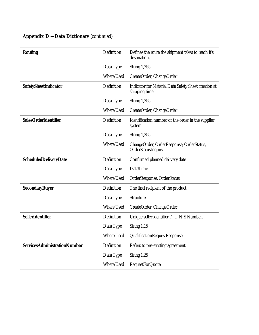| <b>Routing</b>                      | Definition        | Defines the route the shipment takes to reach it's<br>destination.     |
|-------------------------------------|-------------------|------------------------------------------------------------------------|
|                                     | Data Type         | <b>String 1,255</b>                                                    |
|                                     | Where Used        | CreateOrder, ChangeOrder                                               |
| SafetySheetIndicator                | Definition        | Indicator for Material Data Safety Sheet creation at<br>shipping time. |
|                                     | Data Type         | <b>String 1,255</b>                                                    |
|                                     | <b>Where Used</b> | CreateOrder, ChangeOrder                                               |
| <b>SalesOrderIdentifier</b>         | Definition        | Identification number of the order in the supplier<br>system.          |
|                                     | Data Type         | <b>String 1,255</b>                                                    |
|                                     | <b>Where Used</b> | ChangeOrder, OrderResponse, OrderStatus,<br>OrderStatusInquiry         |
| <b>ScheduledDeliveryDate</b>        | Definition        | Confirmed planned delivery date                                        |
|                                     | Data Type         | <b>DateTime</b>                                                        |
|                                     | <b>Where Used</b> | OrderResponse, OrderStatus                                             |
| <b>SecondaryBuyer</b>               | Definition        | The final recipient of the product.                                    |
|                                     | Data Type         | Structure                                                              |
|                                     | <b>Where Used</b> | CreateOrder, ChangeOrder                                               |
| <b>SellerIdentifier</b>             | Definition        | Unique seller identifier D-U-N-S Number.                               |
|                                     | Data Type         | String $1,15$                                                          |
|                                     | Where Used        | QualificationRequestResponse                                           |
| <b>ServicesAdministrationNumber</b> | Definition        | Refers to pre-existing agreement.                                      |
|                                     | Data Type         | String 1,25                                                            |
|                                     | Where Used        | <b>RequestForQuote</b>                                                 |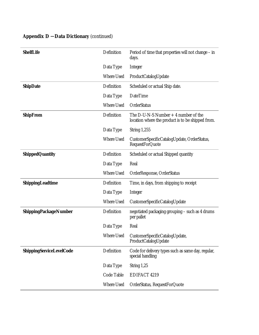| <b>ShelfLife</b>             | Definition        | Period of time that properties will not change – in<br>days.                               |
|------------------------------|-------------------|--------------------------------------------------------------------------------------------|
|                              | Data Type         | <b>Integer</b>                                                                             |
|                              | <b>Where Used</b> | ProductCatalogUpdate                                                                       |
| <b>ShipDate</b>              | Definition        | Scheduled or actual Ship date.                                                             |
|                              | Data Type         | <b>DateTime</b>                                                                            |
|                              | <b>Where Used</b> | OrderStatus                                                                                |
| <b>ShipFrom</b>              | Definition        | The D-U-N-S Number $+4$ number of the<br>location where the product is to be shipped from. |
|                              | Data Type         | <b>String 1,255</b>                                                                        |
|                              | <b>Where Used</b> | CustomerSpecificCatalogUpdate, OrderStatus,<br><b>RequestForQuote</b>                      |
| <b>ShippedQuantity</b>       | Definition        | Scheduled or actual Shipped quantity                                                       |
|                              | Data Type         | Real                                                                                       |
|                              | <b>Where Used</b> | OrderResponse, OrderStatus                                                                 |
| ShippingLeadtime             | Definition        | Time, in days, from shipping to receipt                                                    |
|                              | Data Type         | <b>Integer</b>                                                                             |
|                              | <b>Where Used</b> | CustomerSpecificCatalogUpdate                                                              |
| <b>ShippingPackageNumber</b> | Definition        | negotiated packaging grouping - such as 4 drums<br>per pallet                              |
|                              | Data Type         | Real                                                                                       |
|                              | Where Used        | CustomerSpecificCatalogUpdate,<br>ProductCatalogUpdate                                     |
| ShippingServiceLevelCode     | Definition        | Code for delivery types such as same day, regular,<br>special handling                     |
|                              | Data Type         | String $1,25$                                                                              |
|                              | Code Table        | EDIFACT 4219                                                                               |
|                              | Where Used        | OrderStatus, RequestForQuote                                                               |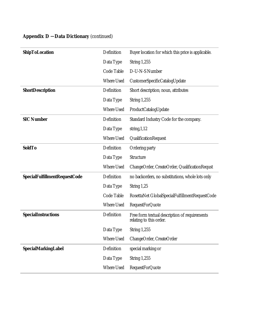| <b>ShipToLocation</b>                | Definition        | Buyer location for which this price is applicable.                       |
|--------------------------------------|-------------------|--------------------------------------------------------------------------|
|                                      | Data Type         | <b>String 1,255</b>                                                      |
|                                      | Code Table        | D-U-N-S Number                                                           |
|                                      | <b>Where Used</b> | CustomerSpecificCatalogUpdate                                            |
| <b>ShortDescription</b>              | Definition        | Short description; noun, attributes                                      |
|                                      | Data Type         | <b>String 1,255</b>                                                      |
|                                      | <b>Where Used</b> | ProductCatalogUpdate                                                     |
| <b>SIC Number</b>                    | Definition        | Standard Industry Code for the company.                                  |
|                                      | Data Type         | string, $1,12$                                                           |
|                                      | <b>Where Used</b> | QualificationRequest                                                     |
| <b>SoldTo</b>                        | Definition        | Ordering party                                                           |
|                                      | Data Type         | Structure                                                                |
|                                      | <b>Where Used</b> | ChangeOrder, CreateOrder, QualificationRequst                            |
| <b>SpecialFulfillmentRequestCode</b> | Definition        | no backorders, no substitutions, whole lots only                         |
|                                      | Data Type         | String 1,25                                                              |
|                                      | Code Table        | RosettaNet GlobalSpecialFulfillmentRequestCode                           |
|                                      | Where Used        | <b>RequestForQuote</b>                                                   |
| <b>SpecialInstructions</b>           | Definition        | Free form textual description of requirements<br>relating to this order. |
|                                      | Data Type         | <b>String 1,255</b>                                                      |
|                                      | Where Used        | ChangeOrder, CreateOrder                                                 |
| <b>SpecialMarkingLabel</b>           | Definition        | special marking or                                                       |
|                                      | Data Type         | <b>String 1,255</b>                                                      |
|                                      | Where Used        | <b>RequestForQuote</b>                                                   |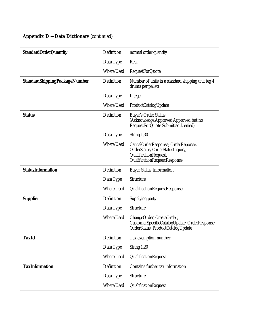| <b>StandardOrderQuantity</b>         | Definition        | normal order quantity                                                                                                           |
|--------------------------------------|-------------------|---------------------------------------------------------------------------------------------------------------------------------|
|                                      | Data Type         | Real                                                                                                                            |
|                                      | <b>Where Used</b> | <b>RequestForQuote</b>                                                                                                          |
| <b>StandardShippingPackageNumber</b> | Definition        | Number of units in a standard shipping unit (eg 4)<br>drums per pallet)                                                         |
|                                      | Data Type         | Integer                                                                                                                         |
|                                      | <b>Where Used</b> | ProductCatalogUpdate                                                                                                            |
| <b>Status</b>                        | Definition        | <b>Buyer's Order Status</b><br>(Acknowledge, Approved, Approved but no<br>RequestForQuote Submitted, Denied).                   |
|                                      | Data Type         | String 1,30                                                                                                                     |
|                                      | <b>Where Used</b> | CancelOrderResponse, OrderReponse,<br>OrderStatus, OrderStatusInquiry,<br>QualificationRequest,<br>QualificationRequestResponse |
| <b>StatusInformation</b>             | Definition        | <b>Buyer Status Information</b>                                                                                                 |
|                                      | Data Type         | Structure                                                                                                                       |
|                                      | <b>Where Used</b> | QualificationRequestResponse                                                                                                    |
| <b>Supplier</b>                      | Definition        | Supplying party                                                                                                                 |
|                                      | Data Type         | Structure                                                                                                                       |
|                                      | <b>Where Used</b> | ChangeOrder, CreateOrder,<br>CustomerSpecificCatalogUpdate, OrderResponse,<br>OrderStatus, ProductCatalogUpdate                 |
| <b>TaxId</b>                         | Definition        | Tax exemption number                                                                                                            |
|                                      | Data Type         | String 1,20                                                                                                                     |
|                                      | <b>Where Used</b> | QualificationRequest                                                                                                            |
| <b>TaxInformation</b>                | Definition        | Contains further tax information                                                                                                |
|                                      | Data Type         | Structure                                                                                                                       |
|                                      | Where Used        | QualificationRequest                                                                                                            |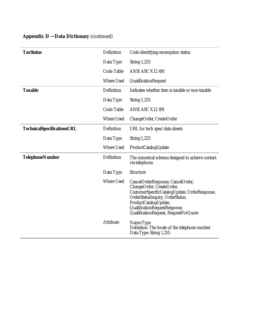| <b>TaxStatus</b>                  | Definition        | Code identifying excemption status                                                                                                                                                                                                                     |
|-----------------------------------|-------------------|--------------------------------------------------------------------------------------------------------------------------------------------------------------------------------------------------------------------------------------------------------|
|                                   | Data Type         | <b>String 1,255</b>                                                                                                                                                                                                                                    |
|                                   | Code Table        | ANSI ASC X12 491                                                                                                                                                                                                                                       |
|                                   | <b>Where Used</b> | QualificationRequest                                                                                                                                                                                                                                   |
| <b>Taxable</b>                    | Definition        | Indicates whether item is taxable or non-taxable                                                                                                                                                                                                       |
|                                   | Data Type         | <b>String 1,255</b>                                                                                                                                                                                                                                    |
|                                   | Code Table        | ANSI ASC X12 491                                                                                                                                                                                                                                       |
|                                   | <b>Where Used</b> | ChangeOrder, CreateOrder                                                                                                                                                                                                                               |
| <b>TechnicalSpecificationsURL</b> | Definition        | URL for tech spec/data sheets                                                                                                                                                                                                                          |
|                                   | Data Type         | <b>String 1,255</b>                                                                                                                                                                                                                                    |
|                                   | <b>Where Used</b> | ProductCatalogUpdate                                                                                                                                                                                                                                   |
| <b>TelephoneNumber</b>            | Definition        | The numerical schema designed to achieve contact<br>via telephone.                                                                                                                                                                                     |
|                                   | Data Type         | Structure                                                                                                                                                                                                                                              |
|                                   | <b>Where Used</b> | CancelOrderResponse, CancelOrder,<br>ChangeOrder, CreateOrder,<br>CustomerSpecificCatalogUpdate, OrderResponse,<br>OrderStatusInquiry, OrderStatus,<br>ProductCatalogUpdate,<br>QualificationRequestResponse,<br>QualificationRequest, RequestForQuote |
|                                   | Attribute         | Name:Type<br>Definition: The locale of the telephone number<br>Data Type: String 1,255                                                                                                                                                                 |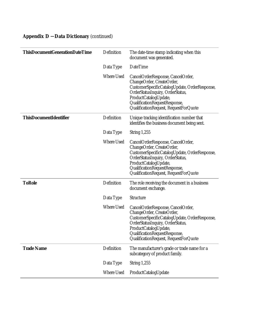| <b>ThisDocumentGenerationDateTime</b> | Definition        | The date-time stamp indicating when this<br>document was generated.                                                                                                                                                                                    |
|---------------------------------------|-------------------|--------------------------------------------------------------------------------------------------------------------------------------------------------------------------------------------------------------------------------------------------------|
|                                       | Data Type         | <b>DateTime</b>                                                                                                                                                                                                                                        |
|                                       | <b>Where Used</b> | CancelOrderResponse, CancelOrder,<br>ChangeOrder, CreateOrder,<br>CustomerSpecificCatalogUpdate, OrderResponse,<br>OrderStatusInquiry, OrderStatus,<br>ProductCatalogUpdate,<br>QualificationRequestResponse,<br>QualificationRequest, RequestForQuote |
| <b>ThisDocumentIdentifier</b>         | Definition        | Unique tracking identification number that<br>identifies the business document being sent.                                                                                                                                                             |
|                                       | Data Type         | <b>String 1,255</b>                                                                                                                                                                                                                                    |
|                                       | <b>Where Used</b> | CancelOrderResponse, CancelOrder,<br>ChangeOrder, CreateOrder,<br>CustomerSpecificCatalogUpdate, OrderResponse,<br>OrderStatusInquiry, OrderStatus,<br>ProductCatalogUpdate,<br>QualificationRequestResponse,<br>QualificationRequest, RequestForQuote |
| <b>ToRole</b>                         | Definition        | The role receiving the document in a business<br>document exchange.                                                                                                                                                                                    |
|                                       | Data Type         | Structure                                                                                                                                                                                                                                              |
|                                       | Where Used        | CancelOrderResponse, CancelOrder,<br>ChangeOrder, CreateOrder,<br>CustomerSpecificCatalogUpdate, OrderResponse,<br>OrderStatusInquiry, OrderStatus,<br>ProductCatalogUpdate,<br>QualificationRequestResponse<br>QualificationRequest, RequestForQuote  |
| <b>Trade Name</b>                     | Definition        | The manufacturer's grade or trade name for a<br>subcategory of product family.                                                                                                                                                                         |
|                                       | Data Type         | <b>String 1,255</b>                                                                                                                                                                                                                                    |
|                                       | Where Used        | ProductCatalogUpdate                                                                                                                                                                                                                                   |
|                                       |                   |                                                                                                                                                                                                                                                        |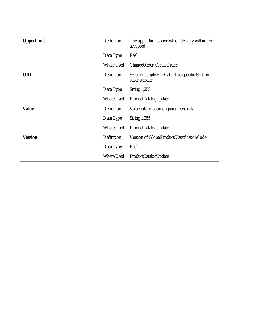| <b>UpperLimit</b> | Definition | The upper limit above which delivery will not be<br>accepted.      |
|-------------------|------------|--------------------------------------------------------------------|
|                   | Data Type  | Real                                                               |
|                   | Where Used | ChangeOrder, CreateOrder                                           |
| <b>URL</b>        | Definition | Seller or supplier URL for this specific SKU in<br>seller website. |
|                   | Data Type  | <b>String 1,255</b>                                                |
|                   | Where Used | ProductCatalogUpdate                                               |
| <b>Value</b>      | Definition | Value information on parametric data                               |
|                   | Data Type  | String $1,255$                                                     |
|                   | Where Used | ProductCatalogUpdate                                               |
| <b>Version</b>    | Definition | Version of GlobalProductClassificationCode                         |
|                   | Data Type  | Real                                                               |
|                   | Where Used | ProductCatalogUpdate                                               |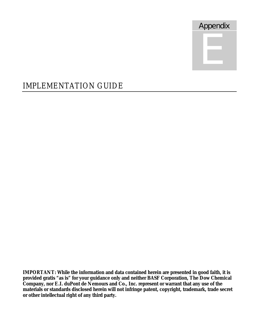

# IMPLEMENTATION GUIDE

**IMPORTANT: While the information and data contained herein are presented in good faith, it is provided gratis "as is" for your guidance only and neither BASF Corporation, The Dow Chemical Company, nor E.I. duPont de Nemours and Co., Inc. represent or warrant that any use of the materials or standards disclosed herein will not infringe patent, copyright, trademark, trade secret or other intellectual right of any third party.**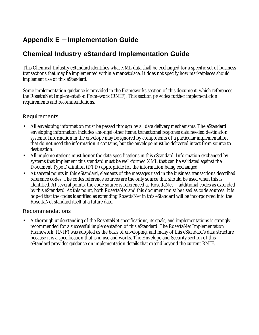# **Appendix E - Implementation Guide**

# **Chemical Industry eStandard Implementation Guide**

This Chemical Industry eStandard identifies what XML data shall be exchanged for a specific set of business transactions that may be implemented within a marketplace. It does not specify how marketplaces should implement use of this eStandard.

Some implementation guidance is provided in the Frameworks section of this document, which references the RosettaNet Implementation Framework (RNIF). This section provides further implementation requirements and recommendations.

#### Requirements

- All enveloping information must be passed through by all data delivery mechanisms. The eStandard enveloping information includes amongst other items, tranactional response data needed destination systems. Information in the envelope may be ignored by components of a particular implementation that do not need the information it contains, but the envelope must be delivered intact from source to destination.
- All implementations must honor the data specifications in this eStandard. Information exchanged by systems that implement this standard must be well-formed XML that can be validated against the Document Type Definition (DTD) appropriate for the information being exchanged.
- At several points in this eStandard, elements of the messages used in the business transactions described reference codes. The codes reference sources are the only source that should be used when this is identified. At several points, the code source is referenced as RosettaNet + additional codes as extended by this eStandard. At this point, both RosettaNet and this document must be used as code sources. It is hoped that the codes identified as extending RosettaNet in this eStandard will be incorporated into the RosettaNet standard itself at a future date.

#### Recommendations

• A thorough understanding of the RosettaNet specifications, its goals, and implementations is strongly recommended for a successful implementation of this eStandard. The RosettaNet Implementation Framework (RNIF) was adopted as the basis of enveloping, and many of this eStandard's data structure because it is a specification that is in use and works. The Envelope and Security section of this eStandard provides guidance on implementation details that extend beyond the current RNIF.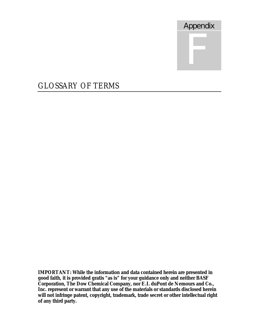

# GLOSSARY OF TERMS

**IMPORTANT: While the information and data contained herein are presented in good faith, it is provided gratis "as is" for your guidance only and neither BASF Corporation, The Dow Chemical Company, nor E.I. duPont de Nemours and Co., Inc. represent or warrant that any use of the materials or standards disclosed herein will not infringe patent, copyright, trademark, trade secret or other intellectual right of any third party.**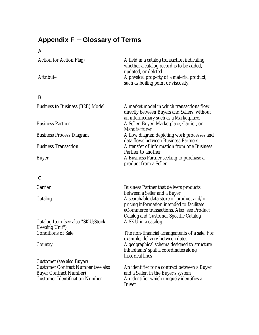# **Appendix F - Glossary of Terms**

#### A

| Action (or Action Flag)<br>Attribute                                                                                                             | A field in a catalog transaction indicating<br>whether a catalog record is to be added,<br>updated, or deleted.<br>A physical property of a material product,<br>such as boiling point or viscosity. |
|--------------------------------------------------------------------------------------------------------------------------------------------------|------------------------------------------------------------------------------------------------------------------------------------------------------------------------------------------------------|
|                                                                                                                                                  |                                                                                                                                                                                                      |
| B                                                                                                                                                |                                                                                                                                                                                                      |
| Business to Business (B2B) Model                                                                                                                 | A market model in which transactions flow<br>directly between Buyers and Sellers, without<br>an intermediary such as a Marketplace.                                                                  |
| <b>Business Partner</b>                                                                                                                          | A Seller, Buyer, Marketplace, Carrier, or<br>Manufacturer                                                                                                                                            |
| <b>Business Process Diagram</b>                                                                                                                  | A flow diagram depicting work processes and<br>data flows between Business Partners.                                                                                                                 |
| <b>Business Transaction</b>                                                                                                                      | A transfer of information from one Business                                                                                                                                                          |
| Buyer                                                                                                                                            | Partner to another<br>A Business Partner seeking to purchase a<br>product from a Seller                                                                                                              |
| $\mathsf{C}$                                                                                                                                     |                                                                                                                                                                                                      |
| Carrier                                                                                                                                          | <b>Business Partner that delivers products</b><br>between a Seller and a Buyer.                                                                                                                      |
| Catalog                                                                                                                                          | A searchable data store of product and/or<br>pricing information intended to facilitate<br>eCommerce transactions. Also, see Product<br><b>Catalog and Customer Specific Catalog</b>                 |
| Catalog Item (see also "SKU;Stock<br>Keeping Unit")                                                                                              | A SKU in a catalog                                                                                                                                                                                   |
| <b>Conditions of Sale</b>                                                                                                                        | The non-financial arrangements of a sale. For<br>example, delivery-between dates                                                                                                                     |
| Country                                                                                                                                          | A geographical schema designed to structure<br>inhabitants' spatial coordinates along<br>historical lines                                                                                            |
| Customer (see also Buyer)<br><b>Customer Contract Number (see also</b><br><b>Buyer Contract Number)</b><br><b>Customer Identification Number</b> | An identifier for a contract between a Buyer<br>and a Seller, in the Buyer's system<br>An identifier which uniquely identifies a<br><b>Buyer</b>                                                     |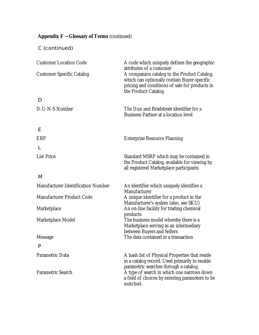# **Appendix F - Glossary of Terms** (continued)

C (continued)

| <b>Customer Location Code</b>      | A code which uniquely defines the geographic<br>attributes of a customer                                                                                             |  |
|------------------------------------|----------------------------------------------------------------------------------------------------------------------------------------------------------------------|--|
| <b>Customer Specific Catalog</b>   | A companion catalog to the Product Catalog,<br>which can optionally contain Buyer-specific<br>pricing and conditions of sale for products in<br>the Product Catalog. |  |
| D                                  |                                                                                                                                                                      |  |
| D-U-N-S Number                     | The Dun and Bradstreet identifier for a<br><b>Business Partner at a location level</b>                                                                               |  |
| Е                                  |                                                                                                                                                                      |  |
| ERP                                | <b>Enterprise Resource Planning</b>                                                                                                                                  |  |
|                                    |                                                                                                                                                                      |  |
| <b>List Price</b>                  | Standard MSRP which may be contained in<br>the Product Catalog, available for viewing by<br>all registered Marketplace participants                                  |  |
| M                                  |                                                                                                                                                                      |  |
| Manufacturer Identification Number | An identifier which uniquely identifies a<br>Manufacturer                                                                                                            |  |
| Manufacturer Product Code          | A unique identifier for a product in the<br>Manufacturer's system (also, see SKU)                                                                                    |  |
| Marketplace                        | An on-line facility for trading chemical                                                                                                                             |  |
| Marketplace Model                  | products<br>The business model whereby there is a<br>Marketplace serving as an intermediary                                                                          |  |
| Message                            | between Buyers and Sellers<br>The data contained in a transaction                                                                                                    |  |
| P                                  |                                                                                                                                                                      |  |
| Parametric Data                    | A hash list of Physical Properties that reside<br>in a catalog record. Used primarily to enable                                                                      |  |
| Parametric Search                  | parametric searches through a catalog.<br>A type of search in which one narrows down<br>a field of choices by entering parameters to be<br>matched.                  |  |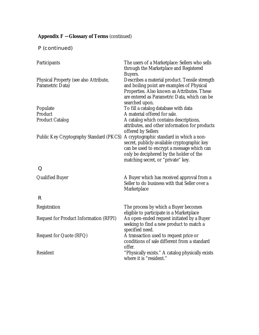# **Appendix F - Glossary of Terms** (continued)

P (continued)

| Participants                                               | The users of a Marketplace: Sellers who sells<br>through the Marketplace and Registered<br>Buyers.                                                                                                                      |
|------------------------------------------------------------|-------------------------------------------------------------------------------------------------------------------------------------------------------------------------------------------------------------------------|
| Physical Property (see also Attribute,<br>Parametric Data) | Describes a material product. Tensile strength<br>and boiling point are examples of Physical<br>Properties. Also known as Attributes. These<br>are entered as Parametric Data, which can be<br>searched upon.           |
| Populate                                                   | To fill a catalog database with data                                                                                                                                                                                    |
| Product                                                    | A material offered for sale.                                                                                                                                                                                            |
| <b>Product Catalog</b>                                     | A catalog which contains descriptions,<br>attributes, and other information for products<br>offered by Sellers                                                                                                          |
| Public Key Cryptography Standard (PKCS)                    | A cryptographic standard in which a non-<br>secret, publicly-available cryptographic key<br>can be used to encrypt a message which can<br>only be deciphered by the holder of the<br>matching secret, or "private" key. |
| Q                                                          |                                                                                                                                                                                                                         |
| <b>Qualified Buyer</b>                                     | A Buyer which has received approval from a<br>Seller to do business with that Seller over a<br>Marketplace                                                                                                              |
| R                                                          |                                                                                                                                                                                                                         |
| Registration                                               | The process by which a Buyer becomes<br>eligible to participate in a Marketplace                                                                                                                                        |
| <b>Request for Product Information (RFPI)</b>              | An open-ended request initiated by a Buyer<br>seeking to find a new product to match a<br>specified need.                                                                                                               |
| Request for Quote (RFQ)                                    | A transaction used to request price or<br>conditions of sale different from a standard<br>offer.                                                                                                                        |
| Resident                                                   | "Physically exists." A catalog physically exists<br>where it is "resident."                                                                                                                                             |